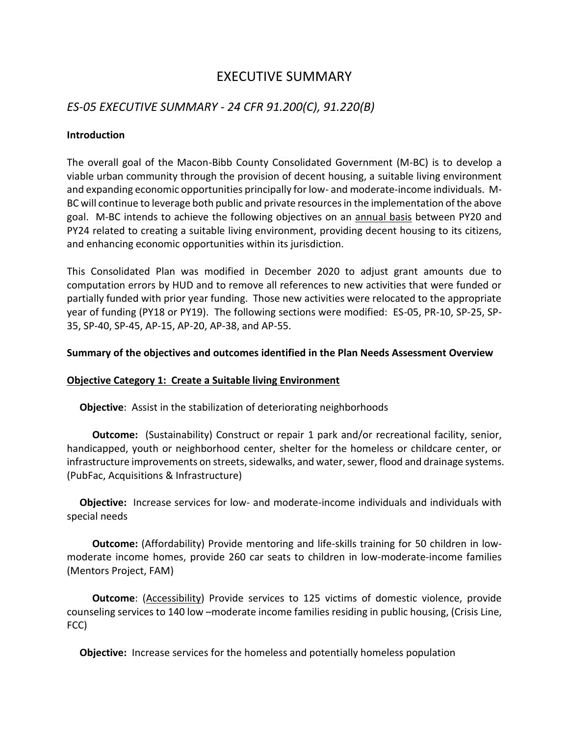# EXECUTIVE SUMMARY

# *ES-05 EXECUTIVE SUMMARY - 24 CFR 91.200(C), 91.220(B)*

### **Introduction**

The overall goal of the Macon-Bibb County Consolidated Government (M-BC) is to develop a viable urban community through the provision of decent housing, a suitable living environment and expanding economic opportunities principally for low- and moderate-income individuals. M-BC will continue to leverage both public and private resources in the implementation of the above goal. M-BC intends to achieve the following objectives on an annual basis between PY20 and PY24 related to creating a suitable living environment, providing decent housing to its citizens, and enhancing economic opportunities within its jurisdiction.

This Consolidated Plan was modified in December 2020 to adjust grant amounts due to computation errors by HUD and to remove all references to new activities that were funded or partially funded with prior year funding. Those new activities were relocated to the appropriate year of funding (PY18 or PY19). The following sections were modified: ES-05, PR-10, SP-25, SP-35, SP-40, SP-45, AP-15, AP-20, AP-38, and AP-55.

#### **Summary of the objectives and outcomes identified in the Plan Needs Assessment Overview**

#### **Objective Category 1: Create a Suitable living Environment**

 **Objective**: Assist in the stabilization of deteriorating neighborhoods

**Outcome:** (Sustainability) Construct or repair 1 park and/or recreational facility, senior, handicapped, youth or neighborhood center, shelter for the homeless or childcare center, or infrastructure improvements on streets, sidewalks, and water, sewer, flood and drainage systems. (PubFac, Acquisitions & Infrastructure)

 **Objective:** Increase services for low- and moderate-income individuals and individuals with special needs

 **Outcome:** (Affordability) Provide mentoring and life-skills training for 50 children in lowmoderate income homes, provide 260 car seats to children in low-moderate-income families (Mentors Project, FAM)

 **Outcome**: (Accessibility) Provide services to 125 victims of domestic violence, provide counseling services to 140 low –moderate income families residing in public housing, (Crisis Line, FCC)

 **Objective:** Increase services for the homeless and potentially homeless population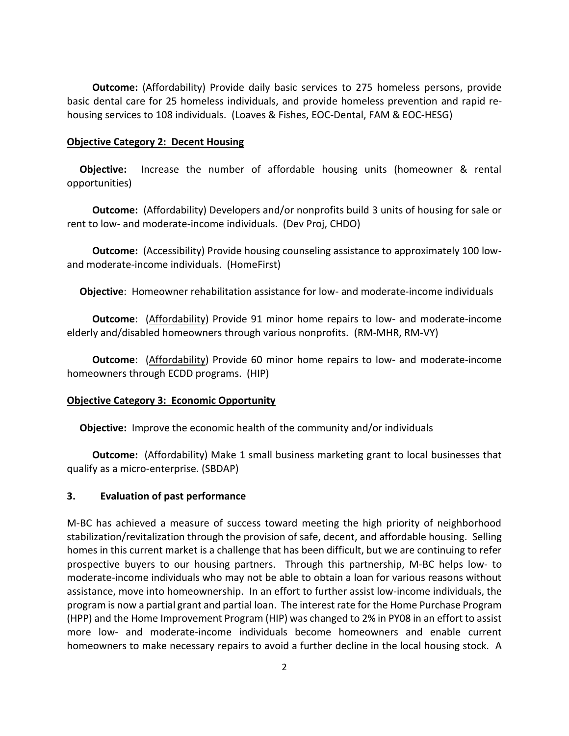**Outcome:** (Affordability) Provide daily basic services to 275 homeless persons, provide basic dental care for 25 homeless individuals, and provide homeless prevention and rapid rehousing services to 108 individuals. (Loaves & Fishes, EOC-Dental, FAM & EOC-HESG)

#### **Objective Category 2: Decent Housing**

 **Objective:** Increase the number of affordable housing units (homeowner & rental opportunities)

 **Outcome:** (Affordability) Developers and/or nonprofits build 3 units of housing for sale or rent to low- and moderate-income individuals. (Dev Proj, CHDO)

 **Outcome:** (Accessibility) Provide housing counseling assistance to approximately 100 lowand moderate-income individuals. (HomeFirst)

 **Objective**: Homeowner rehabilitation assistance for low- and moderate-income individuals

 **Outcome**: (Affordability) Provide 91 minor home repairs to low- and moderate-income elderly and/disabled homeowners through various nonprofits. (RM-MHR, RM-VY)

 **Outcome**: (Affordability) Provide 60 minor home repairs to low- and moderate-income homeowners through ECDD programs. (HIP)

#### **Objective Category 3: Economic Opportunity**

 **Objective:** Improve the economic health of the community and/or individuals

 **Outcome:** (Affordability) Make 1 small business marketing grant to local businesses that qualify as a micro-enterprise. (SBDAP)

#### **3. Evaluation of past performance**

M-BC has achieved a measure of success toward meeting the high priority of neighborhood stabilization/revitalization through the provision of safe, decent, and affordable housing. Selling homes in this current market is a challenge that has been difficult, but we are continuing to refer prospective buyers to our housing partners. Through this partnership, M-BC helps low- to moderate-income individuals who may not be able to obtain a loan for various reasons without assistance, move into homeownership. In an effort to further assist low-income individuals, the program is now a partial grant and partial loan. The interest rate for the Home Purchase Program (HPP) and the Home Improvement Program (HIP) was changed to 2% in PY08 in an effort to assist more low- and moderate-income individuals become homeowners and enable current homeowners to make necessary repairs to avoid a further decline in the local housing stock. A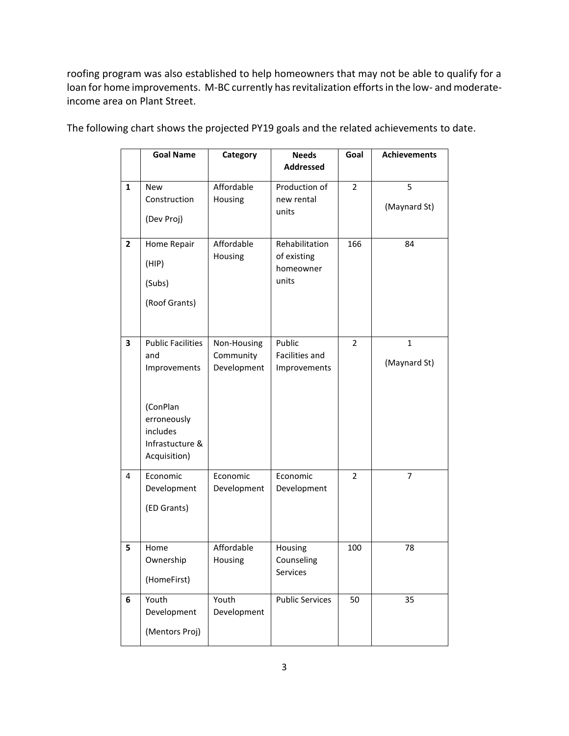roofing program was also established to help homeowners that may not be able to qualify for a loan for home improvements. M-BC currently has revitalization efforts in the low- and moderateincome area on Plant Street.

|                         | <b>Goal Name</b>                                                       | Category                 | <b>Needs</b>                   | Goal           | <b>Achievements</b> |
|-------------------------|------------------------------------------------------------------------|--------------------------|--------------------------------|----------------|---------------------|
|                         |                                                                        |                          | <b>Addressed</b>               |                |                     |
| $\mathbf{1}$            | <b>New</b>                                                             | Affordable               | Production of                  | $\overline{2}$ | 5                   |
|                         | Construction                                                           | Housing                  | new rental                     |                | (Maynard St)        |
|                         | (Dev Proj)                                                             |                          | units                          |                |                     |
| $\overline{\mathbf{2}}$ | Home Repair                                                            | Affordable               | Rehabilitation                 | 166            | 84                  |
|                         | (HIP)                                                                  | Housing                  | of existing<br>homeowner       |                |                     |
|                         | (Subs)                                                                 |                          | units                          |                |                     |
|                         | (Roof Grants)                                                          |                          |                                |                |                     |
|                         |                                                                        |                          |                                |                |                     |
| 3                       | <b>Public Facilities</b>                                               | Non-Housing              | Public                         | $\overline{2}$ | $\mathbf{1}$        |
|                         | and<br>Improvements                                                    | Community<br>Development | Facilities and<br>Improvements |                | (Maynard St)        |
|                         |                                                                        |                          |                                |                |                     |
|                         | (ConPlan<br>erroneously<br>includes<br>Infrastucture &<br>Acquisition) |                          |                                |                |                     |
| 4                       | Economic<br>Development                                                | Economic<br>Development  | Economic<br>Development        | $\overline{2}$ | $\overline{7}$      |
|                         |                                                                        |                          |                                |                |                     |
|                         | (ED Grants)                                                            |                          |                                |                |                     |
|                         |                                                                        |                          |                                |                |                     |
| 5                       | Home<br>Ownership                                                      | Affordable<br>Housing    | Housing<br>Counseling          | 100            | 78                  |
|                         | (HomeFirst)                                                            |                          | Services                       |                |                     |
|                         |                                                                        |                          |                                |                |                     |
| 6                       | Youth<br>Development                                                   | Youth<br>Development     | <b>Public Services</b>         | 50             | 35                  |
|                         |                                                                        |                          |                                |                |                     |
|                         | (Mentors Proj)                                                         |                          |                                |                |                     |

The following chart shows the projected PY19 goals and the related achievements to date.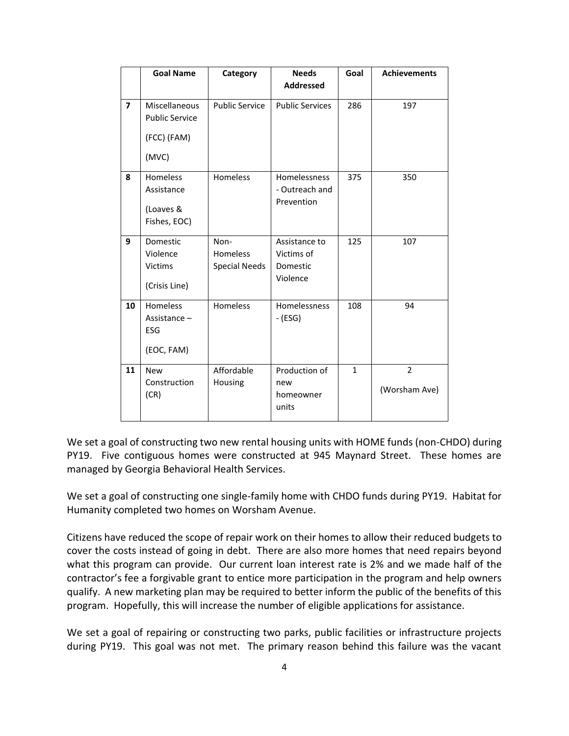|                | <b>Goal Name</b>                                                                        | Category                                 | <b>Needs</b><br><b>Addressed</b>                    | Goal         | <b>Achievements</b>             |
|----------------|-----------------------------------------------------------------------------------------|------------------------------------------|-----------------------------------------------------|--------------|---------------------------------|
| $\overline{ }$ | Miscellaneous<br><b>Public Service</b><br><b>Public Service</b><br>(FCC) (FAM)<br>(MVC) |                                          | <b>Public Services</b>                              | 286          | 197                             |
| 8              | Homeless<br><b>Homeless</b><br>Assistance<br>(Loaves &<br>Fishes, EOC)                  |                                          | <b>Homelessness</b><br>- Outreach and<br>Prevention | 375          | 350                             |
| 9              | Domestic<br>Violence<br><b>Victims</b><br>(Crisis Line)                                 | Non-<br>Homeless<br><b>Special Needs</b> | Assistance to<br>Victims of<br>Domestic<br>Violence | 125          | 107                             |
| 10             | <b>Homeless</b><br>Assistance $-$<br>ESG<br>(EOC, FAM)                                  | <b>Homeless</b>                          | Homelessness<br>$-(ESS)$                            | 108          | 94                              |
| 11             | <b>New</b><br>Construction<br>(CR)                                                      | Affordable<br>Housing                    | Production of<br>new<br>homeowner<br>units          | $\mathbf{1}$ | $\overline{2}$<br>(Worsham Ave) |

We set a goal of constructing two new rental housing units with HOME funds (non-CHDO) during PY19. Five contiguous homes were constructed at 945 Maynard Street. These homes are managed by Georgia Behavioral Health Services.

We set a goal of constructing one single-family home with CHDO funds during PY19. Habitat for Humanity completed two homes on Worsham Avenue.

Citizens have reduced the scope of repair work on their homes to allow their reduced budgets to cover the costs instead of going in debt. There are also more homes that need repairs beyond what this program can provide. Our current loan interest rate is 2% and we made half of the contractor's fee a forgivable grant to entice more participation in the program and help owners qualify. A new marketing plan may be required to better inform the public of the benefits of this program. Hopefully, this will increase the number of eligible applications for assistance.

We set a goal of repairing or constructing two parks, public facilities or infrastructure projects during PY19. This goal was not met. The primary reason behind this failure was the vacant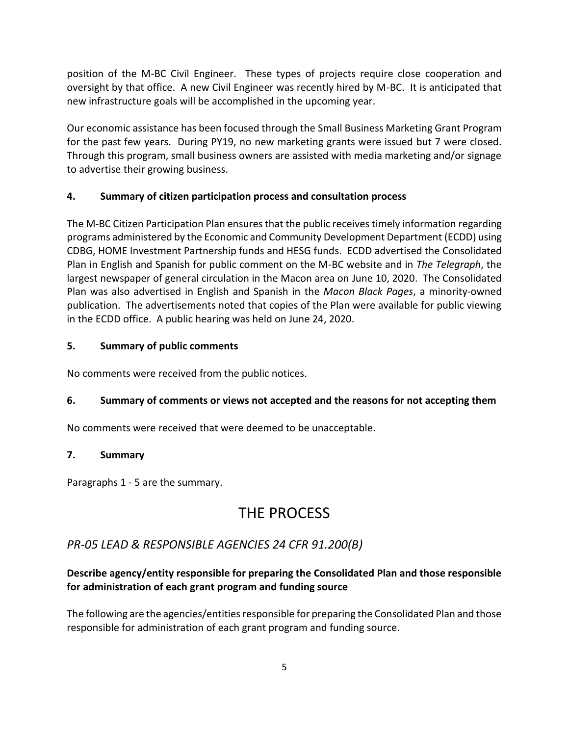position of the M-BC Civil Engineer. These types of projects require close cooperation and oversight by that office. A new Civil Engineer was recently hired by M-BC. It is anticipated that new infrastructure goals will be accomplished in the upcoming year.

Our economic assistance has been focused through the Small Business Marketing Grant Program for the past few years. During PY19, no new marketing grants were issued but 7 were closed. Through this program, small business owners are assisted with media marketing and/or signage to advertise their growing business.

# **4. Summary of citizen participation process and consultation process**

The M-BC Citizen Participation Plan ensures that the public receives timely information regarding programs administered by the Economic and Community Development Department (ECDD) using CDBG, HOME Investment Partnership funds and HESG funds. ECDD advertised the Consolidated Plan in English and Spanish for public comment on the M-BC website and in *The Telegraph*, the largest newspaper of general circulation in the Macon area on June 10, 2020. The Consolidated Plan was also advertised in English and Spanish in the *Macon Black Pages*, a minority-owned publication. The advertisements noted that copies of the Plan were available for public viewing in the ECDD office. A public hearing was held on June 24, 2020.

# **5. Summary of public comments**

No comments were received from the public notices.

# **6. Summary of comments or views not accepted and the reasons for not accepting them**

No comments were received that were deemed to be unacceptable.

# **7. Summary**

Paragraphs 1 - 5 are the summary.

# THE PROCESS

# *PR-05 LEAD & RESPONSIBLE AGENCIES 24 CFR 91.200(B)*

# **Describe agency/entity responsible for preparing the Consolidated Plan and those responsible for administration of each grant program and funding source**

The following are the agencies/entities responsible for preparing the Consolidated Plan and those responsible for administration of each grant program and funding source.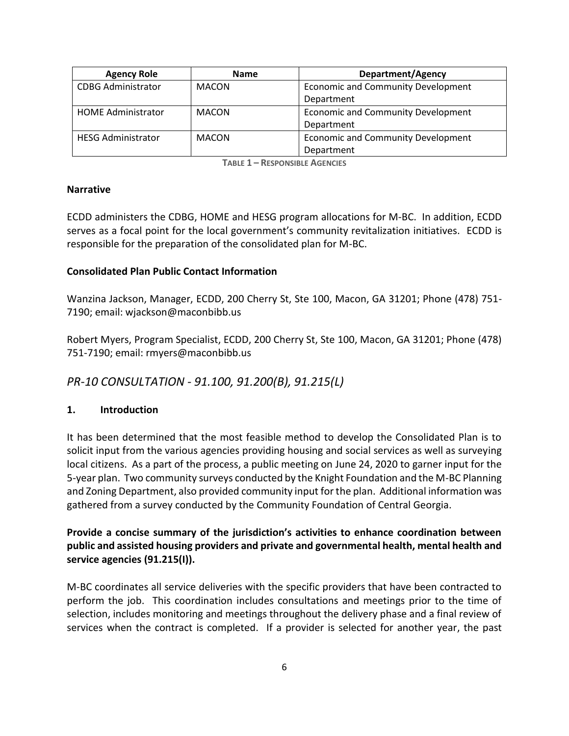| <b>Agency Role</b>                        | <b>Name</b>  | <b>Department/Agency</b>                  |  |
|-------------------------------------------|--------------|-------------------------------------------|--|
| <b>CDBG Administrator</b>                 | <b>MACON</b> | <b>Economic and Community Development</b> |  |
|                                           |              | Department                                |  |
| <b>HOME Administrator</b><br><b>MACON</b> |              | <b>Economic and Community Development</b> |  |
|                                           |              | Department                                |  |
| <b>HESG Administrator</b><br><b>MACON</b> |              | <b>Economic and Community Development</b> |  |
|                                           |              | Department                                |  |

**TABLE 1 – RESPONSIBLE AGENCIES**

### **Narrative**

ECDD administers the CDBG, HOME and HESG program allocations for M-BC. In addition, ECDD serves as a focal point for the local government's community revitalization initiatives. ECDD is responsible for the preparation of the consolidated plan for M-BC.

### **Consolidated Plan Public Contact Information**

Wanzina Jackson, Manager, ECDD, 200 Cherry St, Ste 100, Macon, GA 31201; Phone (478) 751- 7190; email: wjackson@maconbibb.us

Robert Myers, Program Specialist, ECDD, 200 Cherry St, Ste 100, Macon, GA 31201; Phone (478) 751-7190; email: rmyers@maconbibb.us

*PR-10 CONSULTATION - 91.100, 91.200(B), 91.215(L)* 

# **1. Introduction**

It has been determined that the most feasible method to develop the Consolidated Plan is to solicit input from the various agencies providing housing and social services as well as surveying local citizens. As a part of the process, a public meeting on June 24, 2020 to garner input for the 5-year plan. Two community surveys conducted by the Knight Foundation and the M-BC Planning and Zoning Department, also provided community input for the plan. Additional information was gathered from a survey conducted by the Community Foundation of Central Georgia.

**Provide a concise summary of the jurisdiction's activities to enhance coordination between public and assisted housing providers and private and governmental health, mental health and service agencies (91.215(I)).**

M-BC coordinates all service deliveries with the specific providers that have been contracted to perform the job. This coordination includes consultations and meetings prior to the time of selection, includes monitoring and meetings throughout the delivery phase and a final review of services when the contract is completed. If a provider is selected for another year, the past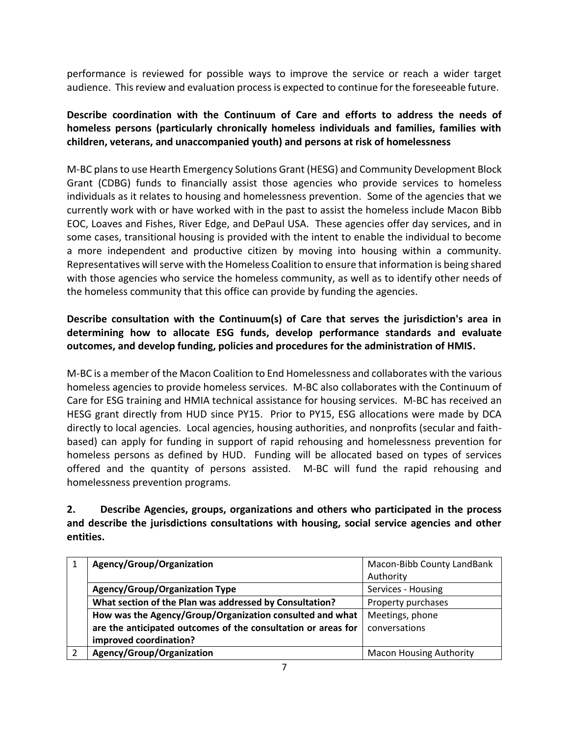performance is reviewed for possible ways to improve the service or reach a wider target audience. This review and evaluation process is expected to continue for the foreseeable future.

# **Describe coordination with the Continuum of Care and efforts to address the needs of homeless persons (particularly chronically homeless individuals and families, families with children, veterans, and unaccompanied youth) and persons at risk of homelessness**

M-BC plans to use Hearth Emergency Solutions Grant (HESG) and Community Development Block Grant (CDBG) funds to financially assist those agencies who provide services to homeless individuals as it relates to housing and homelessness prevention. Some of the agencies that we currently work with or have worked with in the past to assist the homeless include Macon Bibb EOC, Loaves and Fishes, River Edge, and DePaul USA. These agencies offer day services, and in some cases, transitional housing is provided with the intent to enable the individual to become a more independent and productive citizen by moving into housing within a community. Representatives will serve with the Homeless Coalition to ensure that information is being shared with those agencies who service the homeless community, as well as to identify other needs of the homeless community that this office can provide by funding the agencies.

# **Describe consultation with the Continuum(s) of Care that serves the jurisdiction's area in determining how to allocate ESG funds, develop performance standards and evaluate outcomes, and develop funding, policies and procedures for the administration of HMIS.**

M-BC is a member of the Macon Coalition to End Homelessness and collaborates with the various homeless agencies to provide homeless services. M-BC also collaborates with the Continuum of Care for ESG training and HMIA technical assistance for housing services. M-BC has received an HESG grant directly from HUD since PY15. Prior to PY15, ESG allocations were made by DCA directly to local agencies. Local agencies, housing authorities, and nonprofits (secular and faithbased) can apply for funding in support of rapid rehousing and homelessness prevention for homeless persons as defined by HUD. Funding will be allocated based on types of services offered and the quantity of persons assisted. M-BC will fund the rapid rehousing and homelessness prevention programs.

# **2. Describe Agencies, groups, organizations and others who participated in the process and describe the jurisdictions consultations with housing, social service agencies and other entities.**

| Agency/Group/Organization                                     | Macon-Bibb County LandBank     |  |
|---------------------------------------------------------------|--------------------------------|--|
|                                                               | Authority                      |  |
| <b>Agency/Group/Organization Type</b>                         | Services - Housing             |  |
| What section of the Plan was addressed by Consultation?       | Property purchases             |  |
| How was the Agency/Group/Organization consulted and what      | Meetings, phone                |  |
| are the anticipated outcomes of the consultation or areas for | conversations                  |  |
| improved coordination?                                        |                                |  |
| Agency/Group/Organization                                     | <b>Macon Housing Authority</b> |  |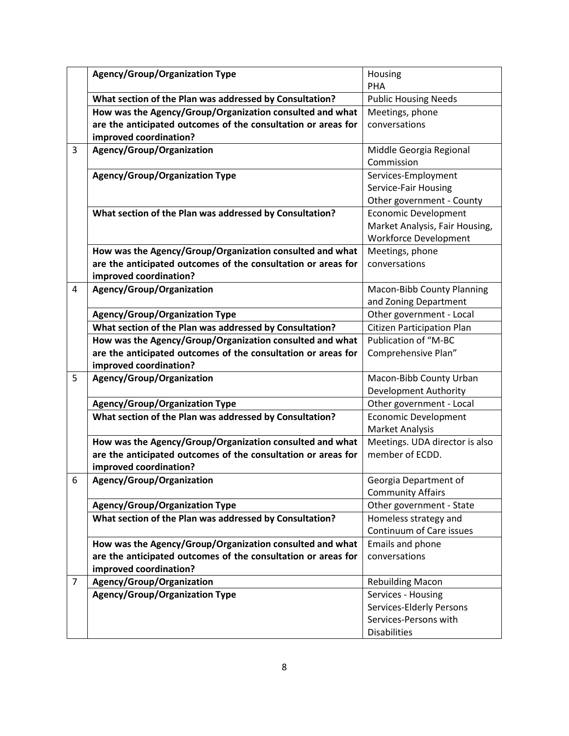|                | <b>Agency/Group/Organization Type</b>                         | Housing                           |
|----------------|---------------------------------------------------------------|-----------------------------------|
|                |                                                               | PHA                               |
|                | What section of the Plan was addressed by Consultation?       | <b>Public Housing Needs</b>       |
|                | How was the Agency/Group/Organization consulted and what      | Meetings, phone                   |
|                | are the anticipated outcomes of the consultation or areas for | conversations                     |
|                | improved coordination?                                        |                                   |
| 3              | Agency/Group/Organization                                     | Middle Georgia Regional           |
|                |                                                               | Commission                        |
|                | <b>Agency/Group/Organization Type</b>                         | Services-Employment               |
|                |                                                               | Service-Fair Housing              |
|                |                                                               | Other government - County         |
|                | What section of the Plan was addressed by Consultation?       | <b>Economic Development</b>       |
|                |                                                               | Market Analysis, Fair Housing,    |
|                |                                                               | <b>Workforce Development</b>      |
|                | How was the Agency/Group/Organization consulted and what      | Meetings, phone                   |
|                | are the anticipated outcomes of the consultation or areas for | conversations                     |
|                | improved coordination?                                        |                                   |
| 4              | Agency/Group/Organization                                     | Macon-Bibb County Planning        |
|                |                                                               | and Zoning Department             |
|                | <b>Agency/Group/Organization Type</b>                         | Other government - Local          |
|                | What section of the Plan was addressed by Consultation?       | <b>Citizen Participation Plan</b> |
|                | How was the Agency/Group/Organization consulted and what      | Publication of "M-BC              |
|                | are the anticipated outcomes of the consultation or areas for | Comprehensive Plan"               |
|                | improved coordination?                                        |                                   |
| 5              | Agency/Group/Organization                                     | Macon-Bibb County Urban           |
|                |                                                               | Development Authority             |
|                | <b>Agency/Group/Organization Type</b>                         | Other government - Local          |
|                | What section of the Plan was addressed by Consultation?       | <b>Economic Development</b>       |
|                |                                                               | <b>Market Analysis</b>            |
|                | How was the Agency/Group/Organization consulted and what      | Meetings. UDA director is also    |
|                | are the anticipated outcomes of the consultation or areas for | member of ECDD.                   |
|                | improved coordination?                                        |                                   |
| 6              | Agency/Group/Organization                                     | Georgia Department of             |
|                |                                                               | <b>Community Affairs</b>          |
|                | <b>Agency/Group/Organization Type</b>                         | Other government - State          |
|                | What section of the Plan was addressed by Consultation?       | Homeless strategy and             |
|                |                                                               | Continuum of Care issues          |
|                | How was the Agency/Group/Organization consulted and what      | Emails and phone                  |
|                | are the anticipated outcomes of the consultation or areas for | conversations                     |
|                | improved coordination?                                        |                                   |
| $\overline{7}$ | Agency/Group/Organization                                     | <b>Rebuilding Macon</b>           |
|                | <b>Agency/Group/Organization Type</b>                         | Services - Housing                |
|                |                                                               | Services-Elderly Persons          |
|                |                                                               | Services-Persons with             |
|                |                                                               | <b>Disabilities</b>               |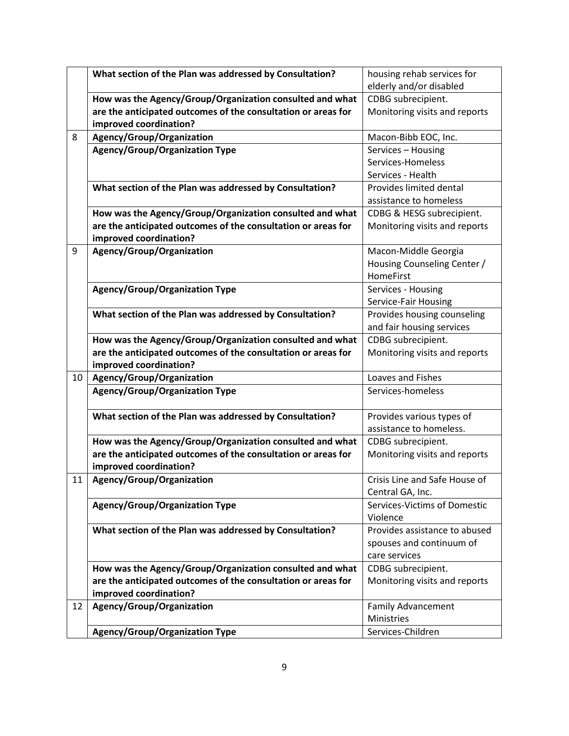|    | What section of the Plan was addressed by Consultation?       | housing rehab services for    |
|----|---------------------------------------------------------------|-------------------------------|
|    |                                                               | elderly and/or disabled       |
|    | How was the Agency/Group/Organization consulted and what      | CDBG subrecipient.            |
|    | are the anticipated outcomes of the consultation or areas for | Monitoring visits and reports |
|    | improved coordination?                                        |                               |
| 8  | Agency/Group/Organization                                     | Macon-Bibb EOC, Inc.          |
|    | <b>Agency/Group/Organization Type</b>                         | Services - Housing            |
|    |                                                               | Services-Homeless             |
|    |                                                               | Services - Health             |
|    | What section of the Plan was addressed by Consultation?       | Provides limited dental       |
|    |                                                               | assistance to homeless        |
|    | How was the Agency/Group/Organization consulted and what      | CDBG & HESG subrecipient.     |
|    | are the anticipated outcomes of the consultation or areas for | Monitoring visits and reports |
|    | improved coordination?                                        |                               |
| 9  | Agency/Group/Organization                                     | Macon-Middle Georgia          |
|    |                                                               | Housing Counseling Center /   |
|    |                                                               | HomeFirst                     |
|    | <b>Agency/Group/Organization Type</b>                         | Services - Housing            |
|    |                                                               | Service-Fair Housing          |
|    | What section of the Plan was addressed by Consultation?       | Provides housing counseling   |
|    |                                                               | and fair housing services     |
|    | How was the Agency/Group/Organization consulted and what      | CDBG subrecipient.            |
|    | are the anticipated outcomes of the consultation or areas for | Monitoring visits and reports |
|    | improved coordination?                                        |                               |
| 10 | Agency/Group/Organization                                     | Loaves and Fishes             |
|    | <b>Agency/Group/Organization Type</b>                         | Services-homeless             |
|    |                                                               |                               |
|    | What section of the Plan was addressed by Consultation?       | Provides various types of     |
|    |                                                               | assistance to homeless.       |
|    | How was the Agency/Group/Organization consulted and what      | CDBG subrecipient.            |
|    | are the anticipated outcomes of the consultation or areas for | Monitoring visits and reports |
|    | improved coordination?                                        |                               |
| 11 | Agency/Group/Organization                                     | Crisis Line and Safe House of |
|    |                                                               | Central GA, Inc.              |
|    | <b>Agency/Group/Organization Type</b>                         | Services-Victims of Domestic  |
|    |                                                               | Violence                      |
|    | What section of the Plan was addressed by Consultation?       | Provides assistance to abused |
|    |                                                               | spouses and continuum of      |
|    |                                                               | care services                 |
|    | How was the Agency/Group/Organization consulted and what      | CDBG subrecipient.            |
|    | are the anticipated outcomes of the consultation or areas for | Monitoring visits and reports |
|    | improved coordination?                                        |                               |
| 12 | Agency/Group/Organization                                     | <b>Family Advancement</b>     |
|    |                                                               | Ministries                    |
|    | <b>Agency/Group/Organization Type</b>                         | Services-Children             |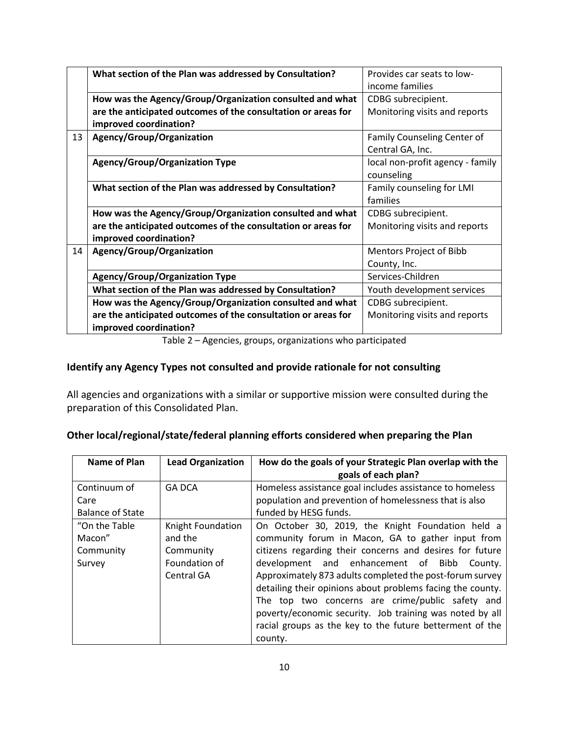|    | What section of the Plan was addressed by Consultation?       | Provides car seats to low-       |
|----|---------------------------------------------------------------|----------------------------------|
|    |                                                               | income families                  |
|    | How was the Agency/Group/Organization consulted and what      | CDBG subrecipient.               |
|    | are the anticipated outcomes of the consultation or areas for | Monitoring visits and reports    |
|    | improved coordination?                                        |                                  |
| 13 | Agency/Group/Organization                                     | Family Counseling Center of      |
|    |                                                               | Central GA, Inc.                 |
|    | <b>Agency/Group/Organization Type</b>                         | local non-profit agency - family |
|    |                                                               | counseling                       |
|    | What section of the Plan was addressed by Consultation?       | Family counseling for LMI        |
|    |                                                               | families                         |
|    | How was the Agency/Group/Organization consulted and what      | CDBG subrecipient.               |
|    | are the anticipated outcomes of the consultation or areas for | Monitoring visits and reports    |
|    | improved coordination?                                        |                                  |
| 14 | Agency/Group/Organization                                     | Mentors Project of Bibb          |
|    |                                                               | County, Inc.                     |
|    | <b>Agency/Group/Organization Type</b>                         | Services-Children                |
|    | What section of the Plan was addressed by Consultation?       | Youth development services       |
|    | How was the Agency/Group/Organization consulted and what      | CDBG subrecipient.               |
|    | are the anticipated outcomes of the consultation or areas for | Monitoring visits and reports    |
|    | improved coordination?                                        |                                  |

Table 2 – Agencies, groups, organizations who participated

# **Identify any Agency Types not consulted and provide rationale for not consulting**

All agencies and organizations with a similar or supportive mission were consulted during the preparation of this Consolidated Plan.

### **Other local/regional/state/federal planning efforts considered when preparing the Plan**

| Name of Plan                    | <b>Lead Organization</b> | How do the goals of your Strategic Plan overlap with the<br>goals of each plan? |
|---------------------------------|--------------------------|---------------------------------------------------------------------------------|
| Continuum of                    | <b>GA DCA</b>            | Homeless assistance goal includes assistance to homeless                        |
| Care<br><b>Balance of State</b> |                          | population and prevention of homelessness that is also<br>funded by HESG funds. |
| "On the Table"                  | Knight Foundation        | On October 30, 2019, the Knight Foundation held a                               |
| Macon"                          | and the                  | community forum in Macon, GA to gather input from                               |
| Community                       | Community                | citizens regarding their concerns and desires for future                        |
| Survey                          | Foundation of            | development and enhancement of Bibb<br>County.                                  |
|                                 | Central GA               | Approximately 873 adults completed the post-forum survey                        |
|                                 |                          | detailing their opinions about problems facing the county.                      |
|                                 |                          | The top two concerns are crime/public safety and                                |
|                                 |                          | poverty/economic security. Job training was noted by all                        |
|                                 |                          | racial groups as the key to the future betterment of the                        |
|                                 |                          | county.                                                                         |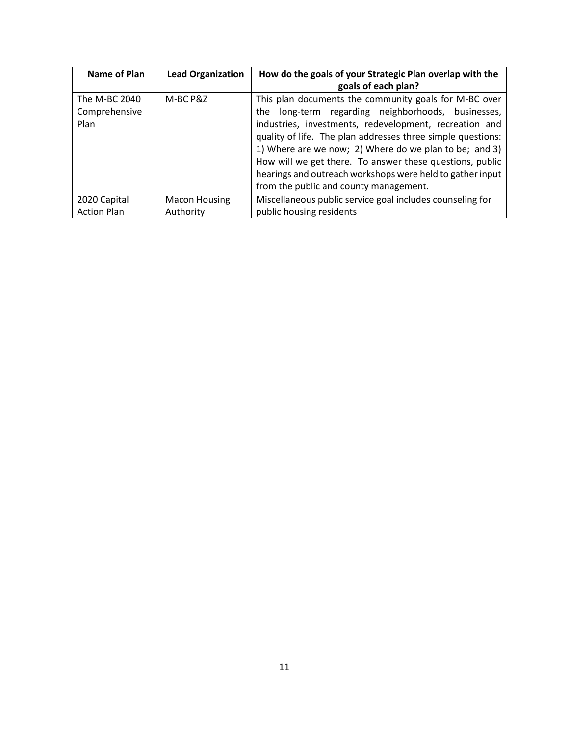| Name of Plan                           | <b>Lead Organization</b> | How do the goals of your Strategic Plan overlap with the<br>goals of each plan?                                                                                                                                                                                                                                                                                                                                                                                      |
|----------------------------------------|--------------------------|----------------------------------------------------------------------------------------------------------------------------------------------------------------------------------------------------------------------------------------------------------------------------------------------------------------------------------------------------------------------------------------------------------------------------------------------------------------------|
| The M-BC 2040<br>Comprehensive<br>Plan | M-BC P&Z                 | This plan documents the community goals for M-BC over<br>long-term regarding neighborhoods, businesses,<br>the<br>industries, investments, redevelopment, recreation and<br>quality of life. The plan addresses three simple questions:<br>1) Where are we now; 2) Where do we plan to be; and 3)<br>How will we get there. To answer these questions, public<br>hearings and outreach workshops were held to gather input<br>from the public and county management. |
| 2020 Capital                           | <b>Macon Housing</b>     | Miscellaneous public service goal includes counseling for                                                                                                                                                                                                                                                                                                                                                                                                            |
| <b>Action Plan</b>                     | Authority                | public housing residents                                                                                                                                                                                                                                                                                                                                                                                                                                             |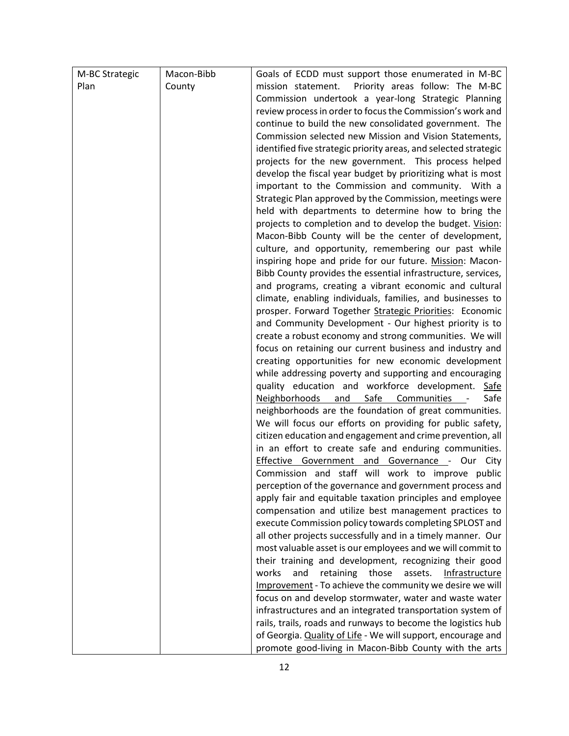| M-BC Strategic | Macon-Bibb | Goals of ECDD must support those enumerated in M-BC                                                             |
|----------------|------------|-----------------------------------------------------------------------------------------------------------------|
| Plan           | County     | mission statement. Priority areas follow: The M-BC                                                              |
|                |            | Commission undertook a year-long Strategic Planning                                                             |
|                |            | review process in order to focus the Commission's work and                                                      |
|                |            | continue to build the new consolidated government. The                                                          |
|                |            | Commission selected new Mission and Vision Statements,                                                          |
|                |            | identified five strategic priority areas, and selected strategic                                                |
|                |            | projects for the new government. This process helped                                                            |
|                |            | develop the fiscal year budget by prioritizing what is most                                                     |
|                |            | important to the Commission and community. With a                                                               |
|                |            | Strategic Plan approved by the Commission, meetings were                                                        |
|                |            | held with departments to determine how to bring the                                                             |
|                |            | projects to completion and to develop the budget. Vision:                                                       |
|                |            | Macon-Bibb County will be the center of development,                                                            |
|                |            | culture, and opportunity, remembering our past while                                                            |
|                |            | inspiring hope and pride for our future. Mission: Macon-                                                        |
|                |            | Bibb County provides the essential infrastructure, services,                                                    |
|                |            | and programs, creating a vibrant economic and cultural                                                          |
|                |            | climate, enabling individuals, families, and businesses to                                                      |
|                |            | prosper. Forward Together Strategic Priorities: Economic                                                        |
|                |            | and Community Development - Our highest priority is to                                                          |
|                |            | create a robust economy and strong communities. We will                                                         |
|                |            | focus on retaining our current business and industry and                                                        |
|                |            | creating opportunities for new economic development                                                             |
|                |            | while addressing poverty and supporting and encouraging<br>quality education and workforce development.<br>Safe |
|                |            | Neighborhoods and Safe Communities -<br>Safe                                                                    |
|                |            | neighborhoods are the foundation of great communities.                                                          |
|                |            | We will focus our efforts on providing for public safety,                                                       |
|                |            | citizen education and engagement and crime prevention, all                                                      |
|                |            | in an effort to create safe and enduring communities.                                                           |
|                |            | Effective Government and Governance - Our City                                                                  |
|                |            | Commission and staff will work to improve public                                                                |
|                |            | perception of the governance and government process and                                                         |
|                |            | apply fair and equitable taxation principles and employee                                                       |
|                |            | compensation and utilize best management practices to                                                           |
|                |            | execute Commission policy towards completing SPLOST and                                                         |
|                |            | all other projects successfully and in a timely manner. Our                                                     |
|                |            | most valuable asset is our employees and we will commit to                                                      |
|                |            | their training and development, recognizing their good                                                          |
|                |            | and<br>works<br>retaining<br>those<br>Infrastructure<br>assets.                                                 |
|                |            | Improvement - To achieve the community we desire we will                                                        |
|                |            | focus on and develop stormwater, water and waste water                                                          |
|                |            | infrastructures and an integrated transportation system of                                                      |
|                |            | rails, trails, roads and runways to become the logistics hub                                                    |
|                |            | of Georgia. Quality of Life - We will support, encourage and                                                    |
|                |            | promote good-living in Macon-Bibb County with the arts                                                          |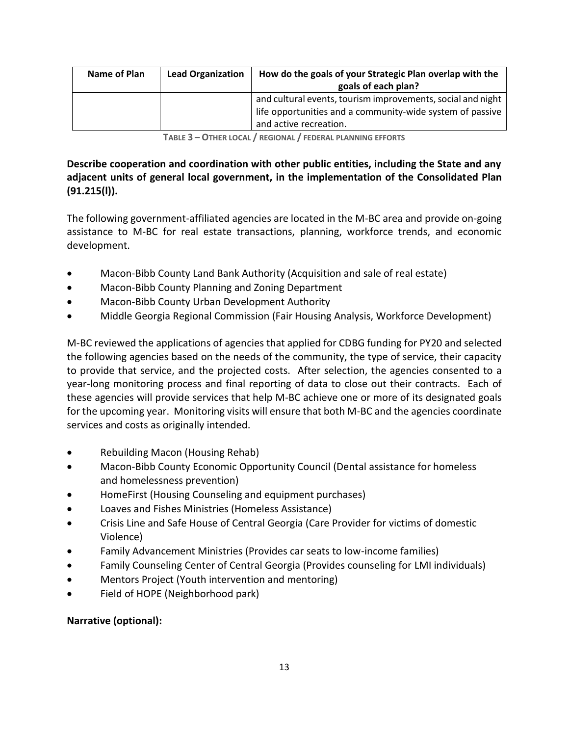| Name of Plan<br><b>Lead Organization</b> |  | How do the goals of your Strategic Plan overlap with the                                                                                           |  |
|------------------------------------------|--|----------------------------------------------------------------------------------------------------------------------------------------------------|--|
|                                          |  | goals of each plan?                                                                                                                                |  |
|                                          |  | and cultural events, tourism improvements, social and night<br>life opportunities and a community-wide system of passive<br>and active recreation. |  |

**TABLE 3 – OTHER LOCAL / REGIONAL / FEDERAL PLANNING EFFORTS**

# **Describe cooperation and coordination with other public entities, including the State and any adjacent units of general local government, in the implementation of the Consolidated Plan (91.215(l)).**

The following government-affiliated agencies are located in the M-BC area and provide on-going assistance to M-BC for real estate transactions, planning, workforce trends, and economic development.

- Macon-Bibb County Land Bank Authority (Acquisition and sale of real estate)
- Macon-Bibb County Planning and Zoning Department
- Macon-Bibb County Urban Development Authority
- Middle Georgia Regional Commission (Fair Housing Analysis, Workforce Development)

M-BC reviewed the applications of agencies that applied for CDBG funding for PY20 and selected the following agencies based on the needs of the community, the type of service, their capacity to provide that service, and the projected costs. After selection, the agencies consented to a year-long monitoring process and final reporting of data to close out their contracts. Each of these agencies will provide services that help M-BC achieve one or more of its designated goals for the upcoming year. Monitoring visits will ensure that both M-BC and the agencies coordinate services and costs as originally intended.

- Rebuilding Macon (Housing Rehab)
- Macon-Bibb County Economic Opportunity Council (Dental assistance for homeless and homelessness prevention)
- HomeFirst (Housing Counseling and equipment purchases)
- Loaves and Fishes Ministries (Homeless Assistance)
- Crisis Line and Safe House of Central Georgia (Care Provider for victims of domestic Violence)
- Family Advancement Ministries (Provides car seats to low-income families)
- Family Counseling Center of Central Georgia (Provides counseling for LMI individuals)
- Mentors Project (Youth intervention and mentoring)
- Field of HOPE (Neighborhood park)

# **Narrative (optional):**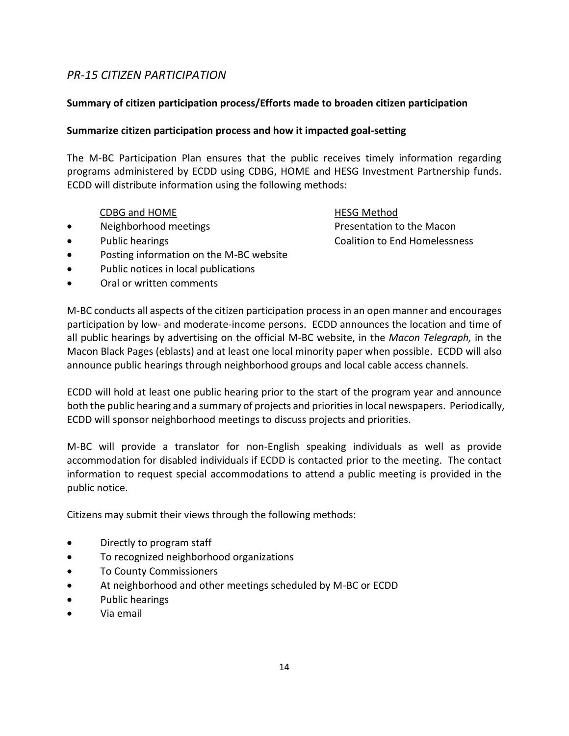# *PR-15 CITIZEN PARTICIPATION*

### **Summary of citizen participation process/Efforts made to broaden citizen participation**

#### **Summarize citizen participation process and how it impacted goal-setting**

The M-BC Participation Plan ensures that the public receives timely information regarding programs administered by ECDD using CDBG, HOME and HESG Investment Partnership funds. ECDD will distribute information using the following methods:

#### CDBG and HOME HESG Method

• Posting information on the M-BC website

- Public notices in local publications
- Oral or written comments

Neighborhood meetings example and the Macon Presentation to the Macon • Public hearings Coalition to End Homelessness

M-BC conducts all aspects of the citizen participation process in an open manner and encourages participation by low- and moderate-income persons. ECDD announces the location and time of all public hearings by advertising on the official M-BC website, in the *Macon Telegraph,* in the Macon Black Pages (eblasts) and at least one local minority paper when possible. ECDD will also announce public hearings through neighborhood groups and local cable access channels.

ECDD will hold at least one public hearing prior to the start of the program year and announce both the public hearing and a summary of projects and priorities in local newspapers. Periodically, ECDD will sponsor neighborhood meetings to discuss projects and priorities.

M-BC will provide a translator for non-English speaking individuals as well as provide accommodation for disabled individuals if ECDD is contacted prior to the meeting. The contact information to request special accommodations to attend a public meeting is provided in the public notice.

Citizens may submit their views through the following methods:

- Directly to program staff
- To recognized neighborhood organizations
- To County Commissioners
- At neighborhood and other meetings scheduled by M-BC or ECDD
- Public hearings
- Via email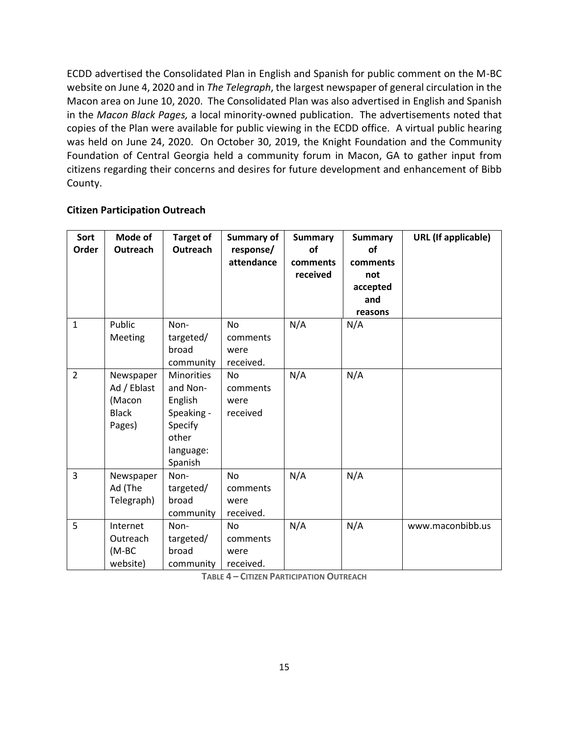ECDD advertised the Consolidated Plan in English and Spanish for public comment on the M-BC website on June 4, 2020 and in *The Telegraph*, the largest newspaper of general circulation in the Macon area on June 10, 2020. The Consolidated Plan was also advertised in English and Spanish in the *Macon Black Pages,* a local minority-owned publication. The advertisements noted that copies of the Plan were available for public viewing in the ECDD office. A virtual public hearing was held on June 24, 2020. On October 30, 2019, the Knight Foundation and the Community Foundation of Central Georgia held a community forum in Macon, GA to gather input from citizens regarding their concerns and desires for future development and enhancement of Bibb County.

#### **Citizen Participation Outreach**

| Sort<br>Order  | Mode of<br>Outreach                                          | <b>Target of</b><br>Outreach                                                                       | <b>Summary of</b><br>response/<br>attendance | <b>Summary</b><br><b>of</b><br>comments<br>received | <b>Summary</b><br><b>of</b><br>comments<br>not<br>accepted<br>and<br>reasons | <b>URL</b> (If applicable) |
|----------------|--------------------------------------------------------------|----------------------------------------------------------------------------------------------------|----------------------------------------------|-----------------------------------------------------|------------------------------------------------------------------------------|----------------------------|
| $\mathbf{1}$   | Public<br>Meeting                                            | Non-<br>targeted/<br>broad<br>community                                                            | No<br>comments<br>were<br>received.          | N/A                                                 | N/A                                                                          |                            |
| $\overline{2}$ | Newspaper<br>Ad / Eblast<br>(Macon<br><b>Black</b><br>Pages) | <b>Minorities</b><br>and Non-<br>English<br>Speaking -<br>Specify<br>other<br>language:<br>Spanish | <b>No</b><br>comments<br>were<br>received    | N/A                                                 | N/A                                                                          |                            |
| $\overline{3}$ | Newspaper<br>Ad (The<br>Telegraph)                           | Non-<br>targeted/<br>broad<br>community                                                            | No<br>comments<br>were<br>received.          | N/A                                                 | N/A                                                                          |                            |
| 5              | Internet<br>Outreach<br>$(M-BC)$<br>website)                 | Non-<br>targeted/<br>broad<br>community                                                            | No.<br>comments<br>were<br>received.         | N/A                                                 | N/A                                                                          | www.maconbibb.us           |

**TABLE 4 – CITIZEN PARTICIPATION OUTREACH**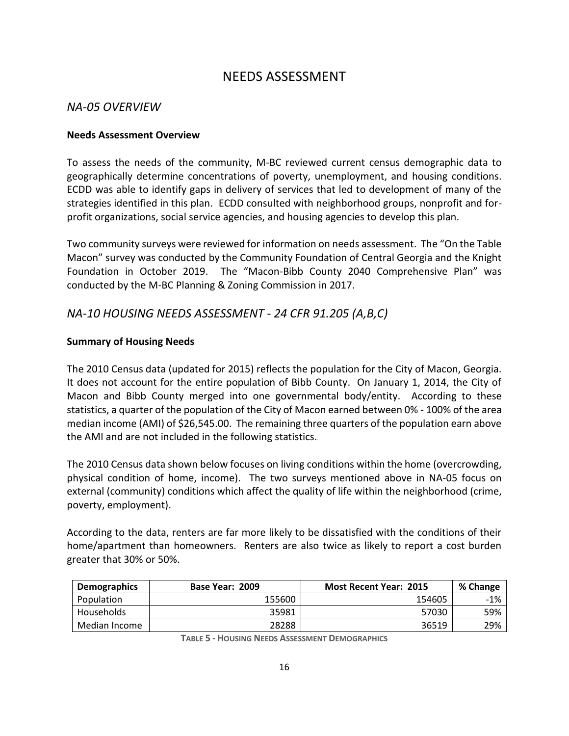# NEEDS ASSESSMENT

# *NA-05 OVERVIEW*

### **Needs Assessment Overview**

To assess the needs of the community, M-BC reviewed current census demographic data to geographically determine concentrations of poverty, unemployment, and housing conditions. ECDD was able to identify gaps in delivery of services that led to development of many of the strategies identified in this plan. ECDD consulted with neighborhood groups, nonprofit and forprofit organizations, social service agencies, and housing agencies to develop this plan.

Two community surveys were reviewed for information on needs assessment. The "On the Table Macon" survey was conducted by the Community Foundation of Central Georgia and the Knight Foundation in October 2019. The "Macon-Bibb County 2040 Comprehensive Plan" was conducted by the M-BC Planning & Zoning Commission in 2017.

# *NA-10 HOUSING NEEDS ASSESSMENT - 24 CFR 91.205 (A,B,C)*

#### **Summary of Housing Needs**

The 2010 Census data (updated for 2015) reflects the population for the City of Macon, Georgia. It does not account for the entire population of Bibb County. On January 1, 2014, the City of Macon and Bibb County merged into one governmental body/entity. According to these statistics, a quarter of the population of the City of Macon earned between 0% - 100% of the area median income (AMI) of \$26,545.00. The remaining three quarters of the population earn above the AMI and are not included in the following statistics.

The 2010 Census data shown below focuses on living conditions within the home (overcrowding, physical condition of home, income). The two surveys mentioned above in NA-05 focus on external (community) conditions which affect the quality of life within the neighborhood (crime, poverty, employment).

According to the data, renters are far more likely to be dissatisfied with the conditions of their home/apartment than homeowners. Renters are also twice as likely to report a cost burden greater that 30% or 50%.

| <b>Demographics</b> | Base Year: 2009 | <b>Most Recent Year: 2015</b> | % Change |
|---------------------|-----------------|-------------------------------|----------|
| Population          | 155600          | 154605                        | $-1\%$   |
| Households          | 35981           | 57030                         | 59%      |
| Median Income       | 28288           | 36519                         | 29%      |

**TABLE 5 - HOUSING NEEDS ASSESSMENT DEMOGRAPHICS**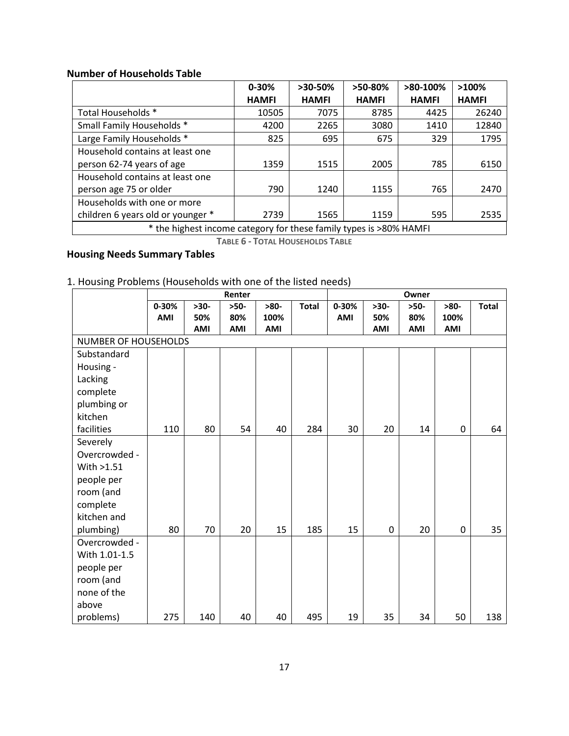# **Number of Households Table**

|                                   | $0 - 30%$                                                          | $>30-50\%$   | $>50-80%$    | $>80-100\%$  | $>100\%$     |  |  |  |  |  |
|-----------------------------------|--------------------------------------------------------------------|--------------|--------------|--------------|--------------|--|--|--|--|--|
|                                   | <b>HAMFI</b>                                                       | <b>HAMFI</b> | <b>HAMFI</b> | <b>HAMFI</b> | <b>HAMFI</b> |  |  |  |  |  |
| Total Households *                | 10505                                                              | 7075         | 8785         | 4425         | 26240        |  |  |  |  |  |
| Small Family Households *         | 4200                                                               | 2265         | 3080         | 1410         | 12840        |  |  |  |  |  |
| Large Family Households *         | 825                                                                | 695          | 675          | 329          | 1795         |  |  |  |  |  |
| Household contains at least one   |                                                                    |              |              |              |              |  |  |  |  |  |
| person 62-74 years of age         | 1359                                                               | 1515         | 2005         | 785          | 6150         |  |  |  |  |  |
| Household contains at least one   |                                                                    |              |              |              |              |  |  |  |  |  |
| person age 75 or older            | 790                                                                | 1240         | 1155         | 765          | 2470         |  |  |  |  |  |
| Households with one or more       |                                                                    |              |              |              |              |  |  |  |  |  |
| children 6 years old or younger * | 2739                                                               | 1565         | 1159         | 595          | 2535         |  |  |  |  |  |
|                                   | * the highest income category for these family types is >80% HAMFI |              |              |              |              |  |  |  |  |  |

**TABLE 6 - TOTAL HOUSEHOLDS TABLE**

# **Housing Needs Summary Tables**

# 1. Housing Problems (Households with one of the listed needs)

|                      | Renter     |            |            |        |              | Owner |            |            |             |              |
|----------------------|------------|------------|------------|--------|--------------|-------|------------|------------|-------------|--------------|
|                      | 0-30%      | $>30-$     | $>50-$     | $>80-$ | <b>Total</b> | 0-30% | $>30-$     | $>50-$     | $>80-$      | <b>Total</b> |
|                      | <b>AMI</b> | 50%        | 80%        | 100%   |              | AMI   | 50%        | 80%        | 100%        |              |
|                      |            | <b>AMI</b> | <b>AMI</b> | AMI    |              |       | <b>AMI</b> | <b>AMI</b> | <b>AMI</b>  |              |
| NUMBER OF HOUSEHOLDS |            |            |            |        |              |       |            |            |             |              |
| Substandard          |            |            |            |        |              |       |            |            |             |              |
| Housing -            |            |            |            |        |              |       |            |            |             |              |
| Lacking              |            |            |            |        |              |       |            |            |             |              |
| complete             |            |            |            |        |              |       |            |            |             |              |
| plumbing or          |            |            |            |        |              |       |            |            |             |              |
| kitchen              |            |            |            |        |              |       |            |            |             |              |
| facilities           | 110        | 80         | 54         | 40     | 284          | 30    | 20         | 14         | $\mathbf 0$ | 64           |
| Severely             |            |            |            |        |              |       |            |            |             |              |
| Overcrowded -        |            |            |            |        |              |       |            |            |             |              |
| With >1.51           |            |            |            |        |              |       |            |            |             |              |
| people per           |            |            |            |        |              |       |            |            |             |              |
| room (and            |            |            |            |        |              |       |            |            |             |              |
| complete             |            |            |            |        |              |       |            |            |             |              |
| kitchen and          |            |            |            |        |              |       |            |            |             |              |
| plumbing)            | 80         | 70         | 20         | 15     | 185          | 15    | 0          | 20         | 0           | 35           |
| Overcrowded -        |            |            |            |        |              |       |            |            |             |              |
| With 1.01-1.5        |            |            |            |        |              |       |            |            |             |              |
| people per           |            |            |            |        |              |       |            |            |             |              |
| room (and            |            |            |            |        |              |       |            |            |             |              |
| none of the          |            |            |            |        |              |       |            |            |             |              |
| above                |            |            |            |        |              |       |            |            |             |              |
| problems)            | 275        | 140        | 40         | 40     | 495          | 19    | 35         | 34         | 50          | 138          |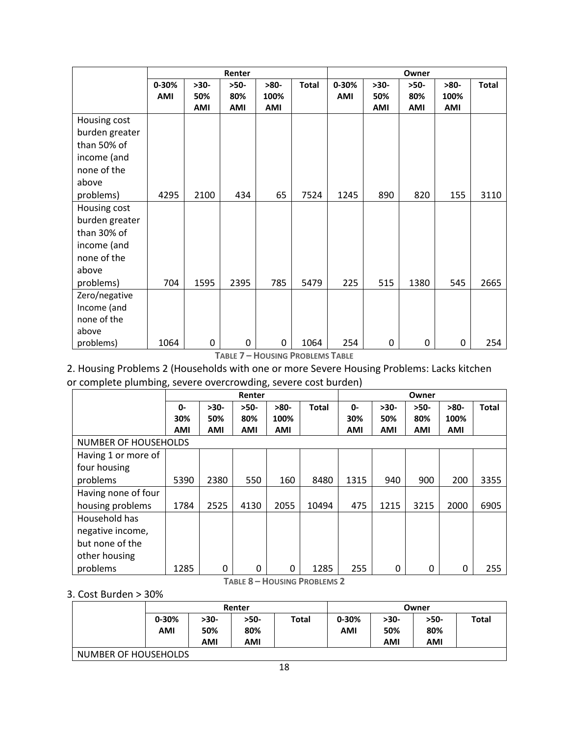|                |            |            | Renter     |            |              | Owner      |            |            |            |              |
|----------------|------------|------------|------------|------------|--------------|------------|------------|------------|------------|--------------|
|                | $0 - 30%$  | $>30-$     | $>50-$     | $>80-$     | <b>Total</b> | 0-30%      | $>30-$     | $>50-$     | $>80-$     | <b>Total</b> |
|                | <b>AMI</b> | 50%        | 80%        | 100%       |              | <b>AMI</b> | 50%        | 80%        | 100%       |              |
|                |            | <b>AMI</b> | <b>AMI</b> | <b>AMI</b> |              |            | <b>AMI</b> | <b>AMI</b> | <b>AMI</b> |              |
| Housing cost   |            |            |            |            |              |            |            |            |            |              |
| burden greater |            |            |            |            |              |            |            |            |            |              |
| than 50% of    |            |            |            |            |              |            |            |            |            |              |
| income (and    |            |            |            |            |              |            |            |            |            |              |
| none of the    |            |            |            |            |              |            |            |            |            |              |
| above          |            |            |            |            |              |            |            |            |            |              |
| problems)      | 4295       | 2100       | 434        | 65         | 7524         | 1245       | 890        | 820        | 155        | 3110         |
| Housing cost   |            |            |            |            |              |            |            |            |            |              |
| burden greater |            |            |            |            |              |            |            |            |            |              |
| than 30% of    |            |            |            |            |              |            |            |            |            |              |
| income (and    |            |            |            |            |              |            |            |            |            |              |
| none of the    |            |            |            |            |              |            |            |            |            |              |
| above          |            |            |            |            |              |            |            |            |            |              |
| problems)      | 704        | 1595       | 2395       | 785        | 5479         | 225        | 515        | 1380       | 545        | 2665         |
| Zero/negative  |            |            |            |            |              |            |            |            |            |              |
| Income (and    |            |            |            |            |              |            |            |            |            |              |
| none of the    |            |            |            |            |              |            |            |            |            |              |
| above          |            |            |            |            |              |            |            |            |            |              |
| problems)      | 1064       | 0          | 0          | 0          | 1064         | 254        | 0          | 0          | 0          | 254          |

**TABLE 7 – HOUSING PROBLEMS TABLE**

2. Housing Problems 2 (Households with one or more Severe Housing Problems: Lacks kitchen or complete plumbing, severe overcrowding, severe cost burden)

|                      |       | Renter |            |            |              |      |            | Owner      |        |              |
|----------------------|-------|--------|------------|------------|--------------|------|------------|------------|--------|--------------|
|                      | $0 -$ | $>30-$ | $>50-$     | $>80-$     | <b>Total</b> | 0-   | $>30-$     | $>50-$     | $>80-$ | <b>Total</b> |
|                      | 30%   | 50%    | 80%        | 100%       |              | 30%  | 50%        | 80%        | 100%   |              |
|                      | AMI   | AMI    | <b>AMI</b> | <b>AMI</b> |              | AMI  | <b>AMI</b> | <b>AMI</b> | AMI    |              |
| NUMBER OF HOUSEHOLDS |       |        |            |            |              |      |            |            |        |              |
| Having 1 or more of  |       |        |            |            |              |      |            |            |        |              |
| four housing         |       |        |            |            |              |      |            |            |        |              |
| problems             | 5390  | 2380   | 550        | 160        | 8480         | 1315 | 940        | 900        | 200    | 3355         |
| Having none of four  |       |        |            |            |              |      |            |            |        |              |
| housing problems     | 1784  | 2525   | 4130       | 2055       | 10494        | 475  | 1215       | 3215       | 2000   | 6905         |
| Household has        |       |        |            |            |              |      |            |            |        |              |
| negative income,     |       |        |            |            |              |      |            |            |        |              |
| but none of the      |       |        |            |            |              |      |            |            |        |              |
| other housing        |       |        |            |            |              |      |            |            |        |              |
| problems             | 1285  | 0      | 0          | 0          | 1285         | 255  | 0          | 0          | 0      | 255          |

**TABLE 8 – HOUSING PROBLEMS 2**

# 3. Cost Burden > 30%

|                      |            |        | Renter |       | Owner      |        |        |              |  |
|----------------------|------------|--------|--------|-------|------------|--------|--------|--------------|--|
|                      | $0 - 30%$  | $>30-$ | $>50-$ | Total | $0 - 30%$  | $>30-$ | $>50-$ | <b>Total</b> |  |
|                      | <b>AMI</b> | 50%    | 80%    |       | <b>AMI</b> | 50%    | 80%    |              |  |
|                      |            | AMI    | AMI    |       |            | AMI    | AMI    |              |  |
| NUMBER OF HOUSEHOLDS |            |        |        |       |            |        |        |              |  |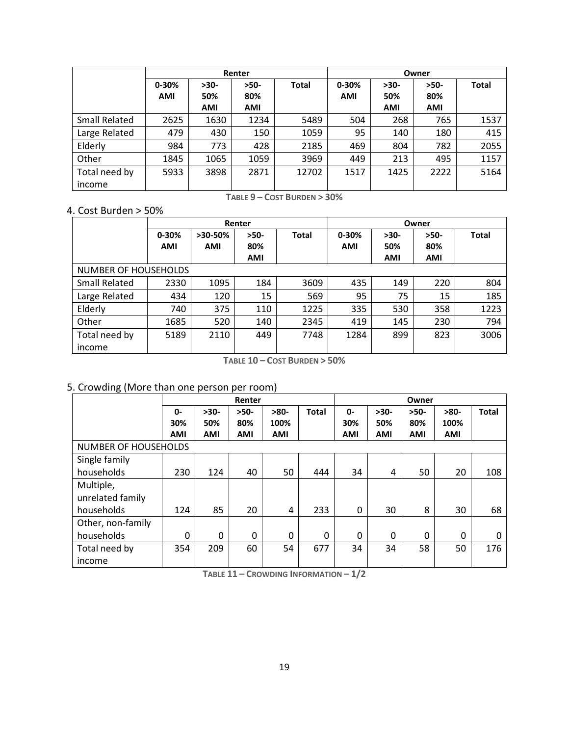|                      |                         |             | Renter        |              | Owner                             |      |               |              |  |
|----------------------|-------------------------|-------------|---------------|--------------|-----------------------------------|------|---------------|--------------|--|
|                      | $0 - 30%$<br><b>AMI</b> | >30-<br>50% | $>50-$<br>80% | <b>Total</b> | $0 - 30%$<br>$>30-$<br>50%<br>AMI |      | $>50-$<br>80% | <b>Total</b> |  |
|                      |                         | AMI         | AMI           |              |                                   | AMI  | <b>AMI</b>    |              |  |
| <b>Small Related</b> | 2625                    | 1630        | 1234          | 5489         | 504                               | 268  | 765           | 1537         |  |
| Large Related        | 479                     | 430         | 150           | 1059         | 95                                | 140  | 180           | 415          |  |
| Elderly              | 984                     | 773         | 428           | 2185         | 469                               | 804  | 782           | 2055         |  |
| Other                | 1845                    | 1065        | 1059          | 3969         | 449                               | 213  | 495           | 1157         |  |
| Total need by        | 5933                    | 3898        | 2871          | 12702        | 1517                              | 1425 | 2222          | 5164         |  |
| income               |                         |             |               |              |                                   |      |               |              |  |

**TABLE 9 – COST BURDEN > 30%**

# 4. Cost Burden > 50%

|                      |            |            | Owner      |              |            |            |            |              |
|----------------------|------------|------------|------------|--------------|------------|------------|------------|--------------|
|                      | $0 - 30%$  | $>30-50%$  | $>50-$     | <b>Total</b> | $0 - 30%$  | $>30-$     | $>50-$     | <b>Total</b> |
|                      | <b>AMI</b> | <b>AMI</b> | 80%        |              | <b>AMI</b> | 50%        | 80%        |              |
|                      |            |            | <b>AMI</b> |              |            | <b>AMI</b> | <b>AMI</b> |              |
| NUMBER OF HOUSEHOLDS |            |            |            |              |            |            |            |              |
| <b>Small Related</b> | 2330       | 1095       | 184        | 3609         | 435        | 149        | 220        | 804          |
| Large Related        | 434        | 120        | 15         | 569          | 95         | 75         | 15         | 185          |
| Elderly              | 740        | 375        | 110        | 1225         | 335        | 530        | 358        | 1223         |
| Other                | 1685       | 520        | 140        | 2345         | 419        | 145        | 230        | 794          |
| Total need by        | 5189       | 2110       | 449        | 7748         | 1284       | 899        | 823        | 3006         |
| income               |            |            |            |              |            |            |            |              |

**TABLE 10 – COST BURDEN > 50%**

# 5. Crowding (More than one person per room)

|                             | Renter     |            |            |              | Owner        |            |            |            |            |              |
|-----------------------------|------------|------------|------------|--------------|--------------|------------|------------|------------|------------|--------------|
|                             | 0-         | $>30-$     | $>50-$     | $>80-$       | <b>Total</b> | 0-         | $>30-$     | $>50-$     | $>80-$     | <b>Total</b> |
|                             | 30%        | 50%        | 80%        | 100%         |              | 30%        | 50%        | 80%        | 100%       |              |
|                             | <b>AMI</b> | <b>AMI</b> | <b>AMI</b> | <b>AMI</b>   |              | <b>AMI</b> | <b>AMI</b> | <b>AMI</b> | <b>AMI</b> |              |
| <b>NUMBER OF HOUSEHOLDS</b> |            |            |            |              |              |            |            |            |            |              |
| Single family               |            |            |            |              |              |            |            |            |            |              |
| households                  | 230        | 124        | 40         | 50           | 444          | 34         | 4          | 50         | 20         | 108          |
| Multiple,                   |            |            |            |              |              |            |            |            |            |              |
| unrelated family            |            |            |            |              |              |            |            |            |            |              |
| households                  | 124        | 85         | 20         | 4            | 233          | 0          | 30         | 8          | 30         | 68           |
| Other, non-family           |            |            |            |              |              |            |            |            |            |              |
| households                  | 0          | 0          | 0          | $\mathbf{0}$ | 0            | 0          | 0          | 0          | 0          | 0            |
| Total need by               | 354        | 209        | 60         | 54           | 677          | 34         | 34         | 58         | 50         | 176          |
| income                      |            |            |            |              |              |            |            |            |            |              |

**TABLE 11 – CROWDING INFORMATION – 1/2**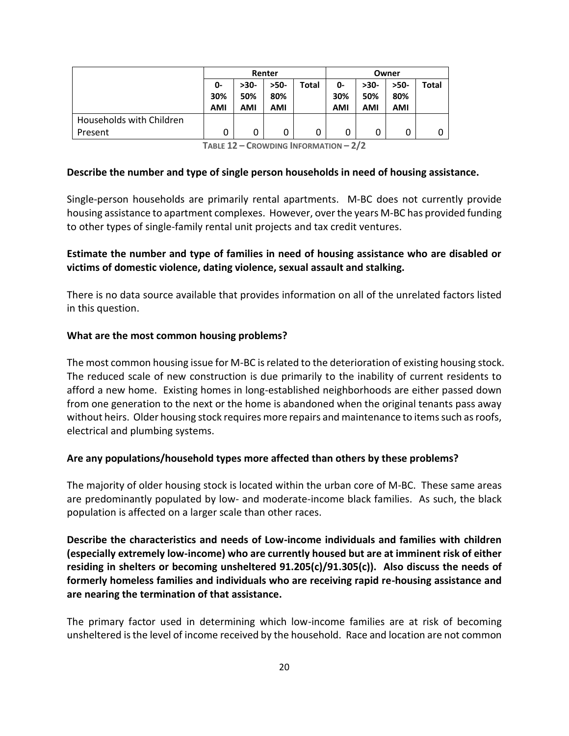|                          |            |        | Renter |       | Owner      |            |        |       |
|--------------------------|------------|--------|--------|-------|------------|------------|--------|-------|
|                          | 0-         | $>30-$ | $>50-$ | Total | 0-         | >30-       | $>50-$ | Total |
|                          | 30%        | 50%    | 80%    |       | 30%        | 50%        | 80%    |       |
|                          | <b>AMI</b> | AMI    | AMI    |       | <b>AMI</b> | <b>AMI</b> | AMI    |       |
| Households with Children |            |        |        |       |            |            |        |       |
| Present                  | 0          | 0      | 0      |       |            |            |        |       |

**TABLE 12 – CROWDING INFORMATION – 2/2**

#### **Describe the number and type of single person households in need of housing assistance.**

Single-person households are primarily rental apartments. M-BC does not currently provide housing assistance to apartment complexes. However, over the years M-BC has provided funding to other types of single-family rental unit projects and tax credit ventures.

### **Estimate the number and type of families in need of housing assistance who are disabled or victims of domestic violence, dating violence, sexual assault and stalking.**

There is no data source available that provides information on all of the unrelated factors listed in this question.

#### **What are the most common housing problems?**

The most common housing issue for M-BC is related to the deterioration of existing housing stock. The reduced scale of new construction is due primarily to the inability of current residents to afford a new home. Existing homes in long-established neighborhoods are either passed down from one generation to the next or the home is abandoned when the original tenants pass away without heirs. Older housing stock requires more repairs and maintenance to items such as roofs, electrical and plumbing systems.

#### **Are any populations/household types more affected than others by these problems?**

The majority of older housing stock is located within the urban core of M-BC. These same areas are predominantly populated by low- and moderate-income black families. As such, the black population is affected on a larger scale than other races.

**Describe the characteristics and needs of Low-income individuals and families with children (especially extremely low-income) who are currently housed but are at imminent risk of either residing in shelters or becoming unsheltered 91.205(c)/91.305(c)). Also discuss the needs of formerly homeless families and individuals who are receiving rapid re-housing assistance and are nearing the termination of that assistance.**

The primary factor used in determining which low-income families are at risk of becoming unsheltered is the level of income received by the household. Race and location are not common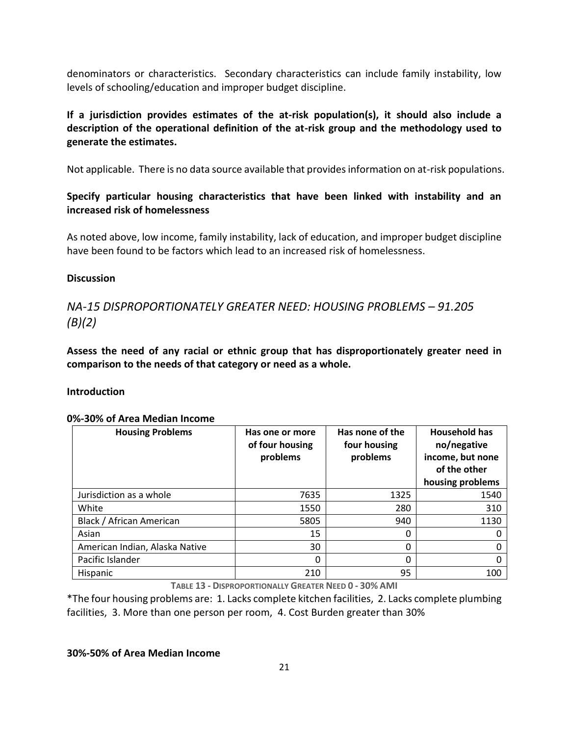denominators or characteristics. Secondary characteristics can include family instability, low levels of schooling/education and improper budget discipline.

# **If a jurisdiction provides estimates of the at-risk population(s), it should also include a description of the operational definition of the at-risk group and the methodology used to generate the estimates.**

Not applicable. There is no data source available that provides information on at-risk populations.

# **Specify particular housing characteristics that have been linked with instability and an increased risk of homelessness**

As noted above, low income, family instability, lack of education, and improper budget discipline have been found to be factors which lead to an increased risk of homelessness.

### **Discussion**

# *NA-15 DISPROPORTIONATELY GREATER NEED: HOUSING PROBLEMS – 91.205 (B)(2)*

**Assess the need of any racial or ethnic group that has disproportionately greater need in comparison to the needs of that category or need as a whole.**

#### **Introduction**

| <b>Housing Problems</b>        | Has one or more<br>of four housing<br>problems | Has none of the<br>four housing<br>problems | <b>Household has</b><br>no/negative<br>income, but none<br>of the other<br>housing problems |
|--------------------------------|------------------------------------------------|---------------------------------------------|---------------------------------------------------------------------------------------------|
| Jurisdiction as a whole        | 7635                                           | 1325                                        | 1540                                                                                        |
| White                          | 1550                                           | 280                                         | 310                                                                                         |
| Black / African American       | 5805                                           | 940                                         | 1130                                                                                        |
| Asian                          | 15                                             | 0                                           |                                                                                             |
| American Indian, Alaska Native | 30                                             | 0                                           |                                                                                             |
| Pacific Islander               | 0                                              | 0                                           |                                                                                             |
| Hispanic                       | 210                                            | 95                                          | 100                                                                                         |

#### **0%-30% of Area Median Income**

**TABLE 13 - DISPROPORTIONALLY GREATER NEED 0 - 30% AMI**

\*The four housing problems are: 1. Lacks complete kitchen facilities, 2. Lacks complete plumbing facilities, 3. More than one person per room, 4. Cost Burden greater than 30%

#### **30%-50% of Area Median Income**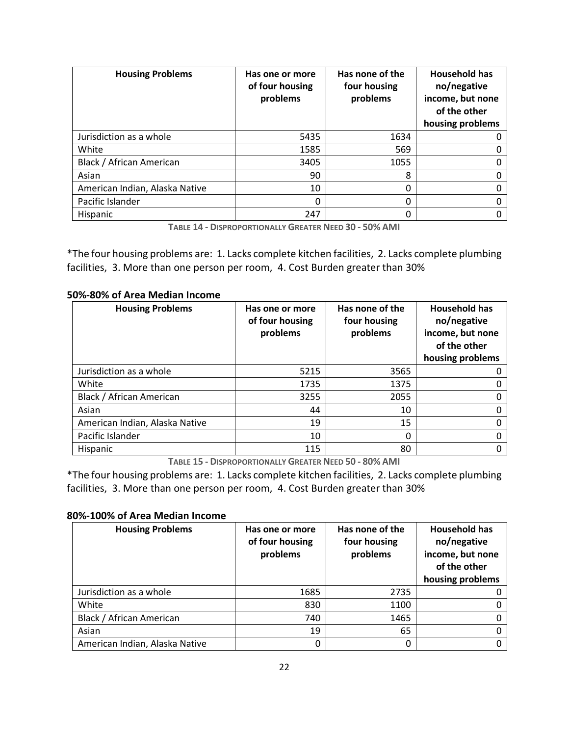| <b>Housing Problems</b>        | Has one or more<br>of four housing<br>problems | Has none of the<br>four housing<br>problems | <b>Household has</b><br>no/negative<br>income, but none<br>of the other<br>housing problems |
|--------------------------------|------------------------------------------------|---------------------------------------------|---------------------------------------------------------------------------------------------|
| Jurisdiction as a whole        | 5435                                           | 1634                                        |                                                                                             |
| White                          | 1585                                           | 569                                         |                                                                                             |
| Black / African American       | 3405                                           | 1055                                        |                                                                                             |
| Asian                          | 90                                             | 8                                           |                                                                                             |
| American Indian, Alaska Native | 10                                             | $\mathbf{0}$                                |                                                                                             |
| Pacific Islander               | 0                                              | 0                                           |                                                                                             |
| Hispanic                       | 247                                            | 0                                           |                                                                                             |

**TABLE 14 - DISPROPORTIONALLY GREATER NEED 30 - 50% AMI**

\*The four housing problems are: 1. Lacks complete kitchen facilities, 2. Lacks complete plumbing facilities, 3. More than one person per room, 4. Cost Burden greater than 30%

| <b>Housing Problems</b>        | Has one or more<br>of four housing<br>problems | Has none of the<br>four housing<br>problems | <b>Household has</b><br>no/negative<br>income, but none<br>of the other<br>housing problems |  |
|--------------------------------|------------------------------------------------|---------------------------------------------|---------------------------------------------------------------------------------------------|--|
| Jurisdiction as a whole        | 5215                                           | 3565                                        | 0                                                                                           |  |
| White                          | 1735                                           | 1375                                        | 0                                                                                           |  |
| Black / African American       | 3255                                           | 2055                                        | 0                                                                                           |  |
| Asian                          | 44                                             | 10                                          | 0                                                                                           |  |
| American Indian, Alaska Native | 19                                             | 15                                          | 0                                                                                           |  |
| Pacific Islander               | 10                                             | 0                                           | 0                                                                                           |  |
| Hispanic                       | 115                                            | 80                                          | 0                                                                                           |  |

#### **50%-80% of Area Median Income**

**TABLE 15 - DISPROPORTIONALLY GREATER NEED 50 - 80% AMI**

\*The four housing problems are: 1. Lacks complete kitchen facilities, 2. Lacks complete plumbing facilities, 3. More than one person per room, 4. Cost Burden greater than 30%

#### **80%-100% of Area Median Income**

| <b>Housing Problems</b>        | Has one or more<br>of four housing<br>problems | Has none of the<br>four housing<br>problems | <b>Household has</b><br>no/negative<br>income, but none<br>of the other<br>housing problems |  |
|--------------------------------|------------------------------------------------|---------------------------------------------|---------------------------------------------------------------------------------------------|--|
| Jurisdiction as a whole        | 1685                                           | 2735                                        |                                                                                             |  |
| White                          | 830                                            | 1100                                        |                                                                                             |  |
| Black / African American       | 740                                            | 1465                                        |                                                                                             |  |
| Asian                          | 19                                             | 65                                          |                                                                                             |  |
| American Indian, Alaska Native | 0                                              | 0                                           |                                                                                             |  |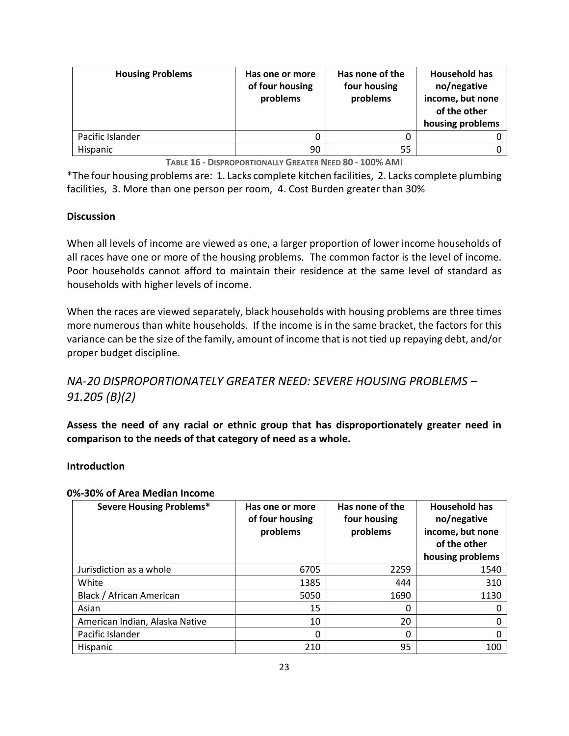| <b>Housing Problems</b> | Has one or more<br>of four housing<br>problems | Has none of the<br>four housing<br>problems | Household has<br>no/negative<br>income, but none<br>of the other<br>housing problems |
|-------------------------|------------------------------------------------|---------------------------------------------|--------------------------------------------------------------------------------------|
| Pacific Islander        |                                                |                                             |                                                                                      |
| Hispanic                | 90                                             | 55                                          |                                                                                      |

**TABLE 16 - DISPROPORTIONALLY GREATER NEED 80 - 100% AMI**

\*The four housing problems are: 1. Lacks complete kitchen facilities, 2. Lacks complete plumbing facilities, 3. More than one person per room, 4. Cost Burden greater than 30%

#### **Discussion**

When all levels of income are viewed as one, a larger proportion of lower income households of all races have one or more of the housing problems. The common factor is the level of income. Poor households cannot afford to maintain their residence at the same level of standard as households with higher levels of income.

When the races are viewed separately, black households with housing problems are three times more numerous than white households. If the income is in the same bracket, the factors for this variance can be the size of the family, amount of income that is not tied up repaying debt, and/or proper budget discipline.

# *NA-20 DISPROPORTIONATELY GREATER NEED: SEVERE HOUSING PROBLEMS – 91.205 (B)(2)*

**Assess the need of any racial or ethnic group that has disproportionately greater need in comparison to the needs of that category of need as a whole.**

#### **Introduction**

**0%-30% of Area Median Income**

| <b>Severe Housing Problems*</b> | Has one or more<br>of four housing<br>problems | Has none of the<br>four housing<br>problems | <b>Household has</b><br>no/negative<br>income, but none<br>of the other<br>housing problems |
|---------------------------------|------------------------------------------------|---------------------------------------------|---------------------------------------------------------------------------------------------|
| Jurisdiction as a whole         | 6705                                           | 2259                                        | 1540                                                                                        |
| White                           | 1385                                           | 444                                         | 310                                                                                         |
| Black / African American        | 5050                                           | 1690                                        | 1130                                                                                        |
| Asian                           | 15                                             | 0                                           |                                                                                             |
| American Indian, Alaska Native  | 10                                             | 20                                          |                                                                                             |
| Pacific Islander                | 0                                              | 0                                           |                                                                                             |
| Hispanic                        | 210                                            | 95                                          | 100                                                                                         |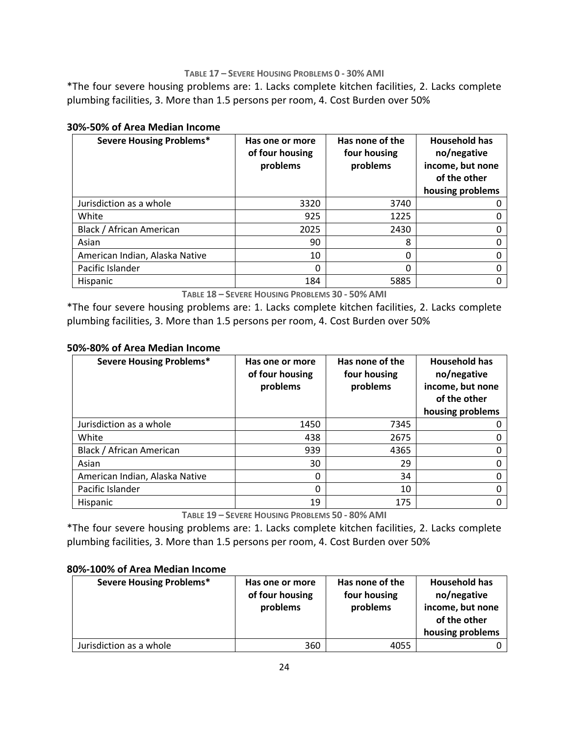**TABLE 17 – SEVERE HOUSING PROBLEMS 0 - 30% AMI**

\*The four severe housing problems are: 1. Lacks complete kitchen facilities, 2. Lacks complete plumbing facilities, 3. More than 1.5 persons per room, 4. Cost Burden over 50%

| <b>Severe Housing Problems*</b> | Has one or more<br>of four housing<br>problems | Has none of the<br>four housing<br>problems | <b>Household has</b><br>no/negative<br>income, but none<br>of the other<br>housing problems |
|---------------------------------|------------------------------------------------|---------------------------------------------|---------------------------------------------------------------------------------------------|
| Jurisdiction as a whole         | 3320                                           | 3740                                        | 0                                                                                           |
| White                           | 925                                            | 1225                                        | 0                                                                                           |
| Black / African American        | 2025                                           | 2430                                        | 0                                                                                           |
| Asian                           | 90                                             | 8                                           | 0                                                                                           |
| American Indian, Alaska Native  | 10                                             | 0                                           | $\Omega$                                                                                    |
| Pacific Islander                | 0                                              | 0                                           | $\Omega$                                                                                    |
| Hispanic                        | 184                                            | 5885                                        | 0                                                                                           |

### **30%-50% of Area Median Income**

**TABLE 18 – SEVERE HOUSING PROBLEMS 30 - 50% AMI**

\*The four severe housing problems are: 1. Lacks complete kitchen facilities, 2. Lacks complete plumbing facilities, 3. More than 1.5 persons per room, 4. Cost Burden over 50%

#### **50%-80% of Area Median Income**

| <b>Severe Housing Problems*</b> | Has one or more<br>of four housing<br>problems | Has none of the<br>four housing<br>problems | <b>Household has</b><br>no/negative<br>income, but none<br>of the other<br>housing problems |
|---------------------------------|------------------------------------------------|---------------------------------------------|---------------------------------------------------------------------------------------------|
| Jurisdiction as a whole         | 1450                                           | 7345                                        | 0                                                                                           |
| White                           | 438                                            | 2675                                        | 0                                                                                           |
| Black / African American        | 939                                            | 4365                                        | 0                                                                                           |
| Asian                           | 30                                             | 29                                          | 0                                                                                           |
| American Indian, Alaska Native  | 0                                              | 34                                          | 0                                                                                           |
| Pacific Islander                | 0                                              | 10                                          | 0                                                                                           |
| Hispanic                        | 19                                             | 175                                         | 0                                                                                           |

**TABLE 19 – SEVERE HOUSING PROBLEMS 50 - 80% AMI**

\*The four severe housing problems are: 1. Lacks complete kitchen facilities, 2. Lacks complete plumbing facilities, 3. More than 1.5 persons per room, 4. Cost Burden over 50%

#### **80%-100% of Area Median Income**

| <b>Severe Housing Problems*</b> | Has one or more<br>of four housing<br>problems | Has none of the<br>four housing<br>problems | <b>Household has</b><br>no/negative<br>income, but none<br>of the other<br>housing problems |
|---------------------------------|------------------------------------------------|---------------------------------------------|---------------------------------------------------------------------------------------------|
| Jurisdiction as a whole         | 360                                            | 4055                                        |                                                                                             |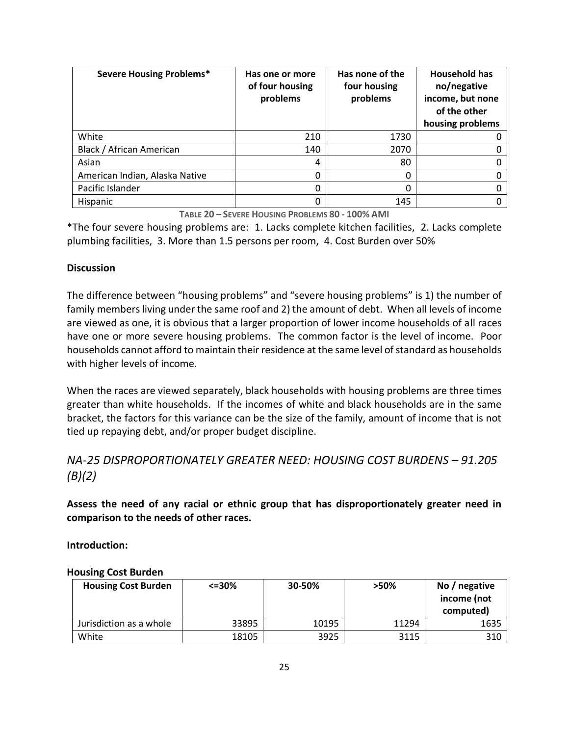| <b>Severe Housing Problems*</b> | Has one or more<br>of four housing<br>problems | Has none of the<br>four housing<br>problems | <b>Household has</b><br>no/negative<br>income, but none<br>of the other<br>housing problems |  |
|---------------------------------|------------------------------------------------|---------------------------------------------|---------------------------------------------------------------------------------------------|--|
| White                           | 210                                            | 1730                                        |                                                                                             |  |
| Black / African American        | 140                                            | 2070                                        |                                                                                             |  |
| Asian                           | 4                                              | 80                                          |                                                                                             |  |
| American Indian, Alaska Native  | 0                                              | 0                                           |                                                                                             |  |
| Pacific Islander                | 0                                              | 0                                           |                                                                                             |  |
| Hispanic                        | 0                                              | 145                                         |                                                                                             |  |

**TABLE 20 – SEVERE HOUSING PROBLEMS 80 - 100% AMI**

\*The four severe housing problems are: 1. Lacks complete kitchen facilities, 2. Lacks complete plumbing facilities, 3. More than 1.5 persons per room, 4. Cost Burden over 50%

#### **Discussion**

The difference between "housing problems" and "severe housing problems" is 1) the number of family members living under the same roof and 2) the amount of debt. When all levels of income are viewed as one, it is obvious that a larger proportion of lower income households of all races have one or more severe housing problems. The common factor is the level of income. Poor households cannot afford to maintain their residence at the same level of standard as households with higher levels of income.

When the races are viewed separately, black households with housing problems are three times greater than white households. If the incomes of white and black households are in the same bracket, the factors for this variance can be the size of the family, amount of income that is not tied up repaying debt, and/or proper budget discipline.

# *NA-25 DISPROPORTIONATELY GREATER NEED: HOUSING COST BURDENS – 91.205 (B)(2)*

**Assess the need of any racial or ethnic group that has disproportionately greater need in comparison to the needs of other races.**

**Introduction:** 

#### **Housing Cost Burden**

| <b>Housing Cost Burden</b> | $\leq$ = 30% | 30-50% | $>50\%$ | No / negative<br>income (not<br>computed) |  |
|----------------------------|--------------|--------|---------|-------------------------------------------|--|
| Jurisdiction as a whole    | 33895        | 10195  | 11294   | 1635                                      |  |
| White                      | 18105        | 3925   | 3115    | 310                                       |  |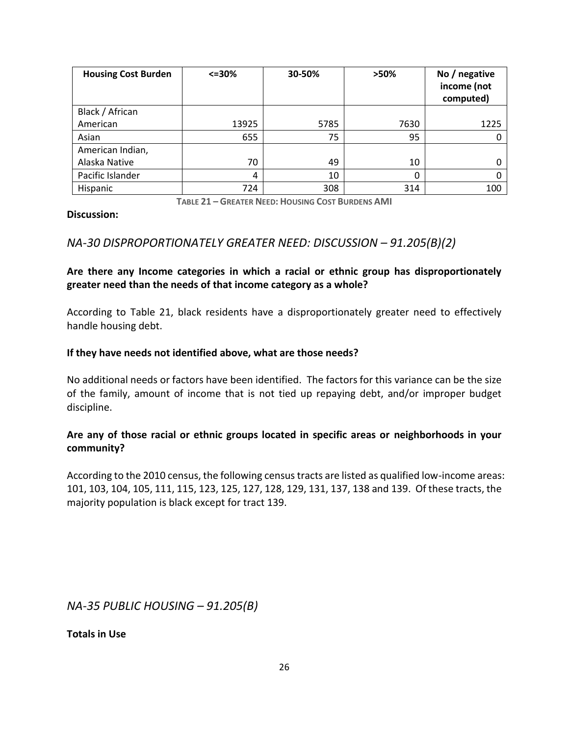| <b>Housing Cost Burden</b> | $<=$ 30% | 30-50% | >50% | No / negative<br>income (not<br>computed) |
|----------------------------|----------|--------|------|-------------------------------------------|
| Black / African            |          |        |      |                                           |
| American                   | 13925    | 5785   | 7630 | 1225                                      |
| Asian                      | 655      | 75     | 95   |                                           |
| American Indian,           |          |        |      |                                           |
| Alaska Native              | 70       | 49     | 10   |                                           |
| Pacific Islander           | 4        | 10     | 0    |                                           |
| Hispanic                   | 724      | 308    | 314  | 100                                       |

**TABLE 21 – GREATER NEED: HOUSING COST BURDENS AMI**

#### **Discussion:**

### *NA-30 DISPROPORTIONATELY GREATER NEED: DISCUSSION – 91.205(B)(2)*

### **Are there any Income categories in which a racial or ethnic group has disproportionately greater need than the needs of that income category as a whole?**

According to Table 21, black residents have a disproportionately greater need to effectively handle housing debt.

#### **If they have needs not identified above, what are those needs?**

No additional needs or factors have been identified. The factors for this variance can be the size of the family, amount of income that is not tied up repaying debt, and/or improper budget discipline.

### **Are any of those racial or ethnic groups located in specific areas or neighborhoods in your community?**

According to the 2010 census, the following census tracts are listed as qualified low-income areas: 101, 103, 104, 105, 111, 115, 123, 125, 127, 128, 129, 131, 137, 138 and 139. Of these tracts, the majority population is black except for tract 139.

*NA-35 PUBLIC HOUSING – 91.205(B)*

**Totals in Use**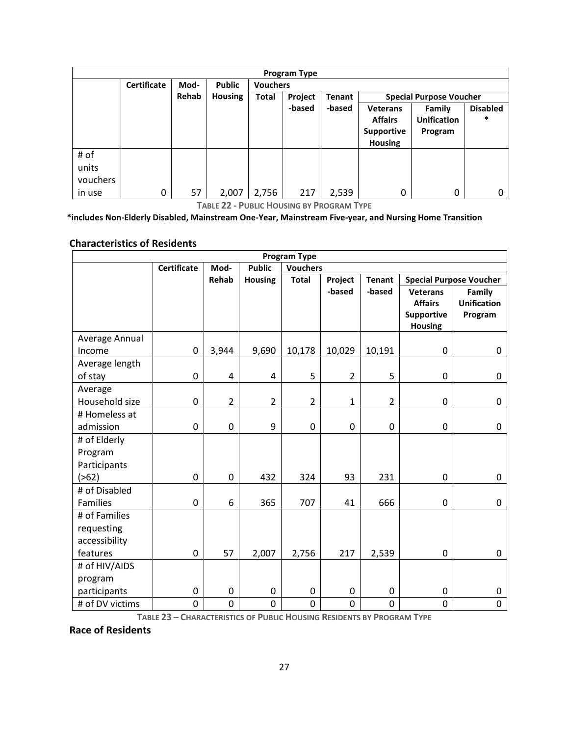| <b>Program Type</b>                 |                    |       |                |                 |                                                            |        |                                                                          |                                         |                           |
|-------------------------------------|--------------------|-------|----------------|-----------------|------------------------------------------------------------|--------|--------------------------------------------------------------------------|-----------------------------------------|---------------------------|
|                                     | <b>Certificate</b> | Mod-  | <b>Public</b>  | <b>Vouchers</b> |                                                            |        |                                                                          |                                         |                           |
|                                     |                    | Rehab | <b>Housing</b> | <b>Total</b>    | Project<br><b>Special Purpose Voucher</b><br><b>Tenant</b> |        |                                                                          |                                         |                           |
|                                     |                    |       |                |                 | -based                                                     | -based | <b>Veterans</b><br><b>Affairs</b><br><b>Supportive</b><br><b>Housing</b> | Family<br><b>Unification</b><br>Program | <b>Disabled</b><br>$\ast$ |
| # of<br>units<br>vouchers<br>in use | 0                  | 57    | 2,007          | 2,756           | 217                                                        | 2,539  | 0                                                                        | 0                                       | 0                         |

**TABLE 22 - PUBLIC HOUSING BY PROGRAM TYPE**

**\*includes Non-Elderly Disabled, Mainstream One-Year, Mainstream Five-year, and Nursing Home Transition**

#### **Characteristics of Residents**

| <b>Program Type</b> |                    |                |                |                 |                |                |                                                                   |                                         |
|---------------------|--------------------|----------------|----------------|-----------------|----------------|----------------|-------------------------------------------------------------------|-----------------------------------------|
|                     | <b>Certificate</b> | Mod-           | <b>Public</b>  | <b>Vouchers</b> |                |                |                                                                   |                                         |
|                     |                    | <b>Rehab</b>   | <b>Housing</b> | <b>Total</b>    | Project        | <b>Tenant</b>  |                                                                   | <b>Special Purpose Voucher</b>          |
|                     |                    |                |                |                 | -based         | -based         | <b>Veterans</b><br><b>Affairs</b><br>Supportive<br><b>Housing</b> | Family<br><b>Unification</b><br>Program |
| Average Annual      |                    |                |                |                 |                |                |                                                                   |                                         |
| Income              | 0                  | 3,944          | 9,690          | 10,178          | 10,029         | 10,191         | 0                                                                 | 0                                       |
| Average length      |                    |                |                |                 |                |                |                                                                   |                                         |
| of stay             | 0                  | 4              | 4              | 5               | $\overline{2}$ | 5              | 0                                                                 | 0                                       |
| Average             |                    |                |                |                 |                |                |                                                                   |                                         |
| Household size      | 0                  | $\overline{2}$ | $\overline{2}$ | $\overline{2}$  | 1              | $\overline{2}$ | 0                                                                 | 0                                       |
| # Homeless at       |                    |                |                |                 |                |                |                                                                   |                                         |
| admission           | 0                  | $\mathbf 0$    | 9              | $\mathbf 0$     | $\mathbf 0$    | $\mathbf 0$    | 0                                                                 | 0                                       |
| # of Elderly        |                    |                |                |                 |                |                |                                                                   |                                         |
| Program             |                    |                |                |                 |                |                |                                                                   |                                         |
| Participants        |                    |                |                |                 |                |                |                                                                   |                                         |
| (562)               | 0                  | $\mathbf 0$    | 432            | 324             | 93             | 231            | 0                                                                 | 0                                       |
| # of Disabled       |                    |                |                |                 |                |                |                                                                   |                                         |
| Families            | 0                  | 6              | 365            | 707             | 41             | 666            | 0                                                                 | 0                                       |
| # of Families       |                    |                |                |                 |                |                |                                                                   |                                         |
| requesting          |                    |                |                |                 |                |                |                                                                   |                                         |
| accessibility       |                    |                |                |                 |                |                |                                                                   |                                         |
| features            | 0                  | 57             | 2,007          | 2,756           | 217            | 2,539          | 0                                                                 | 0                                       |
| # of HIV/AIDS       |                    |                |                |                 |                |                |                                                                   |                                         |
| program             |                    |                |                |                 |                |                |                                                                   |                                         |
| participants        | 0                  | $\pmb{0}$      | $\pmb{0}$      | 0               | 0              | 0              | 0                                                                 | 0                                       |
| # of DV victims     | 0                  | 0              | $\mathbf 0$    | 0               | 0              | $\mathbf 0$    | 0                                                                 | 0                                       |

**TABLE 23 – CHARACTERISTICS OF PUBLIC HOUSING RESIDENTS BY PROGRAM TYPE** 

### **Race of Residents**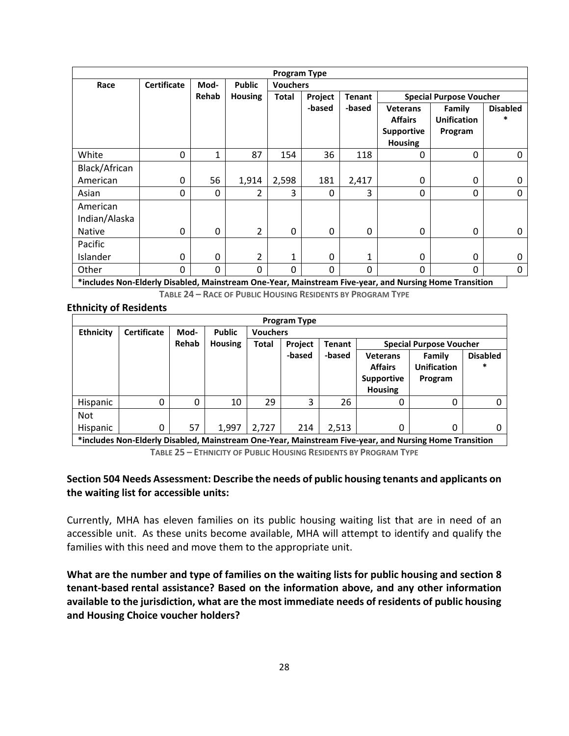| Program Type                                                                                           |                    |       |                |                 |          |               |                                   |                                |                 |
|--------------------------------------------------------------------------------------------------------|--------------------|-------|----------------|-----------------|----------|---------------|-----------------------------------|--------------------------------|-----------------|
| Race                                                                                                   | <b>Certificate</b> | Mod-  | <b>Public</b>  | <b>Vouchers</b> |          |               |                                   |                                |                 |
|                                                                                                        |                    | Rehab | <b>Housing</b> | <b>Total</b>    | Project  | <b>Tenant</b> |                                   | <b>Special Purpose Voucher</b> |                 |
|                                                                                                        |                    |       |                |                 | -based   | -based        | <b>Veterans</b><br><b>Affairs</b> | Family<br><b>Unification</b>   | <b>Disabled</b> |
|                                                                                                        |                    |       |                |                 |          |               | <b>Supportive</b>                 | Program                        |                 |
|                                                                                                        |                    |       |                |                 |          |               | <b>Housing</b>                    |                                |                 |
| White                                                                                                  | 0                  | 1     | 87             | 154             | 36       | 118           | $\Omega$                          | 0                              | 0               |
| Black/African                                                                                          |                    |       |                |                 |          |               |                                   |                                |                 |
| American                                                                                               | 0                  | 56    | 1,914          | 2,598           | 181      | 2,417         | $\Omega$                          | 0                              | 0               |
| Asian                                                                                                  | 0                  | 0     | 2              | 3               | 0        | 3             | 0                                 | 0                              | 0               |
| American                                                                                               |                    |       |                |                 |          |               |                                   |                                |                 |
| Indian/Alaska                                                                                          |                    |       |                |                 |          |               |                                   |                                |                 |
| <b>Native</b>                                                                                          | 0                  | 0     | 2              | 0               | 0        | 0             | 0                                 | 0                              | 0               |
| Pacific                                                                                                |                    |       |                |                 |          |               |                                   |                                |                 |
| <b>Islander</b>                                                                                        | 0                  | 0     | $\overline{2}$ | 1               | 0        | $\mathbf{1}$  | 0                                 | 0                              | 0               |
| Other                                                                                                  | 0                  | 0     | $\Omega$       | $\Omega$        | $\Omega$ | $\Omega$      | $\Omega$                          | 0                              | 0               |
| *includes Non-Elderly Disabled, Mainstream One-Year, Mainstream Five-year, and Nursing Home Transition |                    |       |                |                 |          |               |                                   |                                |                 |

**TABLE 24 – RACE OF PUBLIC HOUSING RESIDENTS BY PROGRAM TYPE**

**Ethnicity of Residents**

| <b>Program Type</b> |                    |       |                |                 |         |        |                                                                                                        |                                         |                           |
|---------------------|--------------------|-------|----------------|-----------------|---------|--------|--------------------------------------------------------------------------------------------------------|-----------------------------------------|---------------------------|
| <b>Ethnicity</b>    | <b>Certificate</b> | Mod-  | <b>Public</b>  | <b>Vouchers</b> |         |        |                                                                                                        |                                         |                           |
|                     |                    | Rehab | <b>Housing</b> | Total           | Project | Tenant |                                                                                                        | <b>Special Purpose Voucher</b>          |                           |
|                     |                    |       |                |                 | -based  | -based | <b>Veterans</b><br><b>Affairs</b><br><b>Supportive</b><br><b>Housing</b>                               | Family<br><b>Unification</b><br>Program | <b>Disabled</b><br>$\ast$ |
| <b>Hispanic</b>     | 0                  | 0     | 10             | 29              | 3       | 26     | 0                                                                                                      | 0                                       | 0                         |
| <b>Not</b>          |                    |       |                |                 |         |        |                                                                                                        |                                         |                           |
| Hispanic            | 0                  | 57    | 1,997          | 2,727           | 214     | 2,513  | 0                                                                                                      | 0                                       |                           |
|                     |                    |       |                |                 |         |        | *includes Non-Elderly Disabled, Mainstream One-Year, Mainstream Five-year, and Nursing Home Transition |                                         |                           |

**TABLE 25 – ETHNICITY OF PUBLIC HOUSING RESIDENTS BY PROGRAM TYPE**

#### **Section 504 Needs Assessment: Describe the needs of public housing tenants and applicants on the waiting list for accessible units:**

Currently, MHA has eleven families on its public housing waiting list that are in need of an accessible unit. As these units become available, MHA will attempt to identify and qualify the families with this need and move them to the appropriate unit.

**What are the number and type of families on the waiting lists for public housing and section 8 tenant-based rental assistance? Based on the information above, and any other information available to the jurisdiction, what are the most immediate needs of residents of public housing and Housing Choice voucher holders?**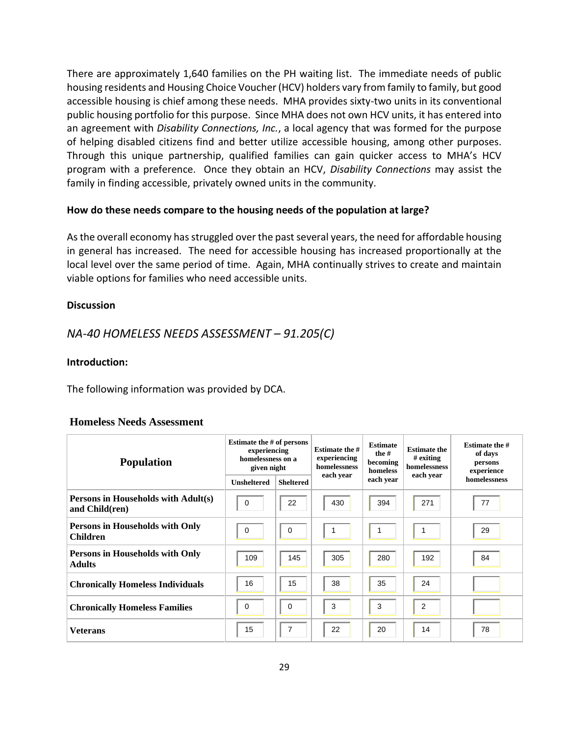There are approximately 1,640 families on the PH waiting list. The immediate needs of public housing residents and Housing Choice Voucher (HCV) holders vary from family to family, but good accessible housing is chief among these needs. MHA provides sixty-two units in its conventional public housing portfolio for this purpose. Since MHA does not own HCV units, it has entered into an agreement with *Disability Connections, Inc.*, a local agency that was formed for the purpose of helping disabled citizens find and better utilize accessible housing, among other purposes. Through this unique partnership, qualified families can gain quicker access to MHA's HCV program with a preference. Once they obtain an HCV, *Disability Connections* may assist the family in finding accessible, privately owned units in the community.

#### **How do these needs compare to the housing needs of the population at large?**

As the overall economy has struggled over the past several years, the need for affordable housing in general has increased. The need for accessible housing has increased proportionally at the local level over the same period of time. Again, MHA continually strives to create and maintain viable options for families who need accessible units.

#### **Discussion**

### *NA-40 HOMELESS NEEDS ASSESSMENT – 91.205(C)*

#### **Introduction:**

The following information was provided by DCA.

|  |  | <b>Homeless Needs Assessment</b> |
|--|--|----------------------------------|
|--|--|----------------------------------|

| <b>Population</b>                                         | <b>Estimate the # of persons</b><br>experiencing<br>homelessness on a<br>given night |                  | <b>Estimate the #</b><br>experiencing<br>homelessness<br>each year | <b>Estimate</b><br>the #<br>becoming<br>homeless | <b>Estimate the</b><br>$#$ exiting<br>homelessness<br>each year | <b>Estimate the #</b><br>of days<br>persons<br>experience |  |
|-----------------------------------------------------------|--------------------------------------------------------------------------------------|------------------|--------------------------------------------------------------------|--------------------------------------------------|-----------------------------------------------------------------|-----------------------------------------------------------|--|
|                                                           | <b>Unsheltered</b>                                                                   | <b>Sheltered</b> |                                                                    | each year                                        |                                                                 | homelessness                                              |  |
| Persons in Households with Adult(s)<br>and Child(ren)     | $\Omega$                                                                             | 22               | 430                                                                | 394                                              | 271                                                             | 77                                                        |  |
| <b>Persons in Households with Only</b><br><b>Children</b> | $\Omega$                                                                             | $\Omega$         |                                                                    |                                                  |                                                                 | 29                                                        |  |
| Persons in Households with Only<br><b>Adults</b>          | 109                                                                                  | 145              | 305                                                                | 280                                              | 192                                                             | 84                                                        |  |
| <b>Chronically Homeless Individuals</b>                   | 16                                                                                   | 15               | 38                                                                 | 35                                               | 24                                                              |                                                           |  |
| <b>Chronically Homeless Families</b>                      | $\Omega$                                                                             | $\mathbf 0$      | 3                                                                  | 3                                                | $\overline{2}$                                                  |                                                           |  |
| <b>Veterans</b>                                           | 15                                                                                   | $\overline{7}$   | 22                                                                 | 20                                               | 14                                                              | 78                                                        |  |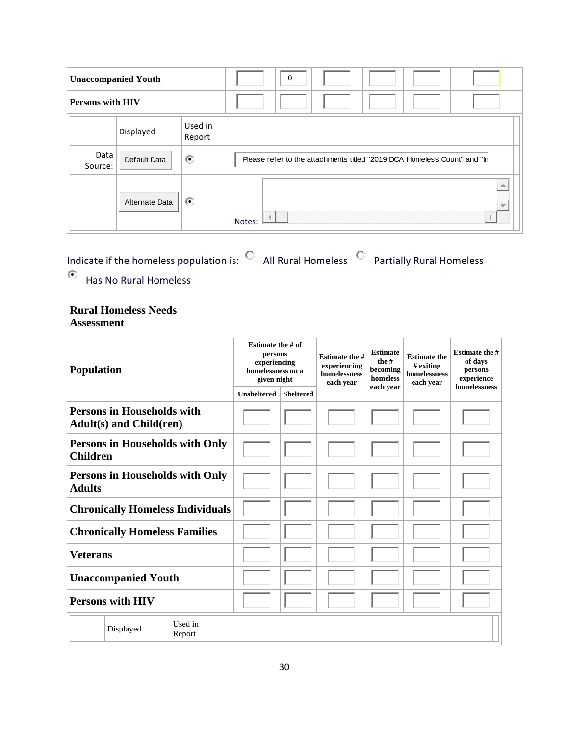|                         | <b>Unaccompanied Youth</b> |                   | $\mathbf 0$                                                              |      |
|-------------------------|----------------------------|-------------------|--------------------------------------------------------------------------|------|
| <b>Persons with HIV</b> |                            |                   |                                                                          |      |
|                         | Displayed                  | Used in<br>Report |                                                                          |      |
| Data<br>Source:         | Default Data               | ⊙                 | Please refer to the attachments titled "2019 DCA Homeless Count" and "Ir |      |
|                         | Alternate Data             | ⊙                 | Þ<br>Notes:                                                              | TEP. |

Indicate if the homeless population is:  $\textcircled{S}$  All Rural Homeless  $\textcircled{S}$  Partially Rural Homeless

Has No Rural Homeless

#### **Rural Homeless Needs Assessment**

| <b>Population</b>                                                   |                    | Estimate the # of<br>persons<br>experiencing<br>homelessness on a<br>given night |  | <b>Estimate</b><br>the #<br>becoming<br>homeless<br>each year | <b>Estimate the</b><br># exiting<br>homelessness<br>each vear | <b>Estimate the #</b><br>of days<br>persons<br>experience<br>homelessness |
|---------------------------------------------------------------------|--------------------|----------------------------------------------------------------------------------|--|---------------------------------------------------------------|---------------------------------------------------------------|---------------------------------------------------------------------------|
|                                                                     | <b>Unsheltered</b> | <b>Sheltered</b>                                                                 |  |                                                               |                                                               |                                                                           |
| <b>Persons in Households with</b><br><b>Adult(s)</b> and Child(ren) |                    |                                                                                  |  |                                                               |                                                               |                                                                           |
| <b>Persons in Households with Only</b><br><b>Children</b>           |                    |                                                                                  |  |                                                               |                                                               |                                                                           |
| <b>Persons in Households with Only</b><br><b>Adults</b>             |                    |                                                                                  |  |                                                               |                                                               |                                                                           |
| <b>Chronically Homeless Individuals</b>                             |                    |                                                                                  |  |                                                               |                                                               |                                                                           |
| <b>Chronically Homeless Families</b>                                |                    |                                                                                  |  |                                                               |                                                               |                                                                           |
| <b>Veterans</b>                                                     |                    |                                                                                  |  |                                                               |                                                               |                                                                           |
| <b>Unaccompanied Youth</b>                                          |                    |                                                                                  |  |                                                               |                                                               |                                                                           |
| <b>Persons with HIV</b>                                             |                    |                                                                                  |  |                                                               |                                                               |                                                                           |
| Used in<br>Displayed<br>Report                                      |                    |                                                                                  |  |                                                               |                                                               |                                                                           |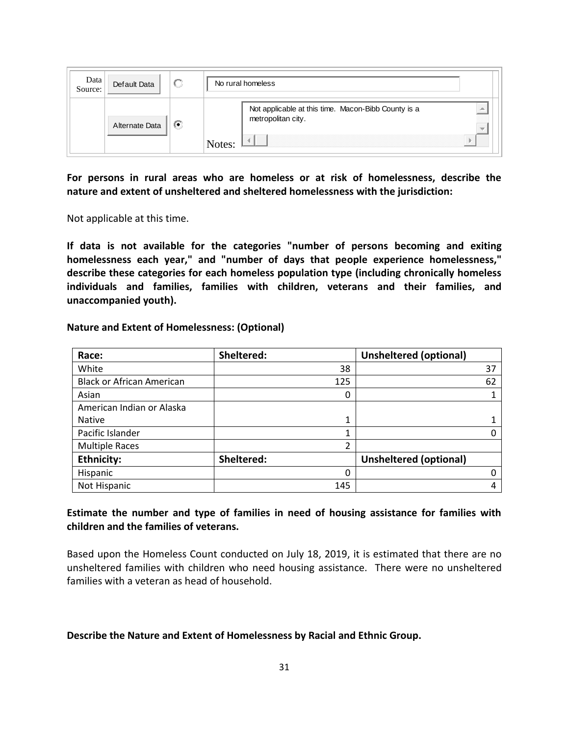| Data<br>Source: | Default Data   |   | No rural homeless                                                         |  |  |  |
|-----------------|----------------|---|---------------------------------------------------------------------------|--|--|--|
|                 | Alternate Data | œ | Not applicable at this time. Macon-Bibb County is a<br>metropolitan city. |  |  |  |
|                 |                |   | Notes:                                                                    |  |  |  |

**For persons in rural areas who are homeless or at risk of homelessness, describe the nature and extent of unsheltered and sheltered homelessness with the jurisdiction:**

Not applicable at this time.

**If data is not available for the categories "number of persons becoming and exiting homelessness each year," and "number of days that people experience homelessness," describe these categories for each homeless population type (including chronically homeless individuals and families, families with children, veterans and their families, and unaccompanied youth).**

| <b>Nature and Extent of Homelessness: (Optional)</b> |  |
|------------------------------------------------------|--|
|------------------------------------------------------|--|

| Race:                            | Sheltered: | <b>Unsheltered (optional)</b> |
|----------------------------------|------------|-------------------------------|
| White                            | 38         | 37                            |
| <b>Black or African American</b> | 125        | 62                            |
| Asian                            | 0          |                               |
| American Indian or Alaska        |            |                               |
| <b>Native</b>                    |            |                               |
| Pacific Islander                 |            |                               |
| <b>Multiple Races</b>            | າ          |                               |
| <b>Ethnicity:</b>                | Sheltered: | <b>Unsheltered (optional)</b> |
| Hispanic                         | $\Omega$   |                               |
| Not Hispanic                     | 145        | 4                             |

# **Estimate the number and type of families in need of housing assistance for families with children and the families of veterans.**

Based upon the Homeless Count conducted on July 18, 2019, it is estimated that there are no unsheltered families with children who need housing assistance. There were no unsheltered families with a veteran as head of household.

#### **Describe the Nature and Extent of Homelessness by Racial and Ethnic Group.**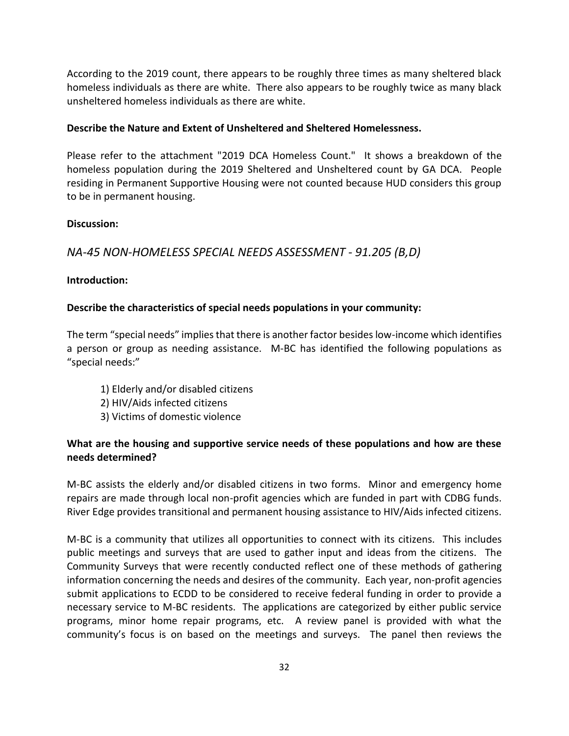According to the 2019 count, there appears to be roughly three times as many sheltered black homeless individuals as there are white. There also appears to be roughly twice as many black unsheltered homeless individuals as there are white.

#### **Describe the Nature and Extent of Unsheltered and Sheltered Homelessness.**

Please refer to the attachment "2019 DCA Homeless Count." It shows a breakdown of the homeless population during the 2019 Sheltered and Unsheltered count by GA DCA. People residing in Permanent Supportive Housing were not counted because HUD considers this group to be in permanent housing.

#### **Discussion:**

# *NA-45 NON-HOMELESS SPECIAL NEEDS ASSESSMENT - 91.205 (B,D)*

#### **Introduction:**

#### **Describe the characteristics of special needs populations in your community:**

The term "special needs" implies that there is another factor besides low-income which identifies a person or group as needing assistance. M-BC has identified the following populations as "special needs:"

- 1) Elderly and/or disabled citizens
- 2) HIV/Aids infected citizens
- 3) Victims of domestic violence

### **What are the housing and supportive service needs of these populations and how are these needs determined?**

M-BC assists the elderly and/or disabled citizens in two forms. Minor and emergency home repairs are made through local non-profit agencies which are funded in part with CDBG funds. River Edge provides transitional and permanent housing assistance to HIV/Aids infected citizens.

M-BC is a community that utilizes all opportunities to connect with its citizens. This includes public meetings and surveys that are used to gather input and ideas from the citizens. The Community Surveys that were recently conducted reflect one of these methods of gathering information concerning the needs and desires of the community. Each year, non-profit agencies submit applications to ECDD to be considered to receive federal funding in order to provide a necessary service to M-BC residents. The applications are categorized by either public service programs, minor home repair programs, etc. A review panel is provided with what the community's focus is on based on the meetings and surveys. The panel then reviews the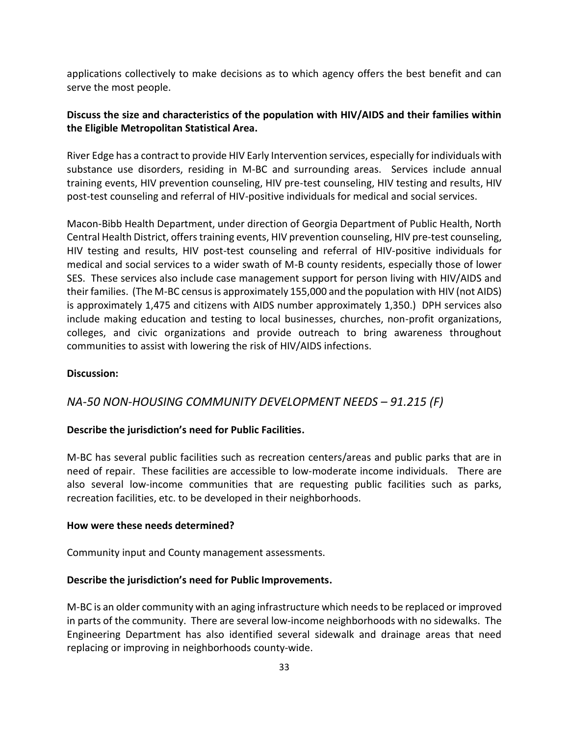applications collectively to make decisions as to which agency offers the best benefit and can serve the most people.

### **Discuss the size and characteristics of the population with HIV/AIDS and their families within the Eligible Metropolitan Statistical Area.**

River Edge has a contract to provide HIV Early Intervention services, especially for individuals with substance use disorders, residing in M-BC and surrounding areas. Services include annual training events, HIV prevention counseling, HIV pre-test counseling, HIV testing and results, HIV post-test counseling and referral of HIV-positive individuals for medical and social services.

Macon-Bibb Health Department, under direction of Georgia Department of Public Health, North Central Health District, offers training events, HIV prevention counseling, HIV pre-test counseling, HIV testing and results, HIV post-test counseling and referral of HIV-positive individuals for medical and social services to a wider swath of M-B county residents, especially those of lower SES. These services also include case management support for person living with HIV/AIDS and their families. (The M-BC census is approximately 155,000 and the population with HIV (not AIDS) is approximately 1,475 and citizens with AIDS number approximately 1,350.) DPH services also include making education and testing to local businesses, churches, non-profit organizations, colleges, and civic organizations and provide outreach to bring awareness throughout communities to assist with lowering the risk of HIV/AIDS infections.

#### **Discussion:**

# *NA-50 NON-HOUSING COMMUNITY DEVELOPMENT NEEDS – 91.215 (F)*

#### **Describe the jurisdiction's need for Public Facilities.**

M-BC has several public facilities such as recreation centers/areas and public parks that are in need of repair. These facilities are accessible to low-moderate income individuals. There are also several low-income communities that are requesting public facilities such as parks, recreation facilities, etc. to be developed in their neighborhoods.

#### **How were these needs determined?**

Community input and County management assessments.

#### **Describe the jurisdiction's need for Public Improvements.**

M-BC is an older community with an aging infrastructure which needs to be replaced or improved in parts of the community. There are several low-income neighborhoods with no sidewalks. The Engineering Department has also identified several sidewalk and drainage areas that need replacing or improving in neighborhoods county-wide.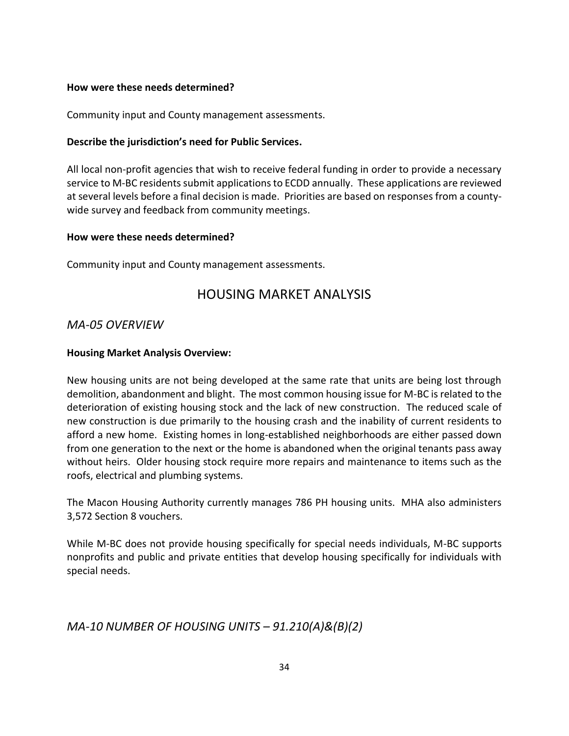#### **How were these needs determined?**

Community input and County management assessments.

#### **Describe the jurisdiction's need for Public Services.**

All local non-profit agencies that wish to receive federal funding in order to provide a necessary service to M-BC residents submit applications to ECDD annually. These applications are reviewed at several levels before a final decision is made. Priorities are based on responses from a countywide survey and feedback from community meetings.

#### **How were these needs determined?**

Community input and County management assessments.

# HOUSING MARKET ANALYSIS

### *MA-05 OVERVIEW*

#### **Housing Market Analysis Overview:**

New housing units are not being developed at the same rate that units are being lost through demolition, abandonment and blight. The most common housing issue for M-BC is related to the deterioration of existing housing stock and the lack of new construction. The reduced scale of new construction is due primarily to the housing crash and the inability of current residents to afford a new home. Existing homes in long-established neighborhoods are either passed down from one generation to the next or the home is abandoned when the original tenants pass away without heirs. Older housing stock require more repairs and maintenance to items such as the roofs, electrical and plumbing systems.

The Macon Housing Authority currently manages 786 PH housing units. MHA also administers 3,572 Section 8 vouchers.

While M-BC does not provide housing specifically for special needs individuals, M-BC supports nonprofits and public and private entities that develop housing specifically for individuals with special needs.

# *MA-10 NUMBER OF HOUSING UNITS – 91.210(A)&(B)(2)*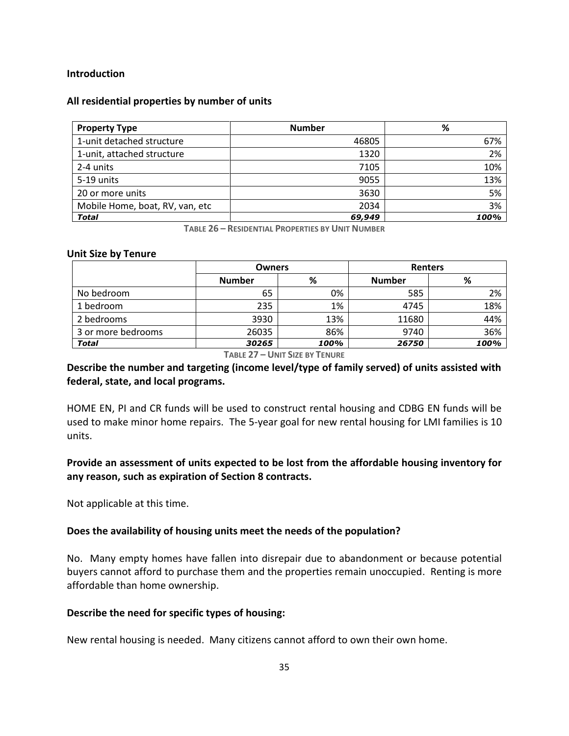#### **Introduction**

#### **All residential properties by number of units**

| <b>Property Type</b>            | <b>Number</b> | %    |
|---------------------------------|---------------|------|
| 1-unit detached structure       | 46805         | 67%  |
| 1-unit, attached structure      | 1320          | 2%   |
| 2-4 units                       | 7105          | 10%  |
| 5-19 units                      | 9055          | 13%  |
| 20 or more units                | 3630          | 5%   |
| Mobile Home, boat, RV, van, etc | 2034          | 3%   |
| Total                           | 69,949        | 100% |

**TABLE 26 – RESIDENTIAL PROPERTIES BY UNIT NUMBER**

#### **Unit Size by Tenure**

|                    | <b>Owners</b> |      | <b>Renters</b> |      |  |
|--------------------|---------------|------|----------------|------|--|
|                    | <b>Number</b> | %    | <b>Number</b>  | %    |  |
| No bedroom         | 65            | 0%   | 585            | 2%   |  |
| 1 bedroom          | 235           | 1%   | 4745           | 18%  |  |
| 2 bedrooms         | 3930          | 13%  | 11680          | 44%  |  |
| 3 or more bedrooms | 26035         | 86%  | 9740           | 36%  |  |
| <b>Total</b>       | 30265         | 100% | 26750          | 100% |  |

**TABLE 27 – UNIT SIZE BY TENURE**

### **Describe the number and targeting (income level/type of family served) of units assisted with federal, state, and local programs.**

HOME EN, PI and CR funds will be used to construct rental housing and CDBG EN funds will be used to make minor home repairs. The 5-year goal for new rental housing for LMI families is 10 units.

# **Provide an assessment of units expected to be lost from the affordable housing inventory for any reason, such as expiration of Section 8 contracts.**

Not applicable at this time.

#### **Does the availability of housing units meet the needs of the population?**

No. Many empty homes have fallen into disrepair due to abandonment or because potential buyers cannot afford to purchase them and the properties remain unoccupied. Renting is more affordable than home ownership.

#### **Describe the need for specific types of housing:**

New rental housing is needed. Many citizens cannot afford to own their own home.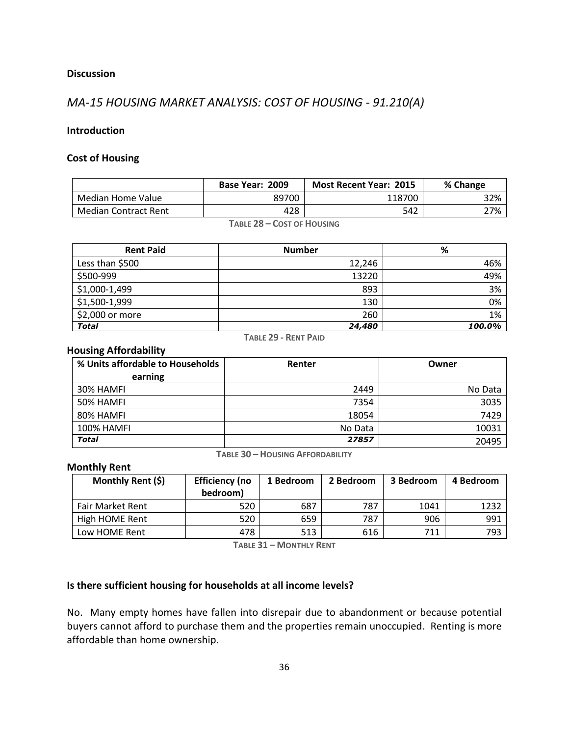# **Discussion**

# *MA-15 HOUSING MARKET ANALYSIS: COST OF HOUSING - 91.210(A)*

#### **Introduction**

#### **Cost of Housing**

|                             | Base Year: 2009 | <b>Most Recent Year: 2015</b> | % Change |
|-----------------------------|-----------------|-------------------------------|----------|
| Median Home Value           | 89700           | 118700                        | 32%      |
| <b>Median Contract Rent</b> | 428             | 542                           | 27%      |

**TABLE 28 – COST OF HOUSING**

| <b>Rent Paid</b> | <b>Number</b> | %      |
|------------------|---------------|--------|
| Less than \$500  | 12,246        | 46%    |
| \$500-999        | 13220         | 49%    |
| \$1,000-1,499    | 893           | 3%     |
| \$1,500-1,999    | 130           | 0%     |
| \$2,000 or more  | 260           | 1%     |
| <b>Total</b>     | 24,480        | 100.0% |

**TABLE 29 - RENT PAID**

#### **Housing Affordability**

| % Units affordable to Households | Renter  | Owner   |  |
|----------------------------------|---------|---------|--|
| earning                          |         |         |  |
| 30% HAMFI                        | 2449    | No Data |  |
| 50% HAMFI                        | 7354    | 3035    |  |
| 80% HAMFI                        | 18054   | 7429    |  |
| 100% HAMFI                       | No Data | 10031   |  |
| <b>Total</b>                     | 27857   | 20495   |  |

**TABLE 30 – HOUSING AFFORDABILITY**

#### **Monthly Rent**

| Monthly Rent (\$)       | <b>Efficiency (no</b><br>bedroom) | 1 Bedroom | 2 Bedroom | 3 Bedroom | 4 Bedroom |
|-------------------------|-----------------------------------|-----------|-----------|-----------|-----------|
| <b>Fair Market Rent</b> | 520                               | 687       | 787       | 1041      | 1232      |
| High HOME Rent          | 520                               | 659       | 787       | 906       | 991       |
| Low HOME Rent           | 478                               | 513       | 616       | 711       | 793       |

**TABLE 31 – MONTHLY RENT**

### **Is there sufficient housing for households at all income levels?**

No. Many empty homes have fallen into disrepair due to abandonment or because potential buyers cannot afford to purchase them and the properties remain unoccupied. Renting is more affordable than home ownership.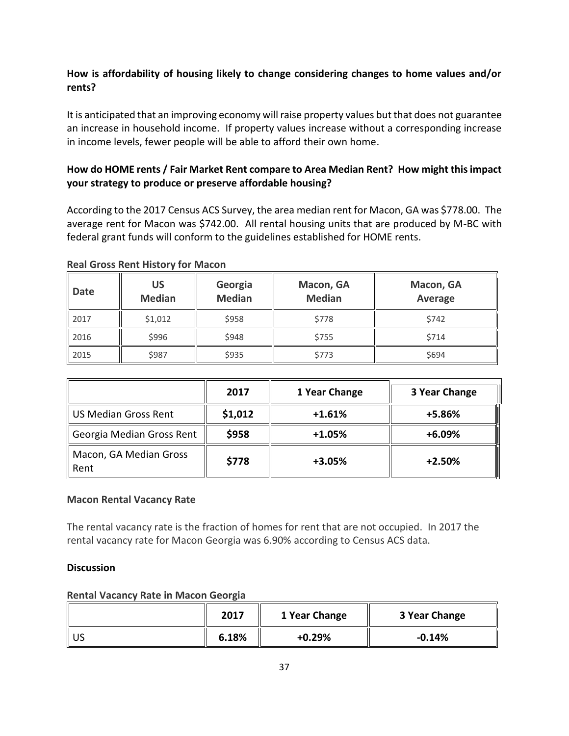# **How is affordability of housing likely to change considering changes to home values and/or rents?**

It is anticipated that an improving economy will raise property values but that does not guarantee an increase in household income. If property values increase without a corresponding increase in income levels, fewer people will be able to afford their own home.

# **How do HOME rents / Fair Market Rent compare to Area Median Rent? How might this impact your strategy to produce or preserve affordable housing?**

According to the 2017 Census ACS Survey, the area median rent for Macon, GA was \$778.00. The average rent for Macon was \$742.00. All rental housing units that are produced by M-BC with federal grant funds will conform to the guidelines established for HOME rents.

| Date | <b>US</b><br><b>Median</b> | Georgia<br><b>Median</b> | Macon, GA<br><b>Median</b> | Macon, GA<br>Average |
|------|----------------------------|--------------------------|----------------------------|----------------------|
| 2017 | \$1,012                    | \$958                    | \$778                      | \$742                |
| 2016 | \$996                      | \$948                    | \$755                      | \$714                |
| 2015 | \$987                      | \$935                    | \$773                      | \$694                |

#### **Real Gross Rent History for Macon**

|                                | 2017    | 1 Year Change | 3 Year Change |
|--------------------------------|---------|---------------|---------------|
| US Median Gross Rent           | \$1,012 | $+1.61%$      | +5.86%        |
| Georgia Median Gross Rent      | \$958   | $+1.05%$      | $+6.09%$      |
| Macon, GA Median Gross<br>Rent | \$778   | $+3.05%$      | $+2.50%$      |

## **Macon Rental Vacancy Rate**

The rental vacancy rate is the fraction of homes for rent that are not occupied. In 2017 the rental vacancy rate for Macon Georgia was 6.90% according to Census ACS data.

## **Discussion**

#### **Rental Vacancy Rate in Macon Georgia**

|       | 2017  | 1 Year Change | 3 Year Change |  |
|-------|-------|---------------|---------------|--|
| ll US | 6.18% | $+0.29%$      | $-0.14%$      |  |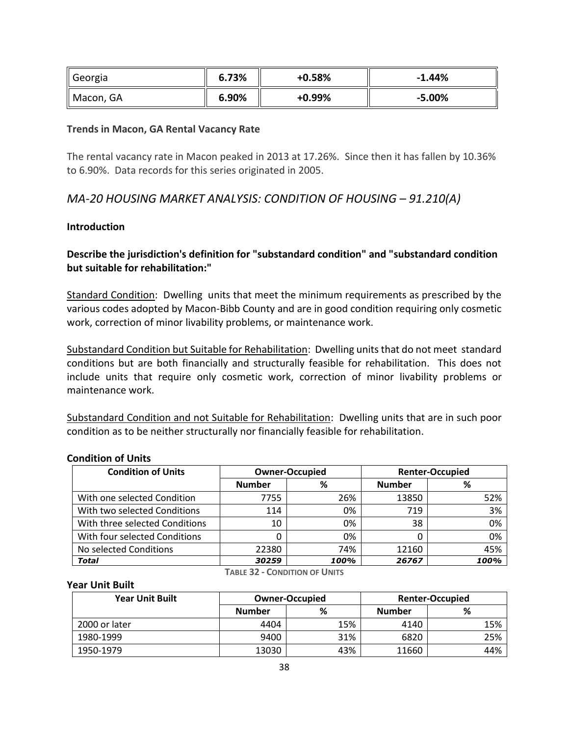| Georgia               | 6.73% | $+0.58%$ | $-1.44%$ |
|-----------------------|-------|----------|----------|
| $\parallel$ Macon, GA | 6.90% | $+0.99%$ | $-5.00%$ |

#### **Trends in Macon, GA Rental Vacancy Rate**

The rental vacancy rate in Macon peaked in 2013 at 17.26%. Since then it has fallen by 10.36% to 6.90%. Data records for this series originated in 2005.

# *MA-20 HOUSING MARKET ANALYSIS: CONDITION OF HOUSING – 91.210(A)*

#### **Introduction**

## **Describe the jurisdiction's definition for "substandard condition" and "substandard condition but suitable for rehabilitation:"**

Standard Condition: Dwelling units that meet the minimum requirements as prescribed by the various codes adopted by Macon-Bibb County and are in good condition requiring only cosmetic work, correction of minor livability problems, or maintenance work.

Substandard Condition but Suitable for Rehabilitation: Dwelling units that do not meet standard conditions but are both financially and structurally feasible for rehabilitation. This does not include units that require only cosmetic work, correction of minor livability problems or maintenance work.

Substandard Condition and not Suitable for Rehabilitation: Dwelling units that are in such poor condition as to be neither structurally nor financially feasible for rehabilitation.

| <b>Condition of Units</b>      |               | <b>Owner-Occupied</b> | <b>Renter-Occupied</b> |      |  |  |
|--------------------------------|---------------|-----------------------|------------------------|------|--|--|
|                                | <b>Number</b> | %                     | <b>Number</b>          | ℅    |  |  |
| With one selected Condition    | 7755          | 26%                   | 13850                  | 52%  |  |  |
| With two selected Conditions   | 114           | 0%                    | 719                    | 3%   |  |  |
| With three selected Conditions | 10            | 0%                    | 38                     | 0%   |  |  |
| With four selected Conditions  |               | 0%                    |                        | 0%   |  |  |
| No selected Conditions         | 22380         | 74%                   | 12160                  | 45%  |  |  |
| <b>Total</b>                   | 30259         | 100%                  | 26767                  | 100% |  |  |

#### **Condition of Units**

**TABLE 32 - CONDITION OF UNITS**

#### **Year Unit Built**

| <b>Year Unit Built</b> |               | <b>Owner-Occupied</b> |               | <b>Renter-Occupied</b> |
|------------------------|---------------|-----------------------|---------------|------------------------|
|                        | <b>Number</b> | %                     | <b>Number</b> | %                      |
| 2000 or later          | 4404          | 15%                   | 4140          | 15%                    |
| 1980-1999              | 9400          | 31%                   | 6820          | 25%                    |
| 1950-1979              | 13030         | 43%                   | 11660         | 44%                    |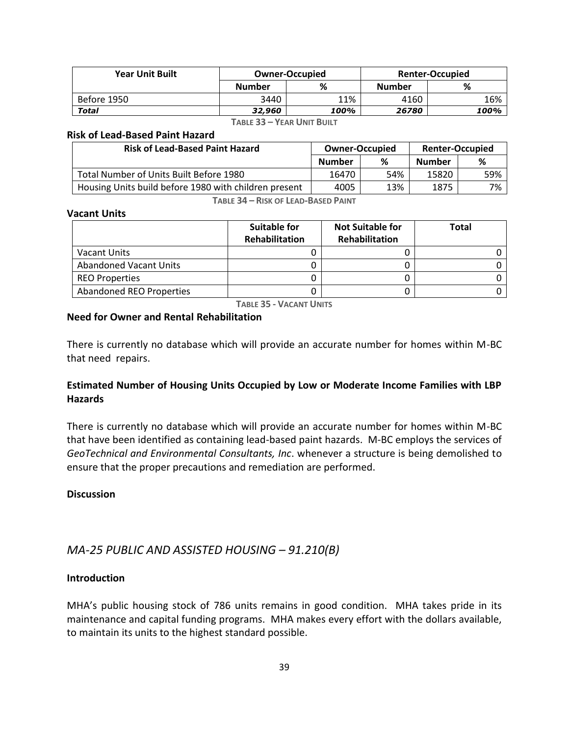| <b>Year Unit Built</b> |               | <b>Owner-Occupied</b> | <b>Renter-Occupied</b> |      |  |
|------------------------|---------------|-----------------------|------------------------|------|--|
|                        | <b>Number</b> | %                     | <b>Number</b>          | %    |  |
| Before 1950            | 3440          | 11%                   | 4160                   | 16%  |  |
| <b>Total</b>           | 32,960        | 100%                  | 26780                  | 100% |  |

**TABLE 33 – YEAR UNIT BUILT**

#### **Risk of Lead-Based Paint Hazard**

| <b>Owner-Occupied</b> |     | <b>Renter-Occupied</b> |     |
|-----------------------|-----|------------------------|-----|
| Number                | ℅   | <b>Number</b>          | %   |
| 16470                 | 54% | 15820                  | 59% |
| 4005                  | 13% | 1875                   | 7%  |
|                       |     |                        |     |

**TABLE 34 – RISK OF LEAD-BASED PAINT**

#### **Vacant Units**

|                                 | Suitable for          | <b>Not Suitable for</b> | Total |
|---------------------------------|-----------------------|-------------------------|-------|
|                                 | <b>Rehabilitation</b> | <b>Rehabilitation</b>   |       |
| <b>Vacant Units</b>             |                       |                         |       |
| <b>Abandoned Vacant Units</b>   |                       |                         |       |
| <b>REO Properties</b>           |                       |                         |       |
| <b>Abandoned REO Properties</b> |                       |                         |       |

**TABLE 35 - VACANT UNITS**

#### **Need for Owner and Rental Rehabilitation**

There is currently no database which will provide an accurate number for homes within M-BC that need repairs.

## **Estimated Number of Housing Units Occupied by Low or Moderate Income Families with LBP Hazards**

There is currently no database which will provide an accurate number for homes within M-BC that have been identified as containing lead-based paint hazards. M-BC employs the services of *GeoTechnical and Environmental Consultants, Inc*. whenever a structure is being demolished to ensure that the proper precautions and remediation are performed.

#### **Discussion**

## *MA-25 PUBLIC AND ASSISTED HOUSING – 91.210(B)*

#### **Introduction**

MHA's public housing stock of 786 units remains in good condition. MHA takes pride in its maintenance and capital funding programs. MHA makes every effort with the dollars available, to maintain its units to the highest standard possible.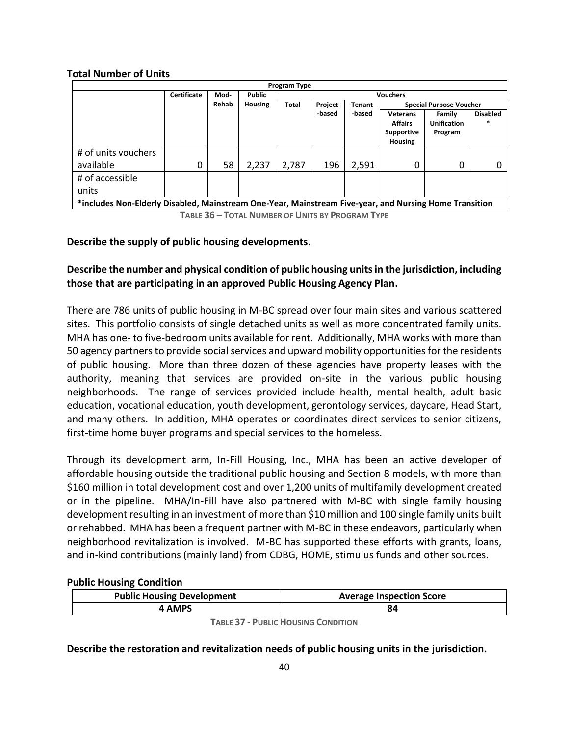#### **Total Number of Units**

|                                                                                                        | <b>Program Type</b> |       |                |              |                 |               |                                                                          |                                                |                      |
|--------------------------------------------------------------------------------------------------------|---------------------|-------|----------------|--------------|-----------------|---------------|--------------------------------------------------------------------------|------------------------------------------------|----------------------|
|                                                                                                        | Certificate         | Mod-  | <b>Public</b>  |              | <b>Vouchers</b> |               |                                                                          |                                                |                      |
|                                                                                                        |                     | Rehab | <b>Housing</b> | <b>Total</b> | Project         | <b>Tenant</b> |                                                                          | <b>Special Purpose Voucher</b>                 |                      |
|                                                                                                        |                     |       |                |              | -based          | -based        | <b>Veterans</b><br><b>Affairs</b><br><b>Supportive</b><br><b>Housing</b> | <b>Family</b><br><b>Unification</b><br>Program | <b>Disabled</b><br>* |
| # of units vouchers                                                                                    |                     |       |                |              |                 |               |                                                                          |                                                |                      |
| available                                                                                              | 0                   | 58    | 2.237          | 2,787        | 196             | 2,591         | 0                                                                        | O                                              | 0                    |
| # of accessible                                                                                        |                     |       |                |              |                 |               |                                                                          |                                                |                      |
| units                                                                                                  |                     |       |                |              |                 |               |                                                                          |                                                |                      |
| *includes Non-Elderly Disabled, Mainstream One-Year, Mainstream Five-year, and Nursing Home Transition |                     |       |                |              |                 |               |                                                                          |                                                |                      |

**TABLE 36 – TOTAL NUMBER OF UNITS BY PROGRAM TYPE**

#### **Describe the supply of public housing developments.**

## **Describe the number and physical condition of public housing units in the jurisdiction, including those that are participating in an approved Public Housing Agency Plan.**

There are 786 units of public housing in M-BC spread over four main sites and various scattered sites. This portfolio consists of single detached units as well as more concentrated family units. MHA has one- to five-bedroom units available for rent. Additionally, MHA works with more than 50 agency partners to provide social services and upward mobility opportunities for the residents of public housing. More than three dozen of these agencies have property leases with the authority, meaning that services are provided on-site in the various public housing neighborhoods. The range of services provided include health, mental health, adult basic education, vocational education, youth development, gerontology services, daycare, Head Start, and many others. In addition, MHA operates or coordinates direct services to senior citizens, first-time home buyer programs and special services to the homeless.

Through its development arm, In-Fill Housing, Inc., MHA has been an active developer of affordable housing outside the traditional public housing and Section 8 models, with more than \$160 million in total development cost and over 1,200 units of multifamily development created or in the pipeline. MHA/In-Fill have also partnered with M-BC with single family housing development resulting in an investment of more than \$10 million and 100 single family units built or rehabbed. MHA has been a frequent partner with M-BC in these endeavors, particularly when neighborhood revitalization is involved. M-BC has supported these efforts with grants, loans, and in-kind contributions (mainly land) from CDBG, HOME, stimulus funds and other sources.

#### **Public Housing Condition**

| <b>Public Housing Development</b> | <b>Average Inspection Score</b> |  |  |  |
|-----------------------------------|---------------------------------|--|--|--|
| 4 AMPS                            |                                 |  |  |  |
| ________                          |                                 |  |  |  |

**TABLE 37 - PUBLIC HOUSING CONDITION**

#### **Describe the restoration and revitalization needs of public housing units in the jurisdiction.**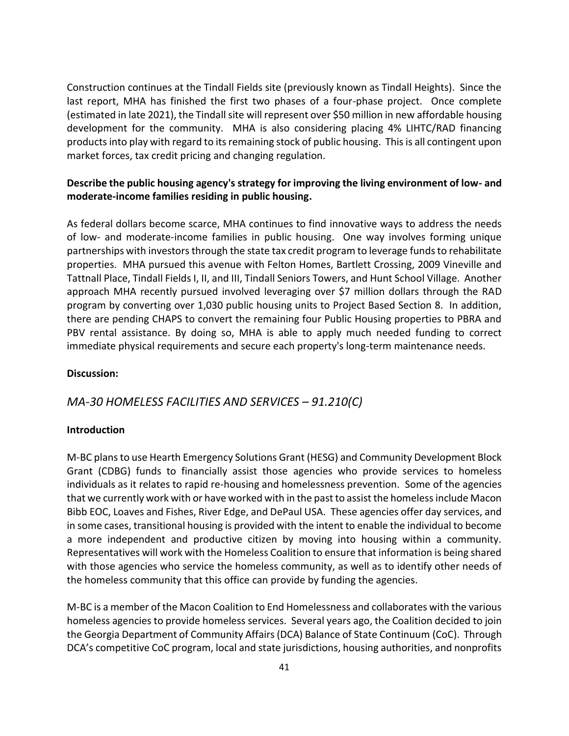Construction continues at the Tindall Fields site (previously known as Tindall Heights). Since the last report, MHA has finished the first two phases of a four-phase project. Once complete (estimated in late 2021), the Tindall site will represent over \$50 million in new affordable housing development for the community. MHA is also considering placing 4% LIHTC/RAD financing products into play with regard to its remaining stock of public housing. This is all contingent upon market forces, tax credit pricing and changing regulation.

### **Describe the public housing agency's strategy for improving the living environment of low- and moderate-income families residing in public housing.**

As federal dollars become scarce, MHA continues to find innovative ways to address the needs of low- and moderate-income families in public housing. One way involves forming unique partnerships with investors through the state tax credit program to leverage funds to rehabilitate properties. MHA pursued this avenue with Felton Homes, Bartlett Crossing, 2009 Vineville and Tattnall Place, Tindall Fields I, II, and III, Tindall Seniors Towers, and Hunt School Village. Another approach MHA recently pursued involved leveraging over \$7 million dollars through the RAD program by converting over 1,030 public housing units to Project Based Section 8. In addition, there are pending CHAPS to convert the remaining four Public Housing properties to PBRA and PBV rental assistance. By doing so, MHA is able to apply much needed funding to correct immediate physical requirements and secure each property's long-term maintenance needs.

#### **Discussion:**

## *MA-30 HOMELESS FACILITIES AND SERVICES – 91.210(C)*

#### **Introduction**

M-BC plans to use Hearth Emergency Solutions Grant (HESG) and Community Development Block Grant (CDBG) funds to financially assist those agencies who provide services to homeless individuals as it relates to rapid re-housing and homelessness prevention. Some of the agencies that we currently work with or have worked with in the past to assist the homeless include Macon Bibb EOC, Loaves and Fishes, River Edge, and DePaul USA. These agencies offer day services, and in some cases, transitional housing is provided with the intent to enable the individual to become a more independent and productive citizen by moving into housing within a community. Representatives will work with the Homeless Coalition to ensure that information is being shared with those agencies who service the homeless community, as well as to identify other needs of the homeless community that this office can provide by funding the agencies.

M-BC is a member of the Macon Coalition to End Homelessness and collaborates with the various homeless agencies to provide homeless services. Several years ago, the Coalition decided to join the Georgia Department of Community Affairs (DCA) Balance of State Continuum (CoC). Through DCA's competitive CoC program, local and state jurisdictions, housing authorities, and nonprofits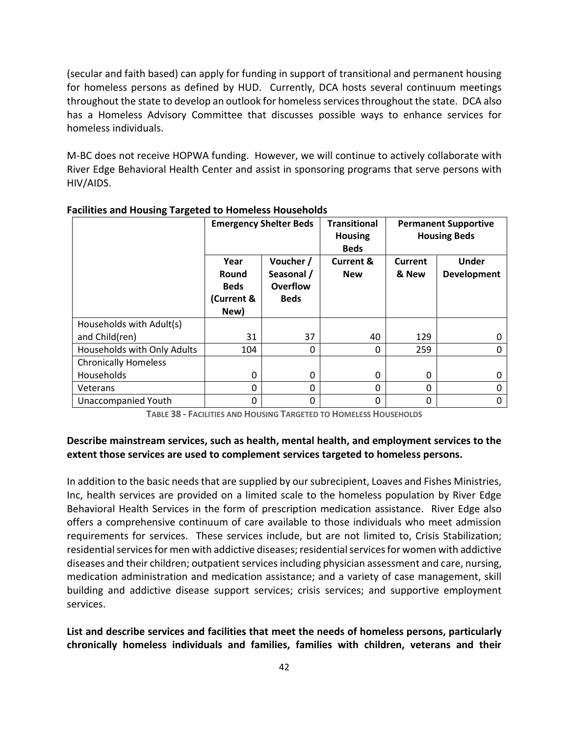(secular and faith based) can apply for funding in support of transitional and permanent housing for homeless persons as defined by HUD. Currently, DCA hosts several continuum meetings throughout the state to develop an outlook for homeless services throughout the state. DCA also has a Homeless Advisory Committee that discusses possible ways to enhance services for homeless individuals.

M-BC does not receive HOPWA funding. However, we will continue to actively collaborate with River Edge Behavioral Health Center and assist in sponsoring programs that serve persons with HIV/AIDS.

|                             | <b>Emergency Shelter Beds</b>                      |                                                           | <b>Transitional</b><br><b>Housing</b><br><b>Beds</b> | <b>Permanent Supportive</b><br><b>Housing Beds</b> |                             |
|-----------------------------|----------------------------------------------------|-----------------------------------------------------------|------------------------------------------------------|----------------------------------------------------|-----------------------------|
|                             | Year<br>Round<br><b>Beds</b><br>(Current &<br>New) | Voucher /<br>Seasonal /<br><b>Overflow</b><br><b>Beds</b> | <b>Current &amp;</b><br><b>New</b>                   | Current<br>& New                                   | <b>Under</b><br>Development |
| Households with Adult(s)    |                                                    |                                                           |                                                      |                                                    |                             |
| and Child(ren)              | 31                                                 | 37                                                        | 40                                                   | 129                                                | 0                           |
| Households with Only Adults | 104                                                | 0                                                         | 0                                                    | 259                                                | 0                           |
| <b>Chronically Homeless</b> |                                                    |                                                           |                                                      |                                                    |                             |
| <b>Households</b>           | $\Omega$                                           | 0                                                         | 0                                                    | 0                                                  | 0                           |
| Veterans                    | 0                                                  | 0                                                         | 0                                                    | $\Omega$                                           | 0                           |
| <b>Unaccompanied Youth</b>  | 0                                                  | 0                                                         | 0                                                    | 0                                                  | 0                           |

#### **Facilities and Housing Targeted to Homeless Households**

**TABLE 38 - FACILITIES AND HOUSING TARGETED TO HOMELESS HOUSEHOLDS**

#### **Describe mainstream services, such as health, mental health, and employment services to the extent those services are used to complement services targeted to homeless persons.**

In addition to the basic needs that are supplied by our subrecipient, Loaves and Fishes Ministries, Inc, health services are provided on a limited scale to the homeless population by River Edge Behavioral Health Services in the form of prescription medication assistance. River Edge also offers a comprehensive continuum of care available to those individuals who meet admission requirements for services. These services include, but are not limited to, Crisis Stabilization; residential services for men with addictive diseases; residential services for women with addictive diseases and their children; outpatient services including physician assessment and care, nursing, medication administration and medication assistance; and a variety of case management, skill building and addictive disease support services; crisis services; and supportive employment services.

**List and describe services and facilities that meet the needs of homeless persons, particularly chronically homeless individuals and families, families with children, veterans and their**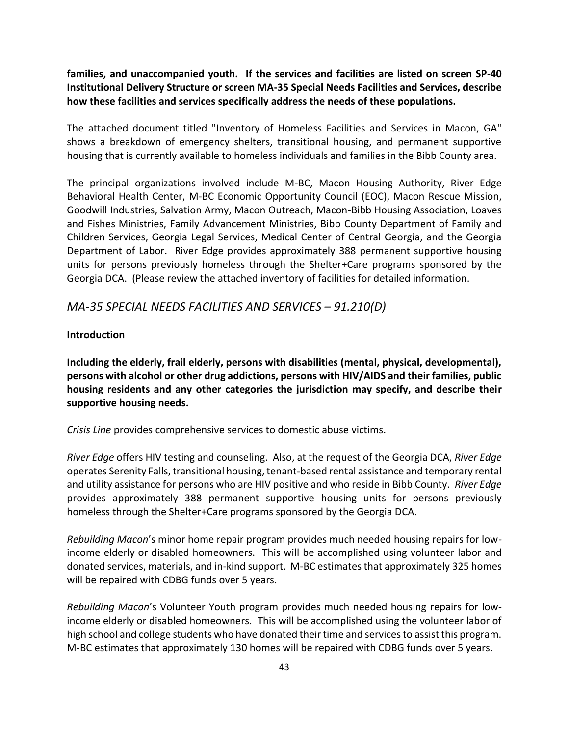#### **families, and unaccompanied youth. If the services and facilities are listed on screen SP-40 Institutional Delivery Structure or screen MA-35 Special Needs Facilities and Services, describe how these facilities and services specifically address the needs of these populations.**

The attached document titled "Inventory of Homeless Facilities and Services in Macon, GA" shows a breakdown of emergency shelters, transitional housing, and permanent supportive housing that is currently available to homeless individuals and families in the Bibb County area.

The principal organizations involved include M-BC, Macon Housing Authority, River Edge Behavioral Health Center, M-BC Economic Opportunity Council (EOC), Macon Rescue Mission, Goodwill Industries, Salvation Army, Macon Outreach, Macon-Bibb Housing Association, Loaves and Fishes Ministries, Family Advancement Ministries, Bibb County Department of Family and Children Services, Georgia Legal Services, Medical Center of Central Georgia, and the Georgia Department of Labor. River Edge provides approximately 388 permanent supportive housing units for persons previously homeless through the Shelter+Care programs sponsored by the Georgia DCA. (Please review the attached inventory of facilities for detailed information.

#### *MA-35 SPECIAL NEEDS FACILITIES AND SERVICES – 91.210(D)*

#### **Introduction**

**Including the elderly, frail elderly, persons with disabilities (mental, physical, developmental), persons with alcohol or other drug addictions, persons with HIV/AIDS and their families, public housing residents and any other categories the jurisdiction may specify, and describe their supportive housing needs.**

*Crisis Line* provides comprehensive services to domestic abuse victims.

*River Edge* offers HIV testing and counseling. Also, at the request of the Georgia DCA, *River Edge* operates Serenity Falls, transitional housing, tenant-based rental assistance and temporary rental and utility assistance for persons who are HIV positive and who reside in Bibb County. *River Edge* provides approximately 388 permanent supportive housing units for persons previously homeless through the Shelter+Care programs sponsored by the Georgia DCA.

*Rebuilding Macon*'s minor home repair program provides much needed housing repairs for lowincome elderly or disabled homeowners. This will be accomplished using volunteer labor and donated services, materials, and in-kind support. M-BC estimates that approximately 325 homes will be repaired with CDBG funds over 5 years.

*Rebuilding Macon*'s Volunteer Youth program provides much needed housing repairs for lowincome elderly or disabled homeowners. This will be accomplished using the volunteer labor of high school and college students who have donated their time and services to assist this program. M-BC estimates that approximately 130 homes will be repaired with CDBG funds over 5 years.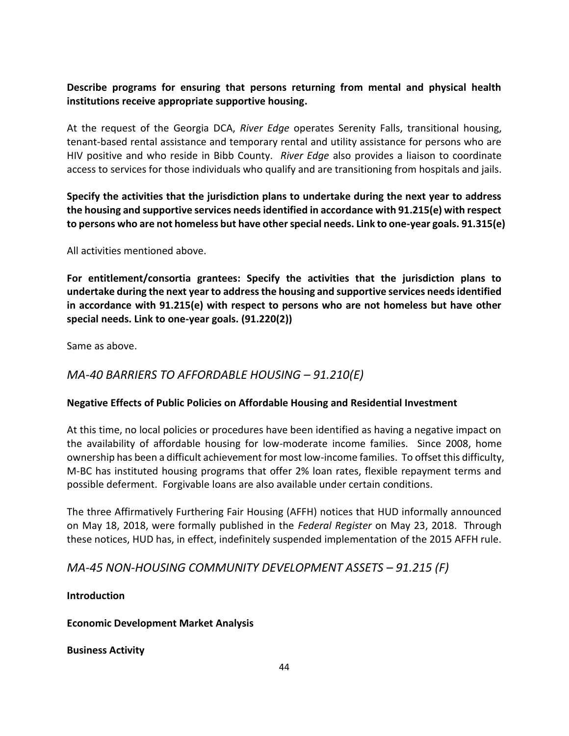### **Describe programs for ensuring that persons returning from mental and physical health institutions receive appropriate supportive housing.**

At the request of the Georgia DCA, *River Edge* operates Serenity Falls, transitional housing, tenant-based rental assistance and temporary rental and utility assistance for persons who are HIV positive and who reside in Bibb County. *River Edge* also provides a liaison to coordinate access to services for those individuals who qualify and are transitioning from hospitals and jails.

**Specify the activities that the jurisdiction plans to undertake during the next year to address the housing and supportive services needs identified in accordance with 91.215(e) with respect to persons who are not homeless but have other special needs. Link to one-year goals. 91.315(e)**

All activities mentioned above.

**For entitlement/consortia grantees: Specify the activities that the jurisdiction plans to undertake during the next year to address the housing and supportive services needs identified in accordance with 91.215(e) with respect to persons who are not homeless but have other special needs. Link to one-year goals. (91.220(2))**

Same as above.

## *MA-40 BARRIERS TO AFFORDABLE HOUSING – 91.210(E)*

#### **Negative Effects of Public Policies on Affordable Housing and Residential Investment**

At this time, no local policies or procedures have been identified as having a negative impact on the availability of affordable housing for low-moderate income families. Since 2008, home ownership has been a difficult achievement for most low-income families. To offset this difficulty, M-BC has instituted housing programs that offer 2% loan rates, flexible repayment terms and possible deferment. Forgivable loans are also available under certain conditions.

The three Affirmatively Furthering Fair Housing (AFFH) notices that HUD informally announced on May 18, 2018, were formally published in the *Federal Register* on May 23, 2018. Through these notices, HUD has, in effect, indefinitely suspended implementation of the 2015 AFFH rule.

*MA-45 NON-HOUSING COMMUNITY DEVELOPMENT ASSETS – 91.215 (F)*

**Introduction**

**Economic Development Market Analysis**

**Business Activity**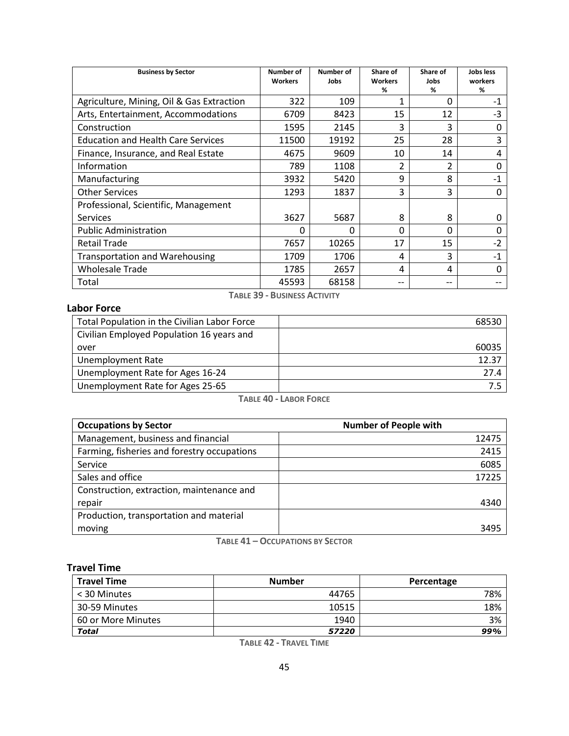| <b>Business by Sector</b>                 | Number of<br><b>Workers</b> | Number of<br>Jobs | Share of<br><b>Workers</b><br>% | Share of<br>Jobs<br>℅ | Jobs less<br>workers<br>% |
|-------------------------------------------|-----------------------------|-------------------|---------------------------------|-----------------------|---------------------------|
| Agriculture, Mining, Oil & Gas Extraction | 322                         | 109               | 1                               | <sup>0</sup>          | $-1$                      |
| Arts, Entertainment, Accommodations       | 6709                        | 8423              | 15                              | 12                    | -3                        |
| Construction                              | 1595                        | 2145              | 3                               | 3                     | 0                         |
| <b>Education and Health Care Services</b> | 11500                       | 19192             | 25                              | 28                    | 3                         |
| Finance, Insurance, and Real Estate       | 4675                        | 9609              | 10                              | 14                    | 4                         |
| Information                               | 789                         | 1108              | $\mathcal{P}$                   | $\mathfrak z$         | 0                         |
| Manufacturing                             | 3932                        | 5420              | 9                               | 8                     | $-1$                      |
| <b>Other Services</b>                     | 1293                        | 1837              | 3                               | 3                     | O                         |
| Professional, Scientific, Management      |                             |                   |                                 |                       |                           |
| <b>Services</b>                           | 3627                        | 5687              | 8                               | 8                     |                           |
| <b>Public Administration</b>              | 0                           | 0                 | 0                               | $\Omega$              | 0                         |
| <b>Retail Trade</b>                       | 7657                        | 10265             | 17                              | 15                    | $-2$                      |
| <b>Transportation and Warehousing</b>     | 1709                        | 1706              | 4                               | 3                     | $-1$                      |
| <b>Wholesale Trade</b>                    | 1785                        | 2657              | 4                               | 4                     | <sup>0</sup>              |
| Total                                     | 45593                       | 68158             | --                              |                       |                           |

**TABLE 39 - BUSINESS ACTIVITY**

#### **Labor Force**

| Total Population in the Civilian Labor Force | 68530 |
|----------------------------------------------|-------|
| Civilian Employed Population 16 years and    |       |
| over                                         | 60035 |
| <b>Unemployment Rate</b>                     | 12.37 |
| Unemployment Rate for Ages 16-24             | 27.4  |
| Unemployment Rate for Ages 25-65             | 7.5   |

**TABLE 40 - LABOR FORCE**

| <b>Occupations by Sector</b>                | <b>Number of People with</b> |
|---------------------------------------------|------------------------------|
| Management, business and financial          | 12475                        |
| Farming, fisheries and forestry occupations | 2415                         |
| Service                                     | 6085                         |
| Sales and office                            | 17225                        |
| Construction, extraction, maintenance and   |                              |
| repair                                      | 4340                         |
| Production, transportation and material     |                              |
| moving                                      | 3495                         |

**TABLE 41 – OCCUPATIONS BY SECTOR**

#### **Travel Time**

| <b>Travel Time</b> | <b>Number</b> | Percentage |
|--------------------|---------------|------------|
| < 30 Minutes       | 44765         | 78%        |
| 30-59 Minutes      | 10515         | 18%        |
| 60 or More Minutes | 1940          | 3%         |
| <b>Total</b>       | 57220         | 99%        |

**TABLE 42 - TRAVEL TIME**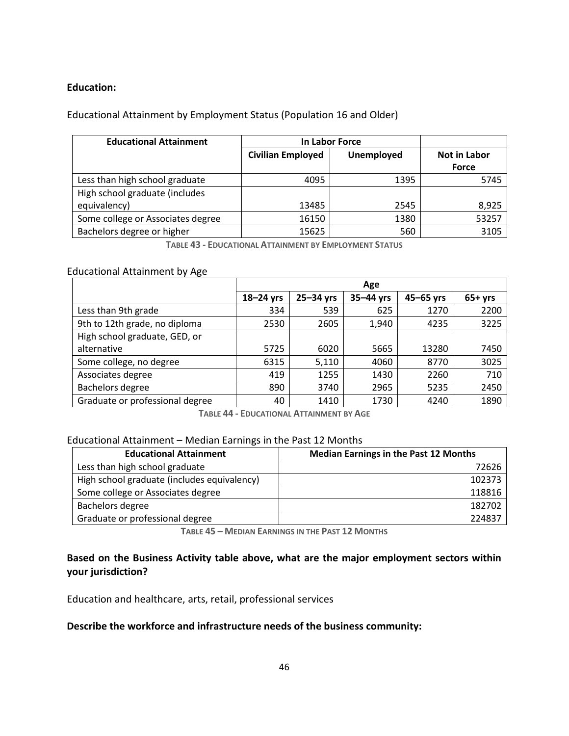#### **Education:**

#### Educational Attainment by Employment Status (Population 16 and Older)

| <b>Educational Attainment</b>     | In Labor Force                         |      |              |
|-----------------------------------|----------------------------------------|------|--------------|
|                                   | <b>Civilian Employed</b><br>Unemployed |      | Not in Labor |
|                                   |                                        |      | Force        |
| Less than high school graduate    | 4095                                   | 1395 | 5745         |
| High school graduate (includes    |                                        |      |              |
| equivalency)                      | 13485                                  | 2545 | 8,925        |
| Some college or Associates degree | 16150                                  | 1380 | 53257        |
| Bachelors degree or higher        | 15625                                  | 560  | 3105         |

**TABLE 43 - EDUCATIONAL ATTAINMENT BY EMPLOYMENT STATUS**

#### Educational Attainment by Age

|                                 | Age       |           |           |           |          |
|---------------------------------|-----------|-----------|-----------|-----------|----------|
|                                 | 18-24 yrs | 25-34 yrs | 35-44 yrs | 45-65 yrs | $65+yrs$ |
| Less than 9th grade             | 334       | 539       | 625       | 1270      | 2200     |
| 9th to 12th grade, no diploma   | 2530      | 2605      | 1,940     | 4235      | 3225     |
| High school graduate, GED, or   |           |           |           |           |          |
| alternative                     | 5725      | 6020      | 5665      | 13280     | 7450     |
| Some college, no degree         | 6315      | 5,110     | 4060      | 8770      | 3025     |
| Associates degree               | 419       | 1255      | 1430      | 2260      | 710      |
| Bachelors degree                | 890       | 3740      | 2965      | 5235      | 2450     |
| Graduate or professional degree | 40        | 1410      | 1730      | 4240      | 1890     |

**TABLE 44 - EDUCATIONAL ATTAINMENT BY AGE**

#### Educational Attainment – Median Earnings in the Past 12 Months

| <b>Educational Attainment</b>               | <b>Median Earnings in the Past 12 Months</b> |
|---------------------------------------------|----------------------------------------------|
| Less than high school graduate              | 72626                                        |
| High school graduate (includes equivalency) | 102373                                       |
| Some college or Associates degree           | 118816                                       |
| Bachelors degree                            | 182702                                       |
| Graduate or professional degree             | 224837                                       |

**TABLE 45 – MEDIAN EARNINGS IN THE PAST 12 MONTHS**

### **Based on the Business Activity table above, what are the major employment sectors within your jurisdiction?**

Education and healthcare, arts, retail, professional services

# **Describe the workforce and infrastructure needs of the business community:**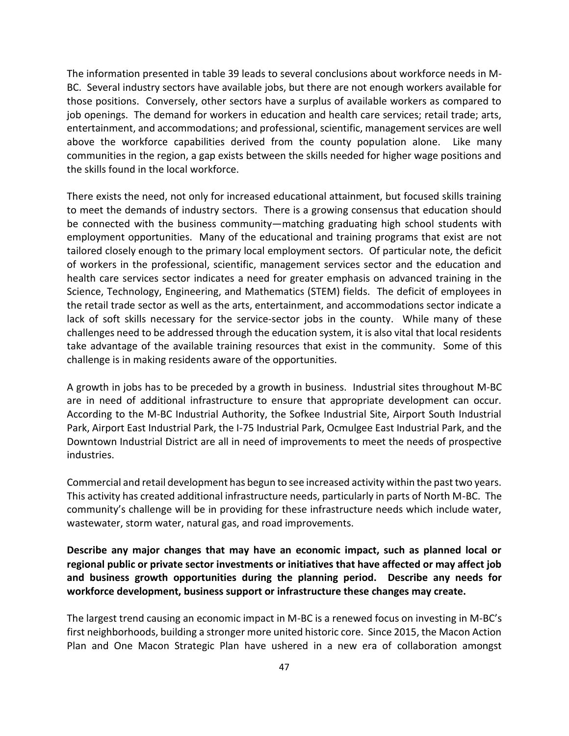The information presented in table 39 leads to several conclusions about workforce needs in M-BC. Several industry sectors have available jobs, but there are not enough workers available for those positions. Conversely, other sectors have a surplus of available workers as compared to job openings. The demand for workers in education and health care services; retail trade; arts, entertainment, and accommodations; and professional, scientific, management services are well above the workforce capabilities derived from the county population alone. Like many communities in the region, a gap exists between the skills needed for higher wage positions and the skills found in the local workforce.

There exists the need, not only for increased educational attainment, but focused skills training to meet the demands of industry sectors. There is a growing consensus that education should be connected with the business community—matching graduating high school students with employment opportunities. Many of the educational and training programs that exist are not tailored closely enough to the primary local employment sectors. Of particular note, the deficit of workers in the professional, scientific, management services sector and the education and health care services sector indicates a need for greater emphasis on advanced training in the Science, Technology, Engineering, and Mathematics (STEM) fields. The deficit of employees in the retail trade sector as well as the arts, entertainment, and accommodations sector indicate a lack of soft skills necessary for the service-sector jobs in the county. While many of these challenges need to be addressed through the education system, it is also vital that local residents take advantage of the available training resources that exist in the community. Some of this challenge is in making residents aware of the opportunities.

A growth in jobs has to be preceded by a growth in business. Industrial sites throughout M-BC are in need of additional infrastructure to ensure that appropriate development can occur. According to the M-BC Industrial Authority, the Sofkee Industrial Site, Airport South Industrial Park, Airport East Industrial Park, the I-75 Industrial Park, Ocmulgee East Industrial Park, and the Downtown Industrial District are all in need of improvements to meet the needs of prospective industries.

Commercial and retail development has begun to see increased activity within the past two years. This activity has created additional infrastructure needs, particularly in parts of North M-BC. The community's challenge will be in providing for these infrastructure needs which include water, wastewater, storm water, natural gas, and road improvements.

**Describe any major changes that may have an economic impact, such as planned local or regional public or private sector investments or initiatives that have affected or may affect job and business growth opportunities during the planning period. Describe any needs for workforce development, business support or infrastructure these changes may create.**

The largest trend causing an economic impact in M-BC is a renewed focus on investing in M-BC's first neighborhoods, building a stronger more united historic core. Since 2015, the Macon Action Plan and One Macon Strategic Plan have ushered in a new era of collaboration amongst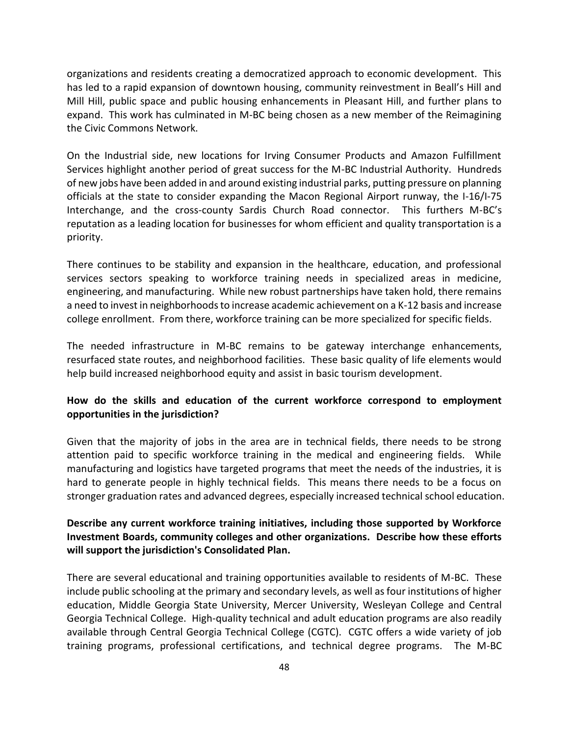organizations and residents creating a democratized approach to economic development. This has led to a rapid expansion of downtown housing, community reinvestment in Beall's Hill and Mill Hill, public space and public housing enhancements in Pleasant Hill, and further plans to expand. This work has culminated in M-BC being chosen as a new member of the Reimagining the Civic Commons Network.

On the Industrial side, new locations for Irving Consumer Products and Amazon Fulfillment Services highlight another period of great success for the M-BC Industrial Authority. Hundreds of new jobs have been added in and around existing industrial parks, putting pressure on planning officials at the state to consider expanding the Macon Regional Airport runway, the I-16/I-75 Interchange, and the cross-county Sardis Church Road connector. This furthers M-BC's reputation as a leading location for businesses for whom efficient and quality transportation is a priority.

There continues to be stability and expansion in the healthcare, education, and professional services sectors speaking to workforce training needs in specialized areas in medicine, engineering, and manufacturing. While new robust partnerships have taken hold, there remains a need to invest in neighborhoods to increase academic achievement on a K-12 basis and increase college enrollment. From there, workforce training can be more specialized for specific fields.

The needed infrastructure in M-BC remains to be gateway interchange enhancements, resurfaced state routes, and neighborhood facilities. These basic quality of life elements would help build increased neighborhood equity and assist in basic tourism development.

#### **How do the skills and education of the current workforce correspond to employment opportunities in the jurisdiction?**

Given that the majority of jobs in the area are in technical fields, there needs to be strong attention paid to specific workforce training in the medical and engineering fields. While manufacturing and logistics have targeted programs that meet the needs of the industries, it is hard to generate people in highly technical fields. This means there needs to be a focus on stronger graduation rates and advanced degrees, especially increased technical school education.

### **Describe any current workforce training initiatives, including those supported by Workforce Investment Boards, community colleges and other organizations. Describe how these efforts will support the jurisdiction's Consolidated Plan.**

There are several educational and training opportunities available to residents of M-BC. These include public schooling at the primary and secondary levels, as well as four institutions of higher education, Middle Georgia State University, Mercer University, Wesleyan College and Central Georgia Technical College. High-quality technical and adult education programs are also readily available through Central Georgia Technical College (CGTC). CGTC offers a wide variety of job training programs, professional certifications, and technical degree programs. The M-BC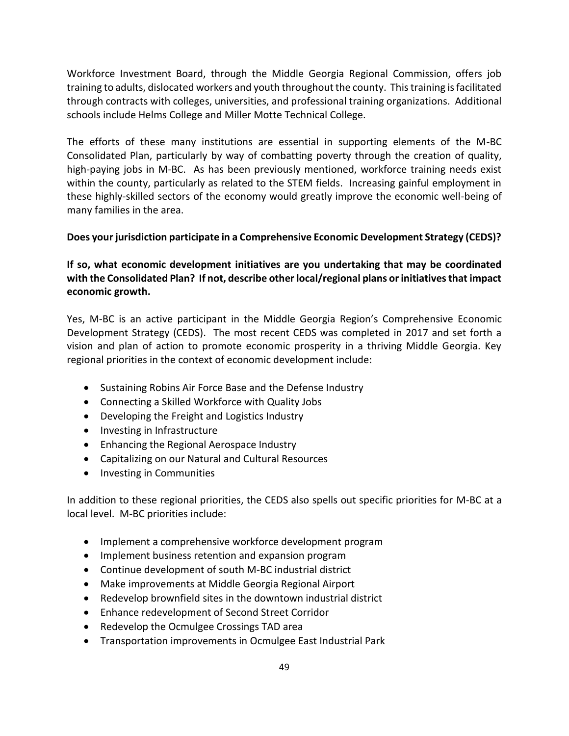Workforce Investment Board, through the Middle Georgia Regional Commission, offers job training to adults, dislocated workers and youth throughout the county. This training is facilitated through contracts with colleges, universities, and professional training organizations. Additional schools include Helms College and Miller Motte Technical College.

The efforts of these many institutions are essential in supporting elements of the M-BC Consolidated Plan, particularly by way of combatting poverty through the creation of quality, high-paying jobs in M-BC. As has been previously mentioned, workforce training needs exist within the county, particularly as related to the STEM fields. Increasing gainful employment in these highly-skilled sectors of the economy would greatly improve the economic well-being of many families in the area.

#### **Does your jurisdiction participate in a Comprehensive Economic Development Strategy (CEDS)?**

**If so, what economic development initiatives are you undertaking that may be coordinated with the Consolidated Plan? If not, describe other local/regional plans or initiatives that impact economic growth.**

Yes, M-BC is an active participant in the Middle Georgia Region's Comprehensive Economic Development Strategy (CEDS). The most recent CEDS was completed in 2017 and set forth a vision and plan of action to promote economic prosperity in a thriving Middle Georgia. Key regional priorities in the context of economic development include:

- Sustaining Robins Air Force Base and the Defense Industry
- Connecting a Skilled Workforce with Quality Jobs
- Developing the Freight and Logistics Industry
- Investing in Infrastructure
- Enhancing the Regional Aerospace Industry
- Capitalizing on our Natural and Cultural Resources
- Investing in Communities

In addition to these regional priorities, the CEDS also spells out specific priorities for M-BC at a local level. M-BC priorities include:

- Implement a comprehensive workforce development program
- Implement business retention and expansion program
- Continue development of south M-BC industrial district
- Make improvements at Middle Georgia Regional Airport
- Redevelop brownfield sites in the downtown industrial district
- Enhance redevelopment of Second Street Corridor
- Redevelop the Ocmulgee Crossings TAD area
- Transportation improvements in Ocmulgee East Industrial Park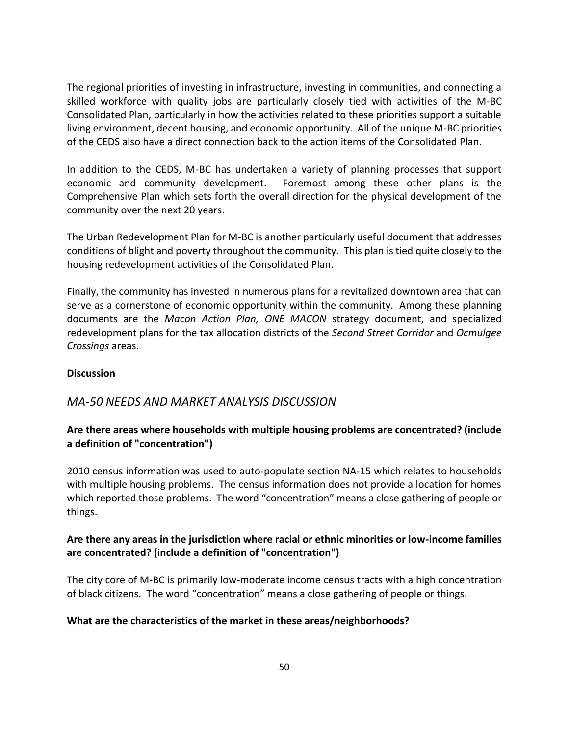The regional priorities of investing in infrastructure, investing in communities, and connecting a skilled workforce with quality jobs are particularly closely tied with activities of the M-BC Consolidated Plan, particularly in how the activities related to these priorities support a suitable living environment, decent housing, and economic opportunity. All of the unique M-BC priorities of the CEDS also have a direct connection back to the action items of the Consolidated Plan.

In addition to the CEDS, M-BC has undertaken a variety of planning processes that support economic and community development. Foremost among these other plans is the Comprehensive Plan which sets forth the overall direction for the physical development of the community over the next 20 years.

The Urban Redevelopment Plan for M-BC is another particularly useful document that addresses conditions of blight and poverty throughout the community. This plan is tied quite closely to the housing redevelopment activities of the Consolidated Plan.

Finally, the community has invested in numerous plans for a revitalized downtown area that can serve as a cornerstone of economic opportunity within the community. Among these planning documents are the *Macon Action Plan, ONE MACON* strategy document, and specialized redevelopment plans for the tax allocation districts of the *Second Street Corridor* and *Ocmulgee Crossings* areas.

#### **Discussion**

## *MA-50 NEEDS AND MARKET ANALYSIS DISCUSSION*

## **Are there areas where households with multiple housing problems are concentrated? (include a definition of "concentration")**

2010 census information was used to auto-populate section NA-15 which relates to households with multiple housing problems. The census information does not provide a location for homes which reported those problems. The word "concentration" means a close gathering of people or things.

#### **Are there any areas in the jurisdiction where racial or ethnic minorities or low-income families are concentrated? (include a definition of "concentration")**

The city core of M-BC is primarily low-moderate income census tracts with a high concentration of black citizens. The word "concentration" means a close gathering of people or things.

#### **What are the characteristics of the market in these areas/neighborhoods?**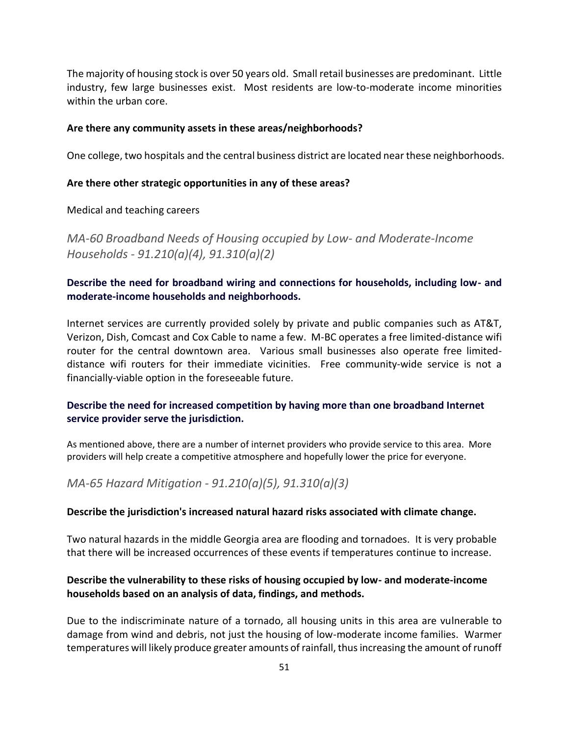The majority of housing stock is over 50 years old. Small retail businesses are predominant. Little industry, few large businesses exist. Most residents are low-to-moderate income minorities within the urban core.

#### **Are there any community assets in these areas/neighborhoods?**

One college, two hospitals and the central business district are located near these neighborhoods.

#### **Are there other strategic opportunities in any of these areas?**

Medical and teaching careers

*MA-60 Broadband Needs of Housing occupied by Low- and Moderate-Income Households - 91.210(a)(4), 91.310(a)(2)*

#### **Describe the need for broadband wiring and connections for households, including low- and moderate-income households and neighborhoods.**

Internet services are currently provided solely by private and public companies such as AT&T, Verizon, Dish, Comcast and Cox Cable to name a few. M-BC operates a free limited-distance wifi router for the central downtown area. Various small businesses also operate free limiteddistance wifi routers for their immediate vicinities. Free community-wide service is not a financially-viable option in the foreseeable future.

#### **Describe the need for increased competition by having more than one broadband Internet service provider serve the jurisdiction.**

As mentioned above, there are a number of internet providers who provide service to this area. More providers will help create a competitive atmosphere and hopefully lower the price for everyone.

*MA-65 Hazard Mitigation - 91.210(a)(5), 91.310(a)(3)*

#### **Describe the jurisdiction's increased natural hazard risks associated with climate change.**

Two natural hazards in the middle Georgia area are flooding and tornadoes. It is very probable that there will be increased occurrences of these events if temperatures continue to increase.

#### **Describe the vulnerability to these risks of housing occupied by low- and moderate-income households based on an analysis of data, findings, and methods.**

Due to the indiscriminate nature of a tornado, all housing units in this area are vulnerable to damage from wind and debris, not just the housing of low-moderate income families. Warmer temperatures will likely produce greater amounts of rainfall, thus increasing the amount of runoff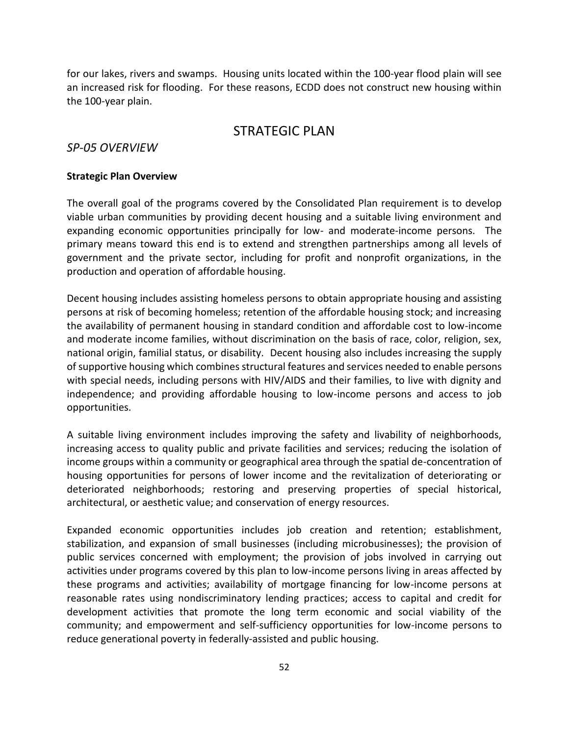for our lakes, rivers and swamps. Housing units located within the 100-year flood plain will see an increased risk for flooding. For these reasons, ECDD does not construct new housing within the 100-year plain.

# STRATEGIC PLAN

#### *SP-05 OVERVIEW*

#### **Strategic Plan Overview**

The overall goal of the programs covered by the Consolidated Plan requirement is to develop viable urban communities by providing decent housing and a suitable living environment and expanding economic opportunities principally for low- and moderate-income persons. The primary means toward this end is to extend and strengthen partnerships among all levels of government and the private sector, including for profit and nonprofit organizations, in the production and operation of affordable housing.

Decent housing includes assisting homeless persons to obtain appropriate housing and assisting persons at risk of becoming homeless; retention of the affordable housing stock; and increasing the availability of permanent housing in standard condition and affordable cost to low-income and moderate income families, without discrimination on the basis of race, color, religion, sex, national origin, familial status, or disability. Decent housing also includes increasing the supply of supportive housing which combines structural features and services needed to enable persons with special needs, including persons with HIV/AIDS and their families, to live with dignity and independence; and providing affordable housing to low-income persons and access to job opportunities.

A suitable living environment includes improving the safety and livability of neighborhoods, increasing access to quality public and private facilities and services; reducing the isolation of income groups within a community or geographical area through the spatial de-concentration of housing opportunities for persons of lower income and the revitalization of deteriorating or deteriorated neighborhoods; restoring and preserving properties of special historical, architectural, or aesthetic value; and conservation of energy resources.

Expanded economic opportunities includes job creation and retention; establishment, stabilization, and expansion of small businesses (including microbusinesses); the provision of public services concerned with employment; the provision of jobs involved in carrying out activities under programs covered by this plan to low-income persons living in areas affected by these programs and activities; availability of mortgage financing for low-income persons at reasonable rates using nondiscriminatory lending practices; access to capital and credit for development activities that promote the long term economic and social viability of the community; and empowerment and self-sufficiency opportunities for low-income persons to reduce generational poverty in federally-assisted and public housing.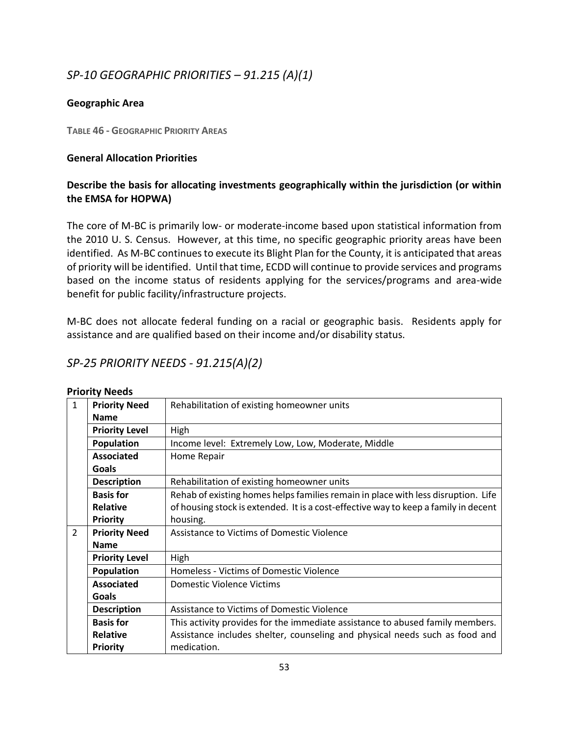# *SP-10 GEOGRAPHIC PRIORITIES – 91.215 (A)(1)*

#### **Geographic Area**

**TABLE 46 - GEOGRAPHIC PRIORITY AREAS**

#### **General Allocation Priorities**

## **Describe the basis for allocating investments geographically within the jurisdiction (or within the EMSA for HOPWA)**

The core of M-BC is primarily low- or moderate-income based upon statistical information from the 2010 U. S. Census. However, at this time, no specific geographic priority areas have been identified. As M-BC continues to execute its Blight Plan for the County, it is anticipated that areas of priority will be identified. Until that time, ECDD will continue to provide services and programs based on the income status of residents applying for the services/programs and area-wide benefit for public facility/infrastructure projects.

M-BC does not allocate federal funding on a racial or geographic basis. Residents apply for assistance and are qualified based on their income and/or disability status.

# *SP-25 PRIORITY NEEDS - 91.215(A)(2)*

| $\mathbf{1}$  | <b>Priority Need</b>  | Rehabilitation of existing homeowner units                                          |
|---------------|-----------------------|-------------------------------------------------------------------------------------|
|               | <b>Name</b>           |                                                                                     |
|               | <b>Priority Level</b> | High                                                                                |
|               | <b>Population</b>     | Income level: Extremely Low, Low, Moderate, Middle                                  |
|               | <b>Associated</b>     | Home Repair                                                                         |
|               | Goals                 |                                                                                     |
|               | <b>Description</b>    | Rehabilitation of existing homeowner units                                          |
|               | <b>Basis for</b>      | Rehab of existing homes helps families remain in place with less disruption. Life   |
|               | <b>Relative</b>       | of housing stock is extended. It is a cost-effective way to keep a family in decent |
|               | <b>Priority</b>       | housing.                                                                            |
| $\mathcal{L}$ | <b>Priority Need</b>  | Assistance to Victims of Domestic Violence                                          |
|               | <b>Name</b>           |                                                                                     |
|               | <b>Priority Level</b> | High                                                                                |
|               | <b>Population</b>     | Homeless - Victims of Domestic Violence                                             |
|               | <b>Associated</b>     | <b>Domestic Violence Victims</b>                                                    |
|               | <b>Goals</b>          |                                                                                     |
|               | <b>Description</b>    | Assistance to Victims of Domestic Violence                                          |
|               | <b>Basis for</b>      | This activity provides for the immediate assistance to abused family members.       |
|               | Relative              | Assistance includes shelter, counseling and physical needs such as food and         |
|               | <b>Priority</b>       | medication.                                                                         |

#### **Priority Needs**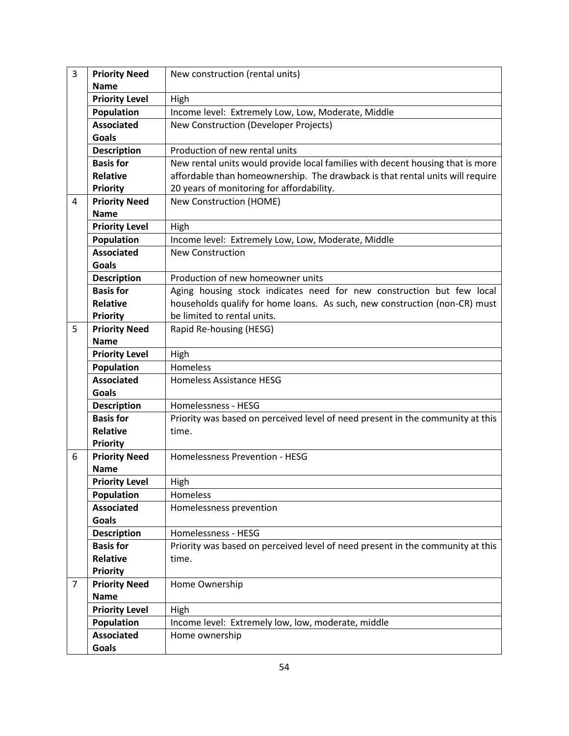| $\overline{3}$ | <b>Priority Need</b>                   | New construction (rental units)                                                |
|----------------|----------------------------------------|--------------------------------------------------------------------------------|
|                | <b>Name</b>                            |                                                                                |
|                | <b>Priority Level</b>                  | High                                                                           |
|                | Population                             | Income level: Extremely Low, Low, Moderate, Middle                             |
|                | <b>Associated</b>                      | New Construction (Developer Projects)                                          |
|                | <b>Goals</b>                           |                                                                                |
|                | <b>Description</b>                     | Production of new rental units                                                 |
|                | <b>Basis for</b>                       | New rental units would provide local families with decent housing that is more |
|                | <b>Relative</b>                        | affordable than homeownership. The drawback is that rental units will require  |
|                | <b>Priority</b>                        | 20 years of monitoring for affordability.                                      |
| 4              | <b>Priority Need</b>                   | New Construction (HOME)                                                        |
|                | <b>Name</b>                            |                                                                                |
|                | <b>Priority Level</b>                  | High                                                                           |
|                | Population                             | Income level: Extremely Low, Low, Moderate, Middle                             |
|                | <b>Associated</b>                      | <b>New Construction</b>                                                        |
|                | <b>Goals</b>                           |                                                                                |
|                | <b>Description</b>                     | Production of new homeowner units                                              |
|                | <b>Basis for</b>                       | Aging housing stock indicates need for new construction but few local          |
|                | <b>Relative</b>                        | households qualify for home loans. As such, new construction (non-CR) must     |
|                | <b>Priority</b>                        | be limited to rental units.                                                    |
| 5              | <b>Priority Need</b>                   | Rapid Re-housing (HESG)                                                        |
|                | <b>Name</b>                            |                                                                                |
|                | <b>Priority Level</b>                  | High                                                                           |
|                | Population                             | Homeless                                                                       |
|                | <b>Associated</b>                      | Homeless Assistance HESG                                                       |
|                | <b>Goals</b>                           |                                                                                |
|                | <b>Description</b>                     | Homelessness - HESG                                                            |
|                | <b>Basis for</b>                       | Priority was based on perceived level of need present in the community at this |
|                | <b>Relative</b>                        | time.                                                                          |
|                | <b>Priority</b>                        |                                                                                |
| 6              | <b>Priority Need</b><br><b>Name</b>    | Homelessness Prevention - HESG                                                 |
|                |                                        |                                                                                |
|                | <b>Priority Level</b>                  | High                                                                           |
|                | <b>Population</b><br><b>Associated</b> | Homeless<br>Homelessness prevention                                            |
|                | <b>Goals</b>                           |                                                                                |
|                | <b>Description</b>                     | Homelessness - HESG                                                            |
|                | <b>Basis for</b>                       | Priority was based on perceived level of need present in the community at this |
|                | <b>Relative</b>                        | time.                                                                          |
|                | <b>Priority</b>                        |                                                                                |
| $\overline{7}$ | <b>Priority Need</b>                   | Home Ownership                                                                 |
|                | <b>Name</b>                            |                                                                                |
|                | <b>Priority Level</b>                  | High                                                                           |
|                | <b>Population</b>                      | Income level: Extremely low, low, moderate, middle                             |
|                | <b>Associated</b>                      | Home ownership                                                                 |
|                | <b>Goals</b>                           |                                                                                |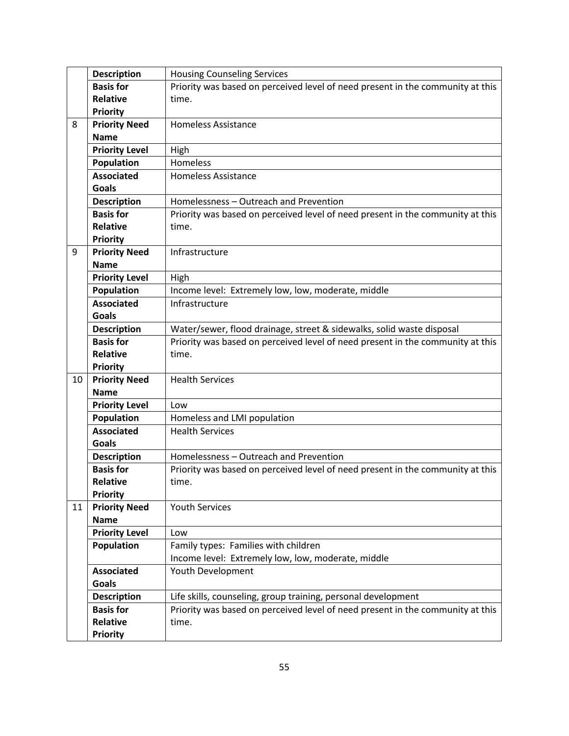|    | <b>Description</b>                     | <b>Housing Counseling Services</b>                                             |
|----|----------------------------------------|--------------------------------------------------------------------------------|
|    | <b>Basis for</b>                       | Priority was based on perceived level of need present in the community at this |
|    | Relative                               | time.                                                                          |
|    | <b>Priority</b>                        |                                                                                |
| 8  | <b>Priority Need</b>                   | <b>Homeless Assistance</b>                                                     |
|    | <b>Name</b>                            |                                                                                |
|    | <b>Priority Level</b>                  | High                                                                           |
|    | Population                             | Homeless                                                                       |
|    | <b>Associated</b>                      | <b>Homeless Assistance</b>                                                     |
|    | <b>Goals</b>                           |                                                                                |
|    | <b>Description</b>                     | Homelessness - Outreach and Prevention                                         |
|    | <b>Basis for</b>                       | Priority was based on perceived level of need present in the community at this |
|    | <b>Relative</b>                        | time.                                                                          |
|    | <b>Priority</b>                        |                                                                                |
| 9  | <b>Priority Need</b>                   | Infrastructure                                                                 |
|    | <b>Name</b>                            |                                                                                |
|    | <b>Priority Level</b>                  | High                                                                           |
|    | <b>Population</b>                      | Income level: Extremely low, low, moderate, middle                             |
|    | <b>Associated</b>                      | Infrastructure                                                                 |
|    | <b>Goals</b>                           |                                                                                |
|    | <b>Description</b>                     | Water/sewer, flood drainage, street & sidewalks, solid waste disposal          |
|    | <b>Basis for</b>                       | Priority was based on perceived level of need present in the community at this |
|    | <b>Relative</b>                        | time.                                                                          |
|    | <b>Priority</b>                        |                                                                                |
| 10 | <b>Priority Need</b>                   | <b>Health Services</b>                                                         |
|    | <b>Name</b>                            |                                                                                |
|    | <b>Priority Level</b>                  | Low                                                                            |
|    | Population                             | Homeless and LMI population                                                    |
|    | <b>Associated</b>                      | <b>Health Services</b>                                                         |
|    | <b>Goals</b>                           |                                                                                |
|    | <b>Description</b>                     | Homelessness - Outreach and Prevention                                         |
|    | <b>Basis for</b>                       | Priority was based on perceived level of need present in the community at this |
|    | <b>Relative</b>                        | time.                                                                          |
|    | Priority                               |                                                                                |
| 11 | <b>Priority Need</b>                   | <b>Youth Services</b>                                                          |
|    | <b>Name</b>                            |                                                                                |
|    | <b>Priority Level</b>                  | Low                                                                            |
|    | <b>Population</b>                      | Family types: Families with children                                           |
|    |                                        | Income level: Extremely low, low, moderate, middle                             |
|    | <b>Associated</b><br><b>Goals</b>      | Youth Development                                                              |
|    |                                        |                                                                                |
|    | <b>Description</b><br><b>Basis for</b> | Life skills, counseling, group training, personal development                  |
|    | <b>Relative</b>                        | Priority was based on perceived level of need present in the community at this |
|    |                                        | time.                                                                          |
|    | <b>Priority</b>                        |                                                                                |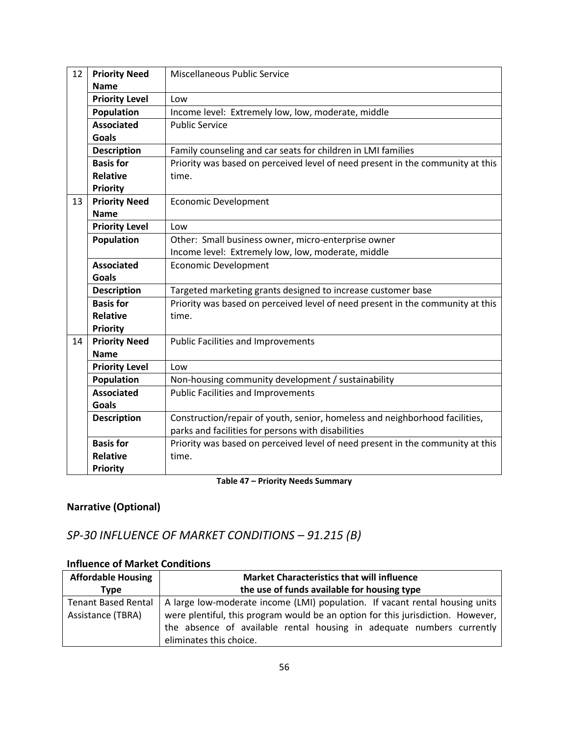| 12                                                               | <b>Priority Need</b>                       | Miscellaneous Public Service                                                   |  |
|------------------------------------------------------------------|--------------------------------------------|--------------------------------------------------------------------------------|--|
|                                                                  | <b>Name</b>                                |                                                                                |  |
|                                                                  | <b>Priority Level</b>                      | Low                                                                            |  |
| Population<br>Income level: Extremely low, low, moderate, middle |                                            |                                                                                |  |
|                                                                  | <b>Associated</b><br><b>Public Service</b> |                                                                                |  |
|                                                                  | <b>Goals</b>                               |                                                                                |  |
|                                                                  | <b>Description</b>                         | Family counseling and car seats for children in LMI families                   |  |
|                                                                  | <b>Basis for</b>                           | Priority was based on perceived level of need present in the community at this |  |
|                                                                  | <b>Relative</b>                            | time.                                                                          |  |
|                                                                  | <b>Priority</b>                            |                                                                                |  |
| 13                                                               | <b>Priority Need</b>                       | <b>Economic Development</b>                                                    |  |
|                                                                  | <b>Name</b>                                |                                                                                |  |
|                                                                  | <b>Priority Level</b>                      | Low                                                                            |  |
|                                                                  | <b>Population</b>                          | Other: Small business owner, micro-enterprise owner                            |  |
|                                                                  |                                            | Income level: Extremely low, low, moderate, middle                             |  |
|                                                                  | <b>Associated</b>                          | <b>Economic Development</b>                                                    |  |
|                                                                  | <b>Goals</b>                               |                                                                                |  |
|                                                                  | <b>Description</b>                         | Targeted marketing grants designed to increase customer base                   |  |
|                                                                  | <b>Basis for</b>                           | Priority was based on perceived level of need present in the community at this |  |
|                                                                  | <b>Relative</b>                            | time.                                                                          |  |
|                                                                  | <b>Priority</b>                            |                                                                                |  |
| 14                                                               | <b>Priority Need</b>                       | <b>Public Facilities and Improvements</b>                                      |  |
|                                                                  | <b>Name</b>                                |                                                                                |  |
|                                                                  | <b>Priority Level</b>                      | Low                                                                            |  |
|                                                                  | Population                                 | Non-housing community development / sustainability                             |  |
|                                                                  | <b>Associated</b>                          | <b>Public Facilities and Improvements</b>                                      |  |
|                                                                  | <b>Goals</b>                               |                                                                                |  |
|                                                                  | <b>Description</b>                         | Construction/repair of youth, senior, homeless and neighborhood facilities,    |  |
|                                                                  |                                            | parks and facilities for persons with disabilities                             |  |
|                                                                  | <b>Basis for</b>                           | Priority was based on perceived level of need present in the community at this |  |
|                                                                  | <b>Relative</b>                            | time.                                                                          |  |
|                                                                  | <b>Priority</b>                            |                                                                                |  |

**Table 47 – Priority Needs Summary**

# **Narrative (Optional)**

# *SP-30 INFLUENCE OF MARKET CONDITIONS – 91.215 (B)*

## **Influence of Market Conditions**

| <b>Affordable Housing</b>  | <b>Market Characteristics that will influence</b>                               |  |  |
|----------------------------|---------------------------------------------------------------------------------|--|--|
| Type                       | the use of funds available for housing type                                     |  |  |
| <b>Tenant Based Rental</b> | A large low-moderate income (LMI) population. If vacant rental housing units    |  |  |
| Assistance (TBRA)          | were plentiful, this program would be an option for this jurisdiction. However, |  |  |
|                            | the absence of available rental housing in adequate numbers currently           |  |  |
|                            | eliminates this choice.                                                         |  |  |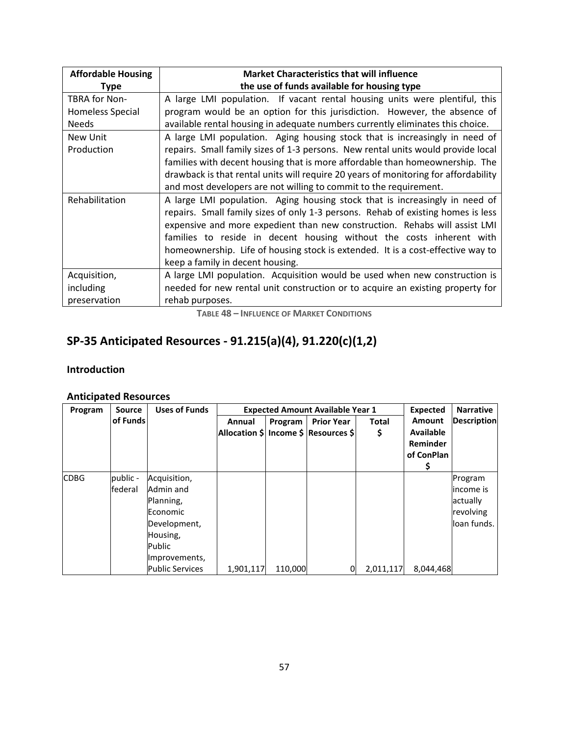| <b>Affordable Housing</b> | <b>Market Characteristics that will influence</b>                                   |
|---------------------------|-------------------------------------------------------------------------------------|
| <b>Type</b>               | the use of funds available for housing type                                         |
| <b>TBRA for Non-</b>      | A large LMI population. If vacant rental housing units were plentiful, this         |
| Homeless Special          | program would be an option for this jurisdiction. However, the absence of           |
| <b>Needs</b>              | available rental housing in adequate numbers currently eliminates this choice.      |
| New Unit                  | A large LMI population. Aging housing stock that is increasingly in need of         |
| Production                | repairs. Small family sizes of 1-3 persons. New rental units would provide local    |
|                           | families with decent housing that is more affordable than homeownership. The        |
|                           | drawback is that rental units will require 20 years of monitoring for affordability |
|                           | and most developers are not willing to commit to the requirement.                   |
| Rehabilitation            | A large LMI population. Aging housing stock that is increasingly in need of         |
|                           | repairs. Small family sizes of only 1-3 persons. Rehab of existing homes is less    |
|                           | expensive and more expedient than new construction. Rehabs will assist LMI          |
|                           | families to reside in decent housing without the costs inherent with                |
|                           | homeownership. Life of housing stock is extended. It is a cost-effective way to     |
|                           | keep a family in decent housing.                                                    |
| Acquisition,              | A large LMI population. Acquisition would be used when new construction is          |
| including                 | needed for new rental unit construction or to acquire an existing property for      |
| preservation              | rehab purposes.                                                                     |

**TABLE 48 – INFLUENCE OF MARKET CONDITIONS**

# **SP-35 Anticipated Resources - 91.215(a)(4), 91.220(c)(1,2)**

### **Introduction**

# **Anticipated Resources**

| Program     | <b>Source</b>       | <b>Uses of Funds</b>                                                                                                                 |           | <b>Expected Amount Available Year 1</b> |                                                           | <b>Expected</b>    | <b>Narrative</b>                  |                                                               |
|-------------|---------------------|--------------------------------------------------------------------------------------------------------------------------------------|-----------|-----------------------------------------|-----------------------------------------------------------|--------------------|-----------------------------------|---------------------------------------------------------------|
|             | of Funds            |                                                                                                                                      | Annual    | Program                                 | <b>Prior Year</b><br>Allocation \$ Income \$ Resources \$ | <b>Total</b><br>\$ | <b>Amount</b><br><b>Available</b> | <b>Description</b>                                            |
|             |                     |                                                                                                                                      |           |                                         |                                                           |                    | Reminder<br>of ConPlan            |                                                               |
|             |                     |                                                                                                                                      |           |                                         |                                                           |                    |                                   |                                                               |
| <b>CDBG</b> | public -<br>federal | Acquisition,<br>Admin and<br>Planning,<br>lEconomic<br>Development,<br>Housing,<br>Public<br>Improvements,<br><b>Public Services</b> | 1,901,117 | 110,000                                 | 0                                                         | 2,011,117          | 8,044,468                         | Program<br>lincome is<br>actually<br>revolving<br>loan funds. |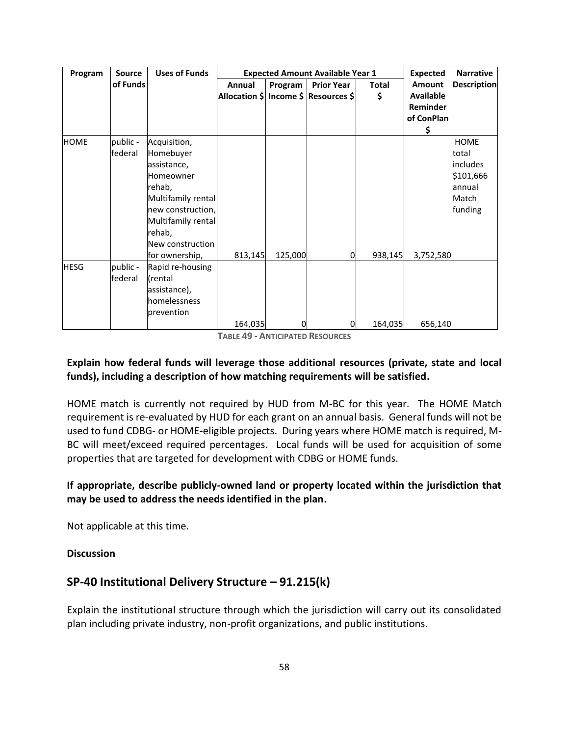| Program     | <b>Source</b> | <b>Uses of Funds</b> |         | <b>Expected Amount Available Year 1</b> | <b>Expected</b>                      | <b>Narrative</b> |                  |                    |
|-------------|---------------|----------------------|---------|-----------------------------------------|--------------------------------------|------------------|------------------|--------------------|
|             | of Funds      |                      | Annual  | Program                                 | <b>Prior Year</b>                    | <b>Total</b>     | Amount           | <b>Description</b> |
|             |               |                      |         |                                         | Allocation \$ Income \$ Resources \$ | \$               | <b>Available</b> |                    |
|             |               |                      |         |                                         |                                      |                  | Reminder         |                    |
|             |               |                      |         |                                         |                                      |                  | of ConPlan       |                    |
|             |               |                      |         |                                         |                                      |                  | \$               |                    |
| <b>HOME</b> | public -      | Acquisition,         |         |                                         |                                      |                  |                  | <b>HOME</b>        |
|             | federal       | Homebuyer            |         |                                         |                                      |                  |                  | total              |
|             |               | assistance,          |         |                                         |                                      |                  |                  | includes           |
|             |               | Homeowner            |         |                                         |                                      |                  |                  | \$101,666          |
|             |               | rehab,               |         |                                         |                                      |                  |                  | lannual            |
|             |               | Multifamily rental   |         |                                         |                                      |                  |                  | Match              |
|             |               | new construction,    |         |                                         |                                      |                  |                  | funding            |
|             |               | Multifamily rental   |         |                                         |                                      |                  |                  |                    |
|             |               | rehab,               |         |                                         |                                      |                  |                  |                    |
|             |               | New construction     |         |                                         |                                      |                  |                  |                    |
|             |               | for ownership,       | 813,145 | 125,000                                 | 0                                    | 938,145          | 3,752,580        |                    |
| <b>HESG</b> | public -      | Rapid re-housing     |         |                                         |                                      |                  |                  |                    |
|             | federal       | (rental              |         |                                         |                                      |                  |                  |                    |
|             |               | assistance),         |         |                                         |                                      |                  |                  |                    |
|             |               | homelessness         |         |                                         |                                      |                  |                  |                    |
|             |               | prevention           |         |                                         |                                      |                  |                  |                    |
|             |               |                      | 164,035 | 0                                       | 0                                    | 164,035          | 656,140          |                    |

**TABLE 49 - ANTICIPATED RESOURCES**

#### **Explain how federal funds will leverage those additional resources (private, state and local funds), including a description of how matching requirements will be satisfied.**

HOME match is currently not required by HUD from M-BC for this year. The HOME Match requirement is re-evaluated by HUD for each grant on an annual basis. General funds will not be used to fund CDBG- or HOME-eligible projects. During years where HOME match is required, M-BC will meet/exceed required percentages. Local funds will be used for acquisition of some properties that are targeted for development with CDBG or HOME funds.

## **If appropriate, describe publicly-owned land or property located within the jurisdiction that may be used to address the needs identified in the plan.**

Not applicable at this time.

#### **Discussion**

# **SP-40 Institutional Delivery Structure – 91.215(k)**

Explain the institutional structure through which the jurisdiction will carry out its consolidated plan including private industry, non-profit organizations, and public institutions.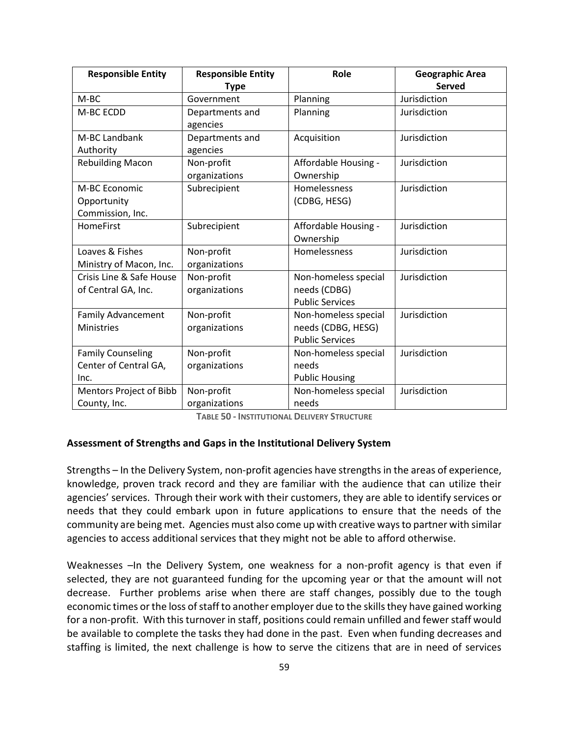| <b>Responsible Entity</b> | <b>Responsible Entity</b> | Role                   | <b>Geographic Area</b> |
|---------------------------|---------------------------|------------------------|------------------------|
|                           | <b>Type</b>               |                        | <b>Served</b>          |
| M-BC                      | Government                | Planning               | Jurisdiction           |
| M-BC ECDD                 | Departments and           | Planning               | Jurisdiction           |
|                           | agencies                  |                        |                        |
| M-BC Landbank             | Departments and           | Acquisition            | Jurisdiction           |
| Authority                 | agencies                  |                        |                        |
| <b>Rebuilding Macon</b>   | Non-profit                | Affordable Housing -   | Jurisdiction           |
|                           | organizations             | Ownership              |                        |
| M-BC Economic             | Subrecipient              | <b>Homelessness</b>    | Jurisdiction           |
| Opportunity               |                           | (CDBG, HESG)           |                        |
| Commission, Inc.          |                           |                        |                        |
| HomeFirst                 | Subrecipient              | Affordable Housing -   | Jurisdiction           |
|                           |                           | Ownership              |                        |
| Loaves & Fishes           | Non-profit                | Homelessness           | Jurisdiction           |
| Ministry of Macon, Inc.   | organizations             |                        |                        |
| Crisis Line & Safe House  | Non-profit                | Non-homeless special   | Jurisdiction           |
| of Central GA, Inc.       | organizations             | needs (CDBG)           |                        |
|                           |                           | <b>Public Services</b> |                        |
| <b>Family Advancement</b> | Non-profit                | Non-homeless special   | Jurisdiction           |
| <b>Ministries</b>         | organizations             | needs (CDBG, HESG)     |                        |
|                           |                           | <b>Public Services</b> |                        |
| <b>Family Counseling</b>  | Non-profit                | Non-homeless special   | Jurisdiction           |
| Center of Central GA,     | organizations             | needs                  |                        |
| Inc.                      |                           | <b>Public Housing</b>  |                        |
| Mentors Project of Bibb   | Non-profit                | Non-homeless special   | Jurisdiction           |
| County, Inc.              | organizations             | needs                  |                        |

**TABLE 50 - INSTITUTIONAL DELIVERY STRUCTURE**

#### **Assessment of Strengths and Gaps in the Institutional Delivery System**

Strengths – In the Delivery System, non-profit agencies have strengths in the areas of experience, knowledge, proven track record and they are familiar with the audience that can utilize their agencies' services. Through their work with their customers, they are able to identify services or needs that they could embark upon in future applications to ensure that the needs of the community are being met. Agencies must also come up with creative ways to partner with similar agencies to access additional services that they might not be able to afford otherwise.

Weaknesses –In the Delivery System, one weakness for a non-profit agency is that even if selected, they are not guaranteed funding for the upcoming year or that the amount will not decrease. Further problems arise when there are staff changes, possibly due to the tough economic times or the loss of staff to another employer due to the skills they have gained working for a non-profit. With this turnover in staff, positions could remain unfilled and fewer staff would be available to complete the tasks they had done in the past. Even when funding decreases and staffing is limited, the next challenge is how to serve the citizens that are in need of services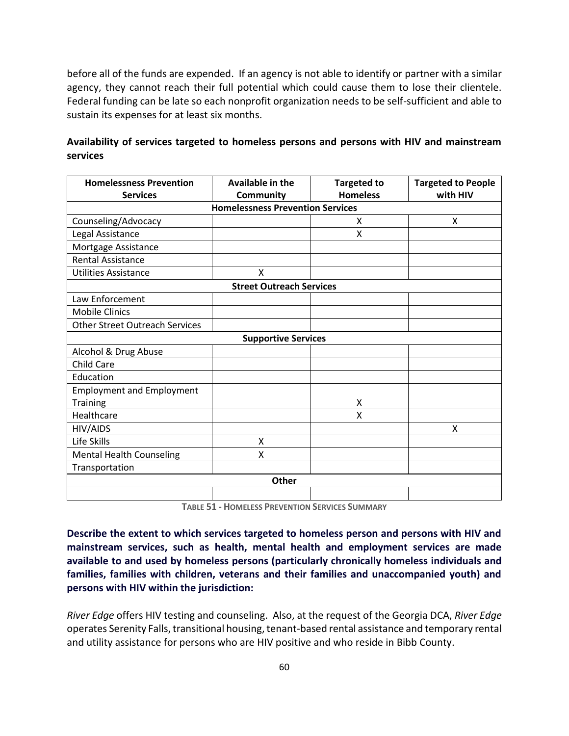before all of the funds are expended. If an agency is not able to identify or partner with a similar agency, they cannot reach their full potential which could cause them to lose their clientele. Federal funding can be late so each nonprofit organization needs to be self-sufficient and able to sustain its expenses for at least six months.

|          | Availability of services targeted to homeless persons and persons with HIV and mainstream |  |  |  |  |  |
|----------|-------------------------------------------------------------------------------------------|--|--|--|--|--|
| services |                                                                                           |  |  |  |  |  |

| <b>Homelessness Prevention</b>        | Available in the                        | <b>Targeted to</b> | <b>Targeted to People</b> |
|---------------------------------------|-----------------------------------------|--------------------|---------------------------|
| <b>Services</b>                       | <b>Community</b>                        | <b>Homeless</b>    | with HIV                  |
|                                       | <b>Homelessness Prevention Services</b> |                    |                           |
| Counseling/Advocacy                   |                                         | Χ                  | X                         |
| Legal Assistance                      |                                         | X                  |                           |
| Mortgage Assistance                   |                                         |                    |                           |
| <b>Rental Assistance</b>              |                                         |                    |                           |
| <b>Utilities Assistance</b>           | X                                       |                    |                           |
|                                       | <b>Street Outreach Services</b>         |                    |                           |
| Law Enforcement                       |                                         |                    |                           |
| <b>Mobile Clinics</b>                 |                                         |                    |                           |
| <b>Other Street Outreach Services</b> |                                         |                    |                           |
|                                       | <b>Supportive Services</b>              |                    |                           |
| Alcohol & Drug Abuse                  |                                         |                    |                           |
| Child Care                            |                                         |                    |                           |
| Education                             |                                         |                    |                           |
| <b>Employment and Employment</b>      |                                         |                    |                           |
| Training                              |                                         | Χ                  |                           |
| Healthcare                            |                                         | Χ                  |                           |
| HIV/AIDS                              |                                         |                    | Χ                         |
| Life Skills                           | X                                       |                    |                           |
| <b>Mental Health Counseling</b>       | Χ                                       |                    |                           |
| Transportation                        |                                         |                    |                           |
|                                       | Other                                   |                    |                           |
|                                       |                                         |                    |                           |

**TABLE 51 - HOMELESS PREVENTION SERVICES SUMMARY**

**Describe the extent to which services targeted to homeless person and persons with HIV and mainstream services, such as health, mental health and employment services are made available to and used by homeless persons (particularly chronically homeless individuals and families, families with children, veterans and their families and unaccompanied youth) and persons with HIV within the jurisdiction:** 

*River Edge* offers HIV testing and counseling. Also, at the request of the Georgia DCA, *River Edge* operates Serenity Falls, transitional housing, tenant-based rental assistance and temporary rental and utility assistance for persons who are HIV positive and who reside in Bibb County.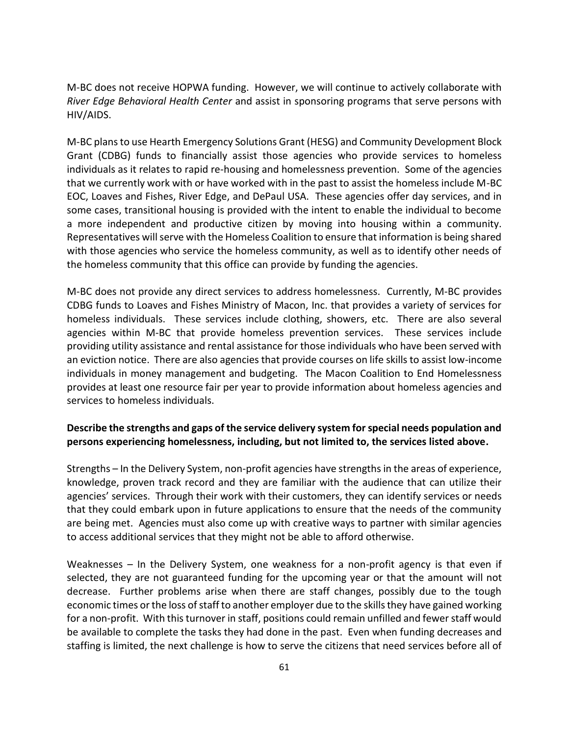M-BC does not receive HOPWA funding. However, we will continue to actively collaborate with *River Edge Behavioral Health Center* and assist in sponsoring programs that serve persons with HIV/AIDS.

M-BC plans to use Hearth Emergency Solutions Grant (HESG) and Community Development Block Grant (CDBG) funds to financially assist those agencies who provide services to homeless individuals as it relates to rapid re-housing and homelessness prevention. Some of the agencies that we currently work with or have worked with in the past to assist the homeless include M-BC EOC, Loaves and Fishes, River Edge, and DePaul USA. These agencies offer day services, and in some cases, transitional housing is provided with the intent to enable the individual to become a more independent and productive citizen by moving into housing within a community. Representatives will serve with the Homeless Coalition to ensure that information is being shared with those agencies who service the homeless community, as well as to identify other needs of the homeless community that this office can provide by funding the agencies.

M-BC does not provide any direct services to address homelessness. Currently, M-BC provides CDBG funds to Loaves and Fishes Ministry of Macon, Inc. that provides a variety of services for homeless individuals. These services include clothing, showers, etc. There are also several agencies within M-BC that provide homeless prevention services. These services include providing utility assistance and rental assistance for those individuals who have been served with an eviction notice. There are also agencies that provide courses on life skills to assist low-income individuals in money management and budgeting. The Macon Coalition to End Homelessness provides at least one resource fair per year to provide information about homeless agencies and services to homeless individuals.

#### **Describe the strengths and gaps of the service delivery system for special needs population and persons experiencing homelessness, including, but not limited to, the services listed above.**

Strengths – In the Delivery System, non-profit agencies have strengths in the areas of experience, knowledge, proven track record and they are familiar with the audience that can utilize their agencies' services. Through their work with their customers, they can identify services or needs that they could embark upon in future applications to ensure that the needs of the community are being met. Agencies must also come up with creative ways to partner with similar agencies to access additional services that they might not be able to afford otherwise.

Weaknesses – In the Delivery System, one weakness for a non-profit agency is that even if selected, they are not guaranteed funding for the upcoming year or that the amount will not decrease. Further problems arise when there are staff changes, possibly due to the tough economic times or the loss of staff to another employer due to the skills they have gained working for a non-profit. With this turnover in staff, positions could remain unfilled and fewer staff would be available to complete the tasks they had done in the past. Even when funding decreases and staffing is limited, the next challenge is how to serve the citizens that need services before all of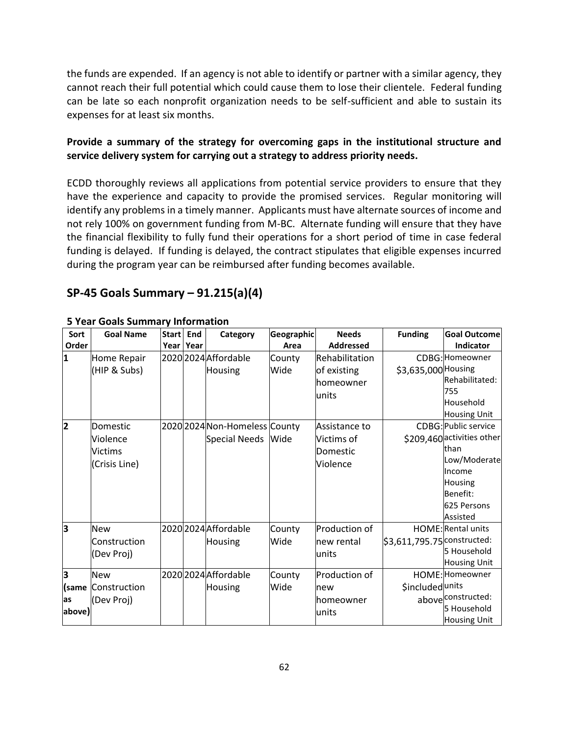the funds are expended. If an agency is not able to identify or partner with a similar agency, they cannot reach their full potential which could cause them to lose their clientele. Federal funding can be late so each nonprofit organization needs to be self-sufficient and able to sustain its expenses for at least six months.

#### **Provide a summary of the strategy for overcoming gaps in the institutional structure and service delivery system for carrying out a strategy to address priority needs.**

ECDD thoroughly reviews all applications from potential service providers to ensure that they have the experience and capacity to provide the promised services. Regular monitoring will identify any problems in a timely manner. Applicants must have alternate sources of income and not rely 100% on government funding from M-BC. Alternate funding will ensure that they have the financial flexibility to fully fund their operations for a short period of time in case federal funding is delayed. If funding is delayed, the contract stipulates that eligible expenses incurred during the program year can be reimbursed after funding becomes available.

# **SP-45 Goals Summary – 91.215(a)(4)**

| Sort   | <b>Goal Name</b>   | <b>Start</b> | End  | Category                      | Geographic | <b>Needs</b>     | <b>Funding</b>              | <b>Goal Outcome</b>         |
|--------|--------------------|--------------|------|-------------------------------|------------|------------------|-----------------------------|-----------------------------|
| Order  |                    | Yearl        | Year |                               | Area       | <b>Addressed</b> |                             | Indicator                   |
| 1      | Home Repair        |              |      | 2020 2024 Affordable          | County     | Rehabilitation   |                             | CDBG: Homeowner             |
|        | (HIP & Subs)       |              |      | Housing                       | Wide       | of existing      | \$3,635,000 Housing         |                             |
|        |                    |              |      |                               |            | lhomeowner       |                             | Rehabilitated:              |
|        |                    |              |      |                               |            | lunits           |                             | 755                         |
|        |                    |              |      |                               |            |                  |                             | <b>Household</b>            |
|        |                    |              |      |                               |            |                  |                             | <b>Housing Unit</b>         |
| 2      | Domestic           |              |      | 2020 2024 Non-Homeless County |            | Assistance to    |                             | <b>CDBG: Public service</b> |
|        | Violence           |              |      | Special Needs                 | Wide       | Nictims of       |                             | \$209,460 activities other  |
|        | <b>Victims</b>     |              |      |                               |            | Domestic         |                             | than                        |
|        | (Crisis Line)      |              |      |                               |            | Violence         |                             | Low/Moderate                |
|        |                    |              |      |                               |            |                  |                             | Income                      |
|        |                    |              |      |                               |            |                  |                             | Housing                     |
|        |                    |              |      |                               |            |                  |                             | Benefit:                    |
|        |                    |              |      |                               |            |                  |                             | 625 Persons                 |
|        |                    |              |      |                               |            |                  |                             | Assisted                    |
| l3     | <b>New</b>         |              |      | 2020 2024 Affordable          | County     | Production of    |                             | HOME: Rental units          |
|        | Construction       |              |      | <b>Housing</b>                | Wide       | lnew rental      | \$3,611,795.75 constructed: |                             |
|        | (Dev Proj)         |              |      |                               |            | lunits           |                             | 5 Household                 |
|        |                    |              |      |                               |            |                  |                             | <b>Housing Unit</b>         |
| 3      | <b>New</b>         |              |      | 2020 2024 Affordable          | County     | Production of    |                             | HOME: Homeowner             |
|        | (same Construction |              |      | Housing                       | Wide       | new              | <b>\$includedunits</b>      |                             |
| as     | (Dev Proj)         |              |      |                               |            | lhomeowner       |                             | aboveconstructed:           |
| above) |                    |              |      |                               |            | lunits           |                             | 5 Household                 |
|        |                    |              |      |                               |            |                  |                             | <b>Housing Unit</b>         |

#### **5 Year Goals Summary Information**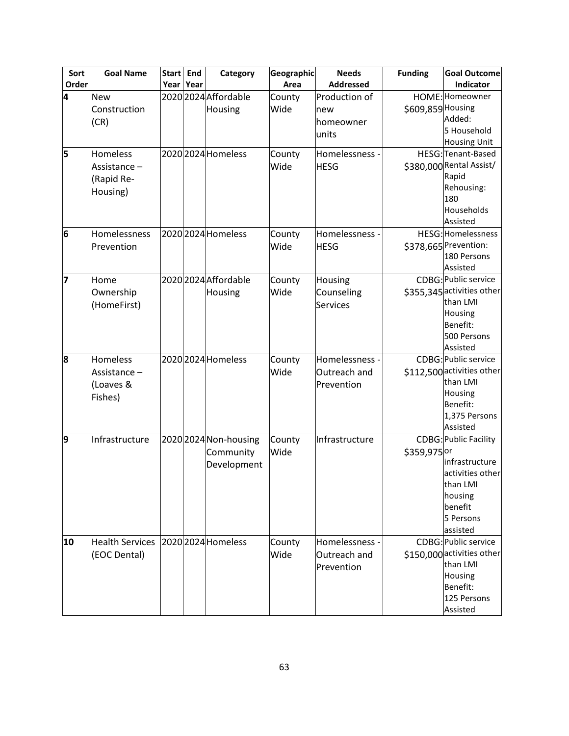| Sort  | <b>Goal Name</b>       | Start End |      | Category              | Geographic | <b>Needs</b>     | <b>Funding</b>    | <b>Goal Outcome</b>          |
|-------|------------------------|-----------|------|-----------------------|------------|------------------|-------------------|------------------------------|
| Order |                        | Year      | Year |                       | Area       | <b>Addressed</b> |                   | Indicator                    |
| 4     | <b>New</b>             |           |      | 2020 2024 Affordable  | County     | Production of    |                   | HOME: Homeowner              |
|       | Construction           |           |      | Housing               | Wide       | new              | \$609,859 Housing |                              |
|       | (CR)                   |           |      |                       |            | homeowner        |                   | Added:                       |
|       |                        |           |      |                       |            | units            |                   | 5 Household                  |
|       |                        |           |      |                       |            |                  |                   | <b>Housing Unit</b>          |
| 5     | <b>Homeless</b>        |           |      | 2020 2024 Homeless    | County     | Homelessness -   |                   | HESG: Tenant-Based           |
|       | Assistance-            |           |      |                       | Wide       | <b>HESG</b>      |                   | \$380,000 Rental Assist/     |
|       | (Rapid Re-             |           |      |                       |            |                  |                   | Rapid                        |
|       | Housing)               |           |      |                       |            |                  |                   | Rehousing:                   |
|       |                        |           |      |                       |            |                  |                   | 180                          |
|       |                        |           |      |                       |            |                  |                   | Households                   |
|       |                        |           |      |                       |            |                  |                   | Assisted                     |
| 6     | Homelessness           |           |      | 2020 2024 Homeless    | County     | Homelessness -   |                   | HESG: Homelessness           |
|       | Prevention             |           |      |                       | Wide       | <b>HESG</b>      |                   | \$378,665 Prevention:        |
|       |                        |           |      |                       |            |                  |                   | 180 Persons                  |
|       |                        |           |      |                       |            |                  |                   | Assisted                     |
| 17    | Home                   |           |      | 2020 2024 Affordable  | County     | Housing          |                   | CDBG: Public service         |
|       | Ownership              |           |      | Housing               | Wide       | Counseling       |                   | \$355,345 activities other   |
|       | (HomeFirst)            |           |      |                       |            | <b>Services</b>  |                   | than LMI                     |
|       |                        |           |      |                       |            |                  |                   | Housing                      |
|       |                        |           |      |                       |            |                  |                   | Benefit:                     |
|       |                        |           |      |                       |            |                  |                   | 500 Persons                  |
|       |                        |           |      |                       |            |                  |                   | Assisted                     |
| 8     | Homeless               |           |      | 2020 2024 Homeless    | County     | Homelessness -   |                   | CDBG: Public service         |
|       | Assistance-            |           |      |                       | Wide       | Outreach and     |                   | \$112,500 activities other   |
|       | (Loaves &              |           |      |                       |            | Prevention       |                   | than LMI                     |
|       | Fishes)                |           |      |                       |            |                  |                   | Housing                      |
|       |                        |           |      |                       |            |                  |                   | Benefit:                     |
|       |                        |           |      |                       |            |                  |                   | 1,375 Persons                |
|       |                        |           |      |                       |            |                  |                   | Assisted                     |
| 9     | Infrastructure         |           |      | 2020 2024 Non-housing | County     | Infrastructure   |                   | <b>CDBG: Public Facility</b> |
|       |                        |           |      | Community             | Wide       |                  | \$359,975 or      |                              |
|       |                        |           |      | Development           |            |                  |                   | infrastructure               |
|       |                        |           |      |                       |            |                  |                   | activities other<br>than LMI |
|       |                        |           |      |                       |            |                  |                   | housing                      |
|       |                        |           |      |                       |            |                  |                   | benefit                      |
|       |                        |           |      |                       |            |                  |                   | 5 Persons                    |
|       |                        |           |      |                       |            |                  |                   | assisted                     |
| 10    | <b>Health Services</b> |           |      | 2020 2024 Homeless    | County     | Homelessness -   |                   | CDBG: Public service         |
|       | (EOC Dental)           |           |      |                       | Wide       | Outreach and     |                   | \$150,000 activities other   |
|       |                        |           |      |                       |            |                  |                   | than LMI                     |
|       |                        |           |      |                       |            | Prevention       |                   | Housing                      |
|       |                        |           |      |                       |            |                  |                   | <b>Benefit:</b>              |
|       |                        |           |      |                       |            |                  |                   | 125 Persons                  |
|       |                        |           |      |                       |            |                  |                   | Assisted                     |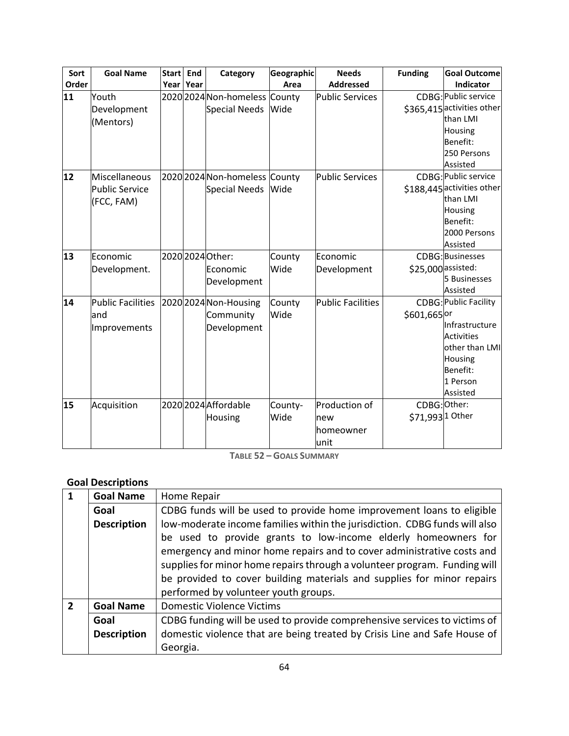| Sort  | <b>Goal Name</b>         | <b>Start</b> | End       | Category                      | Geographic | <b>Needs</b>             | <b>Funding</b>   | <b>Goal Outcome</b>          |
|-------|--------------------------|--------------|-----------|-------------------------------|------------|--------------------------|------------------|------------------------------|
| Order |                          |              | Year Year |                               | Area       | Addressed                |                  | Indicator                    |
| 11    | Youth                    |              |           | 2020 2024 Non-homeless County |            | <b>Public Services</b>   |                  | CDBG: Public service         |
|       | Development              |              |           | Special Needs                 | Wide       |                          |                  | \$365,415 activities other   |
|       | (Mentors)                |              |           |                               |            |                          |                  | than LMI                     |
|       |                          |              |           |                               |            |                          |                  | Housing                      |
|       |                          |              |           |                               |            |                          |                  | Benefit:                     |
|       |                          |              |           |                               |            |                          |                  | 250 Persons                  |
|       |                          |              |           |                               |            |                          |                  | Assisted                     |
| 12    | Miscellaneous            |              |           | 2020 2024 Non-homeless County |            | <b>Public Services</b>   |                  | CDBG: Public service         |
|       | <b>Public Service</b>    |              |           | Special Needs                 | Wide       |                          |                  | \$188,445 activities other   |
|       | (FCC, FAM)               |              |           |                               |            |                          |                  | than LMI                     |
|       |                          |              |           |                               |            |                          |                  | <b>Housing</b>               |
|       |                          |              |           |                               |            |                          |                  | Benefit:                     |
|       |                          |              |           |                               |            |                          |                  | 2000 Persons                 |
|       |                          |              |           |                               |            |                          |                  | Assisted                     |
| 13    | Economic                 |              |           | 2020 2024 Other:              | County     | Economic                 |                  | CDBG: Businesses             |
|       | Development.             |              |           | Economic                      | Wide       | Development              |                  | \$25,000 assisted:           |
|       |                          |              |           | Development                   |            |                          |                  | 5 Businesses                 |
|       |                          |              |           |                               |            |                          |                  | Assisted                     |
| 14    | <b>Public Facilities</b> |              |           | 2020 2024 Non-Housing         | County     | <b>Public Facilities</b> |                  | <b>CDBG: Public Facility</b> |
|       | land                     |              |           | Community                     | Wide       |                          | \$601,665or      |                              |
|       | Improvements             |              |           | Development                   |            |                          |                  | Infrastructure               |
|       |                          |              |           |                               |            |                          |                  | <b>Activities</b>            |
|       |                          |              |           |                               |            |                          |                  | other than LMI               |
|       |                          |              |           |                               |            |                          |                  | Housing<br>Benefit:          |
|       |                          |              |           |                               |            |                          |                  | 1 Person                     |
|       |                          |              |           |                               |            |                          |                  | Assisted                     |
| 15    |                          |              |           | 2020 2024 Affordable          |            | Production of            | CDBG: Other:     |                              |
|       | Acquisition              |              |           |                               | County-    |                          | \$71,993 1 Other |                              |
|       |                          |              |           | <b>Housing</b>                | Wide       | new                      |                  |                              |
|       |                          |              |           |                               |            | homeowner                |                  |                              |
|       |                          |              |           |                               |            | unit                     |                  |                              |

**TABLE 52 – GOALS SUMMARY**

## **Goal Descriptions**

|                          | <b>Goal Name</b>   | Home Repair                                                                                                                                                                                                                                                                                                                             |
|--------------------------|--------------------|-----------------------------------------------------------------------------------------------------------------------------------------------------------------------------------------------------------------------------------------------------------------------------------------------------------------------------------------|
|                          | Goal               | CDBG funds will be used to provide home improvement loans to eligible                                                                                                                                                                                                                                                                   |
|                          | <b>Description</b> | low-moderate income families within the jurisdiction. CDBG funds will also                                                                                                                                                                                                                                                              |
|                          |                    | be used to provide grants to low-income elderly homeowners for<br>emergency and minor home repairs and to cover administrative costs and<br>supplies for minor home repairs through a volunteer program. Funding will<br>be provided to cover building materials and supplies for minor repairs<br>performed by volunteer youth groups. |
| $\overline{\phantom{a}}$ | <b>Goal Name</b>   | <b>Domestic Violence Victims</b>                                                                                                                                                                                                                                                                                                        |
|                          | Goal               | CDBG funding will be used to provide comprehensive services to victims of                                                                                                                                                                                                                                                               |
|                          | <b>Description</b> | domestic violence that are being treated by Crisis Line and Safe House of                                                                                                                                                                                                                                                               |
|                          |                    | Georgia.                                                                                                                                                                                                                                                                                                                                |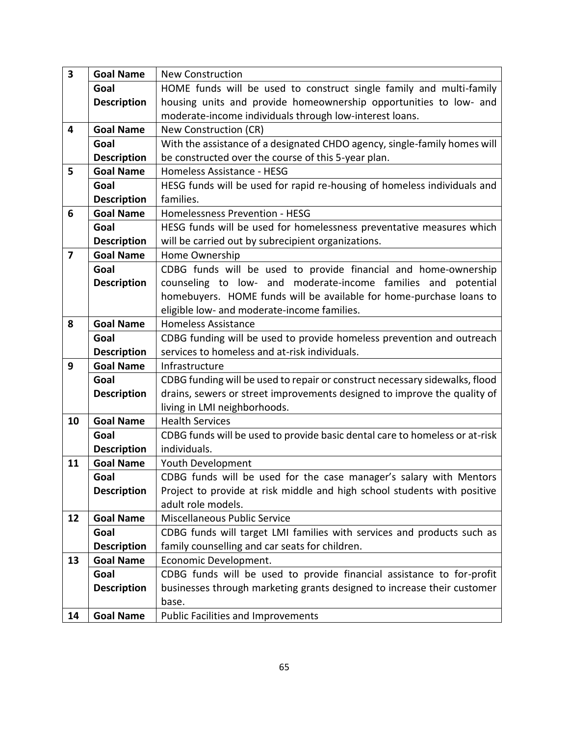| $\overline{\mathbf{3}}$ | <b>Goal Name</b>   | <b>New Construction</b>                                                     |
|-------------------------|--------------------|-----------------------------------------------------------------------------|
|                         | Goal               | HOME funds will be used to construct single family and multi-family         |
|                         | <b>Description</b> | housing units and provide homeownership opportunities to low- and           |
|                         |                    | moderate-income individuals through low-interest loans.                     |
| 4                       | <b>Goal Name</b>   | New Construction (CR)                                                       |
|                         | Goal               | With the assistance of a designated CHDO agency, single-family homes will   |
|                         | <b>Description</b> | be constructed over the course of this 5-year plan.                         |
| 5                       | <b>Goal Name</b>   | Homeless Assistance - HESG                                                  |
|                         | Goal               | HESG funds will be used for rapid re-housing of homeless individuals and    |
|                         | <b>Description</b> | families.                                                                   |
| 6                       | <b>Goal Name</b>   | Homelessness Prevention - HESG                                              |
|                         | Goal               | HESG funds will be used for homelessness preventative measures which        |
|                         | <b>Description</b> | will be carried out by subrecipient organizations.                          |
| $\overline{\mathbf{z}}$ | <b>Goal Name</b>   | Home Ownership                                                              |
|                         | Goal               | CDBG funds will be used to provide financial and home-ownership             |
|                         | <b>Description</b> | counseling to low- and moderate-income families and potential               |
|                         |                    | homebuyers. HOME funds will be available for home-purchase loans to         |
|                         |                    | eligible low- and moderate-income families.                                 |
| 8                       | <b>Goal Name</b>   | <b>Homeless Assistance</b>                                                  |
|                         | Goal               | CDBG funding will be used to provide homeless prevention and outreach       |
|                         | <b>Description</b> | services to homeless and at-risk individuals.                               |
| 9                       | <b>Goal Name</b>   | Infrastructure                                                              |
|                         | Goal               | CDBG funding will be used to repair or construct necessary sidewalks, flood |
|                         | <b>Description</b> | drains, sewers or street improvements designed to improve the quality of    |
|                         |                    | living in LMI neighborhoods.                                                |
| 10                      | <b>Goal Name</b>   | <b>Health Services</b>                                                      |
|                         | Goal               | CDBG funds will be used to provide basic dental care to homeless or at-risk |
|                         | <b>Description</b> | individuals.                                                                |
| 11                      | <b>Goal Name</b>   | Youth Development                                                           |
|                         | Goal               | CDBG funds will be used for the case manager's salary with Mentors          |
|                         | <b>Description</b> | Project to provide at risk middle and high school students with positive    |
|                         |                    | adult role models.                                                          |
| 12                      | <b>Goal Name</b>   | Miscellaneous Public Service                                                |
|                         | Goal               | CDBG funds will target LMI families with services and products such as      |
|                         | <b>Description</b> | family counselling and car seats for children.                              |
| 13                      | <b>Goal Name</b>   | Economic Development.                                                       |
|                         | Goal               | CDBG funds will be used to provide financial assistance to for-profit       |
|                         | <b>Description</b> | businesses through marketing grants designed to increase their customer     |
|                         |                    | base.                                                                       |
| 14                      | <b>Goal Name</b>   | <b>Public Facilities and Improvements</b>                                   |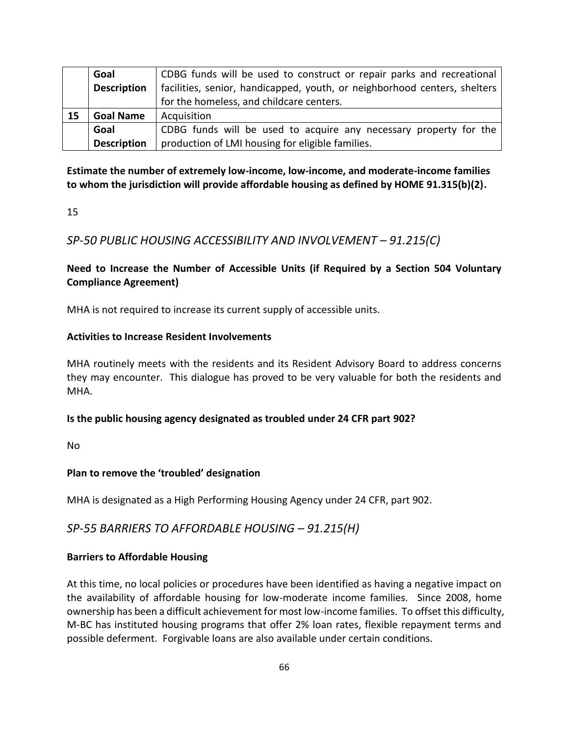|    | Goal               | CDBG funds will be used to construct or repair parks and recreational     |
|----|--------------------|---------------------------------------------------------------------------|
|    | <b>Description</b> | facilities, senior, handicapped, youth, or neighborhood centers, shelters |
|    |                    | for the homeless, and childcare centers.                                  |
| 15 | <b>Goal Name</b>   | Acquisition                                                               |
|    | Goal               | CDBG funds will be used to acquire any necessary property for the         |
|    | <b>Description</b> | production of LMI housing for eligible families.                          |

**Estimate the number of extremely low-income, low-income, and moderate-income families to whom the jurisdiction will provide affordable housing as defined by HOME 91.315(b)(2).**

15

*SP-50 PUBLIC HOUSING ACCESSIBILITY AND INVOLVEMENT – 91.215(C)*

**Need to Increase the Number of Accessible Units (if Required by a Section 504 Voluntary Compliance Agreement)** 

MHA is not required to increase its current supply of accessible units.

#### **Activities to Increase Resident Involvements**

MHA routinely meets with the residents and its Resident Advisory Board to address concerns they may encounter. This dialogue has proved to be very valuable for both the residents and MHA.

#### **Is the public housing agency designated as troubled under 24 CFR part 902?**

No

#### **Plan to remove the 'troubled' designation**

MHA is designated as a High Performing Housing Agency under 24 CFR, part 902.

## *SP-55 BARRIERS TO AFFORDABLE HOUSING – 91.215(H)*

#### **Barriers to Affordable Housing**

At this time, no local policies or procedures have been identified as having a negative impact on the availability of affordable housing for low-moderate income families. Since 2008, home ownership has been a difficult achievement for most low-income families. To offset this difficulty, M-BC has instituted housing programs that offer 2% loan rates, flexible repayment terms and possible deferment. Forgivable loans are also available under certain conditions.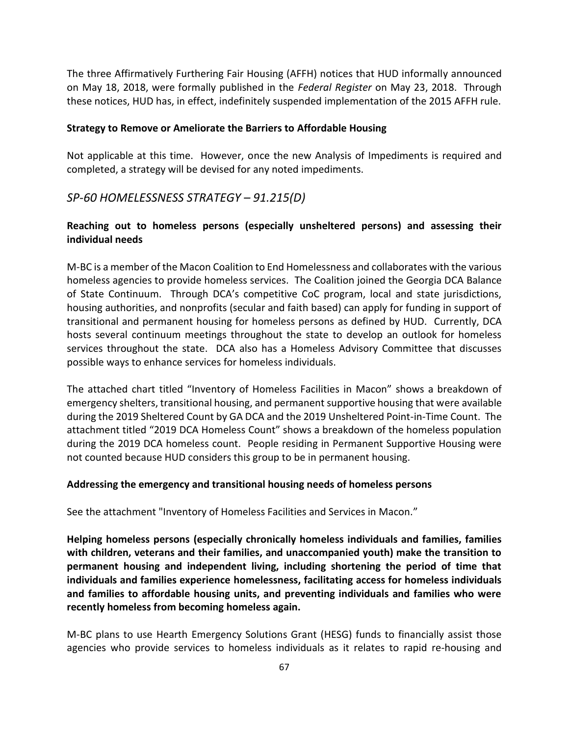The three Affirmatively Furthering Fair Housing (AFFH) notices that HUD informally announced on May 18, 2018, were formally published in the *Federal Register* on May 23, 2018. Through these notices, HUD has, in effect, indefinitely suspended implementation of the 2015 AFFH rule.

#### **Strategy to Remove or Ameliorate the Barriers to Affordable Housing**

Not applicable at this time. However, once the new Analysis of Impediments is required and completed, a strategy will be devised for any noted impediments.

#### *SP-60 HOMELESSNESS STRATEGY – 91.215(D)*

#### **Reaching out to homeless persons (especially unsheltered persons) and assessing their individual needs**

M-BC is a member of the Macon Coalition to End Homelessness and collaborates with the various homeless agencies to provide homeless services. The Coalition joined the Georgia DCA Balance of State Continuum. Through DCA's competitive CoC program, local and state jurisdictions, housing authorities, and nonprofits (secular and faith based) can apply for funding in support of transitional and permanent housing for homeless persons as defined by HUD. Currently, DCA hosts several continuum meetings throughout the state to develop an outlook for homeless services throughout the state. DCA also has a Homeless Advisory Committee that discusses possible ways to enhance services for homeless individuals.

The attached chart titled "Inventory of Homeless Facilities in Macon" shows a breakdown of emergency shelters, transitional housing, and permanent supportive housing that were available during the 2019 Sheltered Count by GA DCA and the 2019 Unsheltered Point-in-Time Count. The attachment titled "2019 DCA Homeless Count" shows a breakdown of the homeless population during the 2019 DCA homeless count. People residing in Permanent Supportive Housing were not counted because HUD considers this group to be in permanent housing.

#### **Addressing the emergency and transitional housing needs of homeless persons**

See the attachment "Inventory of Homeless Facilities and Services in Macon."

**Helping homeless persons (especially chronically homeless individuals and families, families with children, veterans and their families, and unaccompanied youth) make the transition to permanent housing and independent living, including shortening the period of time that individuals and families experience homelessness, facilitating access for homeless individuals and families to affordable housing units, and preventing individuals and families who were recently homeless from becoming homeless again.**

M-BC plans to use Hearth Emergency Solutions Grant (HESG) funds to financially assist those agencies who provide services to homeless individuals as it relates to rapid re-housing and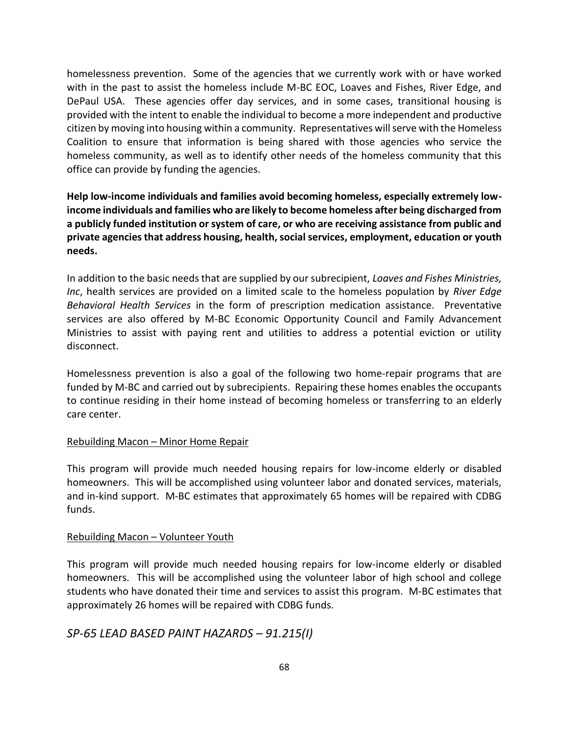homelessness prevention. Some of the agencies that we currently work with or have worked with in the past to assist the homeless include M-BC EOC, Loaves and Fishes, River Edge, and DePaul USA. These agencies offer day services, and in some cases, transitional housing is provided with the intent to enable the individual to become a more independent and productive citizen by moving into housing within a community. Representatives will serve with the Homeless Coalition to ensure that information is being shared with those agencies who service the homeless community, as well as to identify other needs of the homeless community that this office can provide by funding the agencies.

**Help low-income individuals and families avoid becoming homeless, especially extremely lowincome individuals and families who are likely to become homeless after being discharged from a publicly funded institution or system of care, or who are receiving assistance from public and private agencies that address housing, health, social services, employment, education or youth needs.**

In addition to the basic needs that are supplied by our subrecipient, *Loaves and Fishes Ministries, Inc*, health services are provided on a limited scale to the homeless population by *River Edge Behavioral Health Services* in the form of prescription medication assistance. Preventative services are also offered by M-BC Economic Opportunity Council and Family Advancement Ministries to assist with paying rent and utilities to address a potential eviction or utility disconnect.

Homelessness prevention is also a goal of the following two home-repair programs that are funded by M-BC and carried out by subrecipients. Repairing these homes enables the occupants to continue residing in their home instead of becoming homeless or transferring to an elderly care center.

#### Rebuilding Macon – Minor Home Repair

This program will provide much needed housing repairs for low-income elderly or disabled homeowners. This will be accomplished using volunteer labor and donated services, materials, and in-kind support. M-BC estimates that approximately 65 homes will be repaired with CDBG funds.

#### Rebuilding Macon – Volunteer Youth

This program will provide much needed housing repairs for low-income elderly or disabled homeowners. This will be accomplished using the volunteer labor of high school and college students who have donated their time and services to assist this program. M-BC estimates that approximately 26 homes will be repaired with CDBG funds.

## *SP-65 LEAD BASED PAINT HAZARDS – 91.215(I)*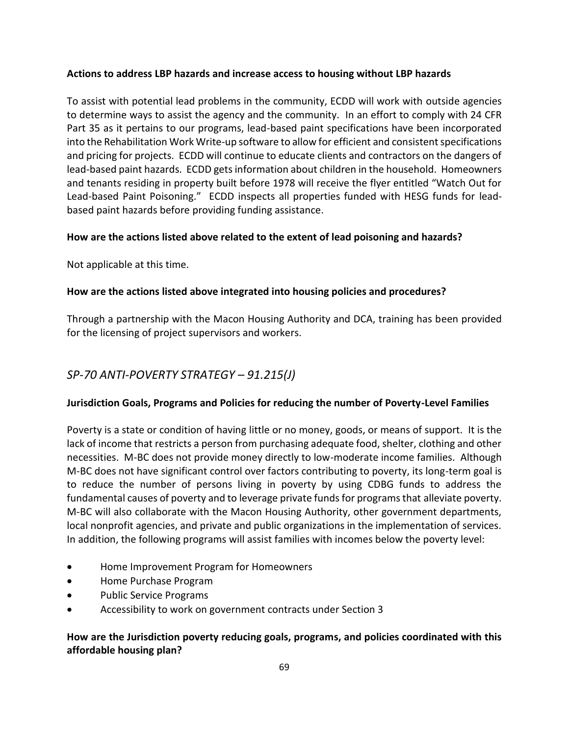#### **Actions to address LBP hazards and increase access to housing without LBP hazards**

To assist with potential lead problems in the community, ECDD will work with outside agencies to determine ways to assist the agency and the community. In an effort to comply with 24 CFR Part 35 as it pertains to our programs, lead-based paint specifications have been incorporated into the Rehabilitation Work Write-up software to allow for efficient and consistent specifications and pricing for projects. ECDD will continue to educate clients and contractors on the dangers of lead-based paint hazards. ECDD getsinformation about children in the household. Homeowners and tenants residing in property built before 1978 will receive the flyer entitled "Watch Out for Lead-based Paint Poisoning." ECDD inspects all properties funded with HESG funds for leadbased paint hazards before providing funding assistance.

#### **How are the actions listed above related to the extent of lead poisoning and hazards?**

Not applicable at this time.

## **How are the actions listed above integrated into housing policies and procedures?**

Through a partnership with the Macon Housing Authority and DCA, training has been provided for the licensing of project supervisors and workers.

# *SP-70 ANTI-POVERTY STRATEGY – 91.215(J)*

#### **Jurisdiction Goals, Programs and Policies for reducing the number of Poverty-Level Families**

Poverty is a state or condition of having little or no money, goods, or means of support. It is the lack of income that restricts a person from purchasing adequate food, shelter, clothing and other necessities. M-BC does not provide money directly to low-moderate income families. Although M-BC does not have significant control over factors contributing to poverty, its long-term goal is to reduce the number of persons living in poverty by using CDBG funds to address the fundamental causes of poverty and to leverage private funds for programs that alleviate poverty. M-BC will also collaborate with the Macon Housing Authority, other government departments, local nonprofit agencies, and private and public organizations in the implementation of services. In addition, the following programs will assist families with incomes below the poverty level:

- Home Improvement Program for Homeowners
- Home Purchase Program
- Public Service Programs
- Accessibility to work on government contracts under Section 3

## **How are the Jurisdiction poverty reducing goals, programs, and policies coordinated with this affordable housing plan?**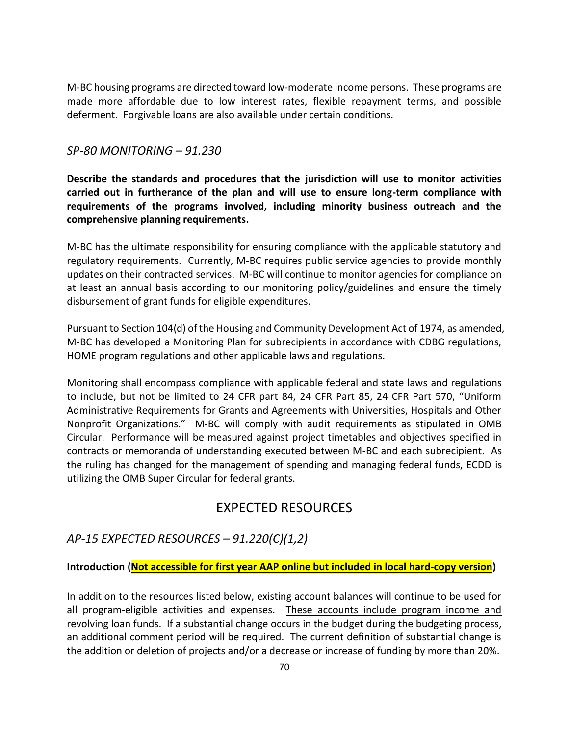M-BC housing programs are directed toward low-moderate income persons. These programs are made more affordable due to low interest rates, flexible repayment terms, and possible deferment. Forgivable loans are also available under certain conditions.

#### *SP-80 MONITORING – 91.230*

**Describe the standards and procedures that the jurisdiction will use to monitor activities carried out in furtherance of the plan and will use to ensure long-term compliance with requirements of the programs involved, including minority business outreach and the comprehensive planning requirements.**

M-BC has the ultimate responsibility for ensuring compliance with the applicable statutory and regulatory requirements. Currently, M-BC requires public service agencies to provide monthly updates on their contracted services. M-BC will continue to monitor agencies for compliance on at least an annual basis according to our monitoring policy/guidelines and ensure the timely disbursement of grant funds for eligible expenditures.

Pursuant to Section 104(d) of the Housing and Community Development Act of 1974, as amended, M-BC has developed a Monitoring Plan for subrecipients in accordance with CDBG regulations, HOME program regulations and other applicable laws and regulations.

Monitoring shall encompass compliance with applicable federal and state laws and regulations to include, but not be limited to 24 CFR part 84, 24 CFR Part 85, 24 CFR Part 570, "Uniform Administrative Requirements for Grants and Agreements with Universities, Hospitals and Other Nonprofit Organizations." M-BC will comply with audit requirements as stipulated in OMB Circular. Performance will be measured against project timetables and objectives specified in contracts or memoranda of understanding executed between M-BC and each subrecipient. As the ruling has changed for the management of spending and managing federal funds, ECDD is utilizing the OMB Super Circular for federal grants.

# EXPECTED RESOURCES

# *AP-15 EXPECTED RESOURCES – 91.220(C)(1,2)*

#### **Introduction (Not accessible for first year AAP online but included in local hard-copy version)**

In addition to the resources listed below, existing account balances will continue to be used for all program-eligible activities and expenses. These accounts include program income and revolving loan funds. If a substantial change occurs in the budget during the budgeting process, an additional comment period will be required. The current definition of substantial change is the addition or deletion of projects and/or a decrease or increase of funding by more than 20%.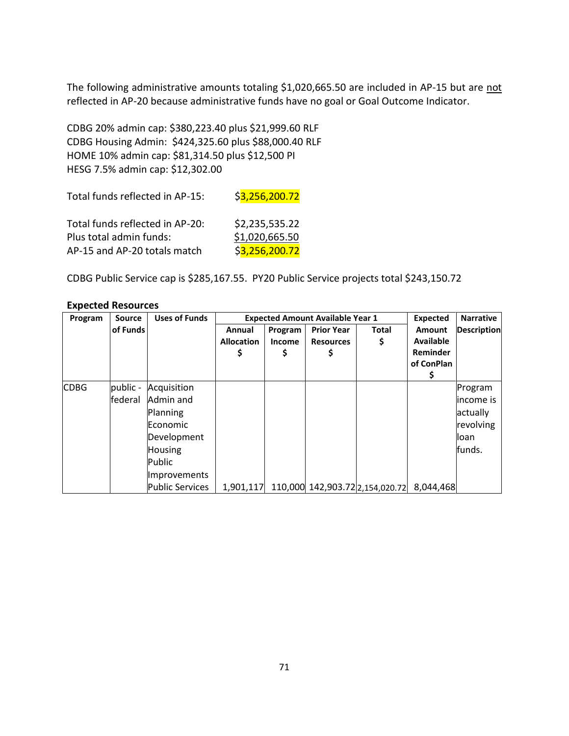The following administrative amounts totaling \$1,020,665.50 are included in AP-15 but are not reflected in AP-20 because administrative funds have no goal or Goal Outcome Indicator.

CDBG 20% admin cap: \$380,223.40 plus \$21,999.60 RLF CDBG Housing Admin: \$424,325.60 plus \$88,000.40 RLF HOME 10% admin cap: \$81,314.50 plus \$12,500 PI HESG 7.5% admin cap: \$12,302.00

| Total funds reflected in AP-15:                            | \$3,256,200.72                   |
|------------------------------------------------------------|----------------------------------|
| Total funds reflected in AP-20:<br>Plus total admin funds: | \$2,235,535.22<br>\$1,020,665.50 |
| AP-15 and AP-20 totals match                               | \$3,256,200.72                   |

CDBG Public Service cap is \$285,167.55. PY20 Public Service projects total \$243,150.72

| Program     | <b>Source</b> | <b>Uses of Funds</b>   | <b>Expected Amount Available Year 1</b> |         |                   |                                 | <b>Expected</b>  | <b>Narrative</b>   |
|-------------|---------------|------------------------|-----------------------------------------|---------|-------------------|---------------------------------|------------------|--------------------|
|             | of Funds      |                        | Annual                                  | Program | <b>Prior Year</b> | Total                           | <b>Amount</b>    | <b>Description</b> |
|             |               |                        | <b>Allocation</b>                       | Income  | <b>Resources</b>  | Ş                               | <b>Available</b> |                    |
|             |               |                        | \$                                      | \$      |                   |                                 | Reminder         |                    |
|             |               |                        |                                         |         |                   |                                 | of ConPlan       |                    |
|             |               |                        |                                         |         |                   |                                 |                  |                    |
| <b>CDBG</b> | public -      | Acquisition            |                                         |         |                   |                                 |                  | Program            |
|             | federal       | Admin and              |                                         |         |                   |                                 |                  | income is          |
|             |               | Planning               |                                         |         |                   |                                 |                  | actually           |
|             |               | Economic               |                                         |         |                   |                                 |                  | revolving          |
|             |               | Development            |                                         |         |                   |                                 |                  | lloan              |
|             |               | <b>Housing</b>         |                                         |         |                   |                                 |                  | funds.             |
|             |               | Public                 |                                         |         |                   |                                 |                  |                    |
|             |               | Improvements           |                                         |         |                   |                                 |                  |                    |
|             |               | <b>Public Services</b> | 1,901,117                               |         |                   | 110,000 142,903.72 2,154,020.72 | 8,044,468        |                    |

#### **Expected Resources**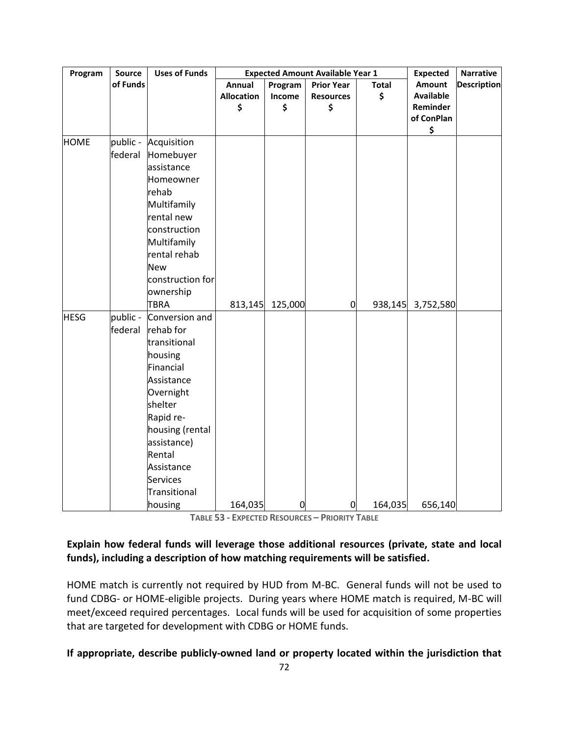| Program     | Source   | <b>Uses of Funds</b> | <b>Expected Amount Available Year 1</b> |         |                   |              | <b>Expected</b>  | <b>Narrative</b>   |
|-------------|----------|----------------------|-----------------------------------------|---------|-------------------|--------------|------------------|--------------------|
|             | of Funds |                      | Annual                                  | Program | <b>Prior Year</b> | <b>Total</b> | <b>Amount</b>    | <b>Description</b> |
|             |          |                      | <b>Allocation</b>                       | Income  | <b>Resources</b>  | \$           | <b>Available</b> |                    |
|             |          |                      | \$                                      | \$      | \$                |              | Reminder         |                    |
|             |          |                      |                                         |         |                   |              | of ConPlan       |                    |
|             |          |                      |                                         |         |                   |              | \$               |                    |
| <b>HOME</b> |          | public - Acquisition |                                         |         |                   |              |                  |                    |
|             | federal  | Homebuyer            |                                         |         |                   |              |                  |                    |
|             |          | assistance           |                                         |         |                   |              |                  |                    |
|             |          | Homeowner            |                                         |         |                   |              |                  |                    |
|             |          | rehab                |                                         |         |                   |              |                  |                    |
|             |          | Multifamily          |                                         |         |                   |              |                  |                    |
|             |          | rental new           |                                         |         |                   |              |                  |                    |
|             |          | construction         |                                         |         |                   |              |                  |                    |
|             |          | Multifamily          |                                         |         |                   |              |                  |                    |
|             |          | rental rehab         |                                         |         |                   |              |                  |                    |
|             |          | <b>New</b>           |                                         |         |                   |              |                  |                    |
|             |          | construction for     |                                         |         |                   |              |                  |                    |
|             |          | ownership            |                                         |         |                   |              |                  |                    |
|             |          | <b>TBRA</b>          | 813,145                                 | 125,000 | $\mathbf 0$       | 938,145      | 3,752,580        |                    |
| <b>HESG</b> | public - | Conversion and       |                                         |         |                   |              |                  |                    |
|             | federal  | rehab for            |                                         |         |                   |              |                  |                    |
|             |          | transitional         |                                         |         |                   |              |                  |                    |
|             |          | housing              |                                         |         |                   |              |                  |                    |
|             |          | Financial            |                                         |         |                   |              |                  |                    |
|             |          | Assistance           |                                         |         |                   |              |                  |                    |
|             |          | Overnight            |                                         |         |                   |              |                  |                    |
|             |          | shelter              |                                         |         |                   |              |                  |                    |
|             |          | Rapid re-            |                                         |         |                   |              |                  |                    |
|             |          | housing (rental      |                                         |         |                   |              |                  |                    |
|             |          | assistance)          |                                         |         |                   |              |                  |                    |
|             |          | Rental               |                                         |         |                   |              |                  |                    |
|             |          | Assistance           |                                         |         |                   |              |                  |                    |
|             |          | <b>Services</b>      |                                         |         |                   |              |                  |                    |
|             |          | Transitional         |                                         |         |                   |              |                  |                    |
|             |          | housing              | 164,035                                 | 0       | $\boldsymbol{0}$  | 164,035      | 656,140          |                    |

**TABLE 53 - EXPECTED RESOURCES – PRIORITY TABLE**

## **Explain how federal funds will leverage those additional resources (private, state and local funds), including a description of how matching requirements will be satisfied.**

HOME match is currently not required by HUD from M-BC. General funds will not be used to fund CDBG- or HOME-eligible projects. During years where HOME match is required, M-BC will meet/exceed required percentages. Local funds will be used for acquisition of some properties that are targeted for development with CDBG or HOME funds.

#### **If appropriate, describe publicly-owned land or property located within the jurisdiction that**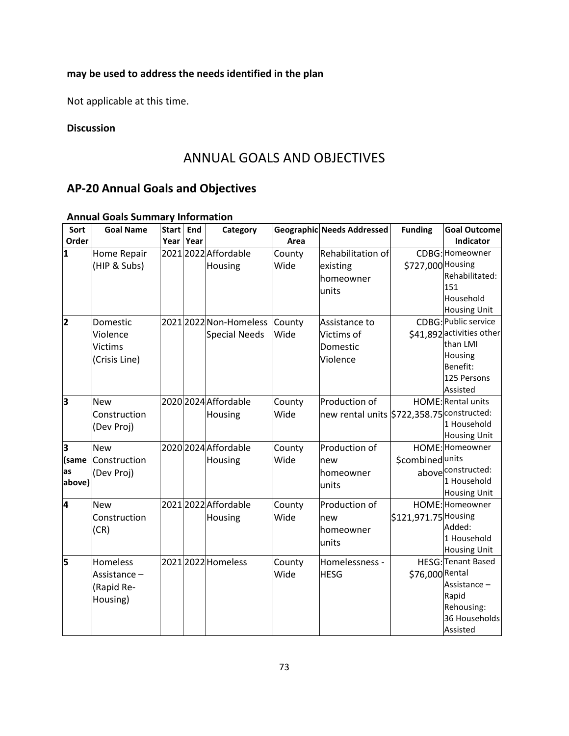# **may be used to address the needs identified in the plan**

Not applicable at this time.

## **Discussion**

# ANNUAL GOALS AND OBJECTIVES

# **AP-20 Annual Goals and Objectives**

| Sort                       | <b>Goal Name</b>                                        | Start End |           | Category                                       |                | Geographic Needs Addressed                                  | <b>Funding</b>       | <b>Goal Outcome</b>                                                                                             |
|----------------------------|---------------------------------------------------------|-----------|-----------|------------------------------------------------|----------------|-------------------------------------------------------------|----------------------|-----------------------------------------------------------------------------------------------------------------|
| Order                      |                                                         |           | Year Year |                                                | Area           |                                                             |                      | Indicator                                                                                                       |
| 1                          | Home Repair<br>(HIP & Subs)                             |           |           | 2021 2022 Affordable<br>Housing                | County<br>Wide | Rehabilitation of<br>existing<br>homeowner<br>units         | \$727,000 Housing    | CDBG: Homeowner<br>Rehabilitated:<br>151<br>Household<br><b>Housing Unit</b>                                    |
| 2                          | Domestic<br>Violence<br><b>Victims</b><br>(Crisis Line) |           |           | 2021 2022 Non-Homeless<br><b>Special Needs</b> | County<br>Wide | Assistance to<br>Victims of<br>Domestic<br>Violence         |                      | CDBG: Public service<br>\$41,892 activities other<br>than LMI<br>Housing<br>Benefit:<br>125 Persons<br>Assisted |
| 3                          | <b>New</b><br>Construction<br>(Dev Proj)                |           |           | 2020 2024 Affordable<br>Housing                | County<br>Wide | Production of<br>new rental units \$722,358.75 constructed: |                      | HOME: Rental units<br>1 Household<br><b>Housing Unit</b>                                                        |
| 3<br>(same<br>as<br>above) | <b>New</b><br>Construction<br>(Dev Proj)                |           |           | 2020 2024 Affordable<br>Housing                | County<br>Wide | Production of<br>new<br>homeowner<br>units                  | \$combinedunits      | HOME: Homeowner<br>above constructed:<br>1 Household<br><b>Housing Unit</b>                                     |
| 4                          | <b>New</b><br>Construction<br>(CR)                      |           |           | 2021 2022 Affordable<br>Housing                | County<br>Wide | Production of<br>new<br>homeowner<br>units                  | \$121,971.75 Housing | HOME: Homeowner<br>Added:<br>1 Household<br><b>Housing Unit</b>                                                 |
| 5                          | Homeless<br>Assistance-<br>(Rapid Re-<br>Housing)       |           |           | 2021 2022 Homeless                             | County<br>Wide | Homelessness -<br><b>HESG</b>                               | \$76,000 Rental      | HESG: Tenant Based<br>Assistance -<br>Rapid<br>Rehousing:<br>36 Households<br>Assisted                          |

# **Annual Goals Summary Information**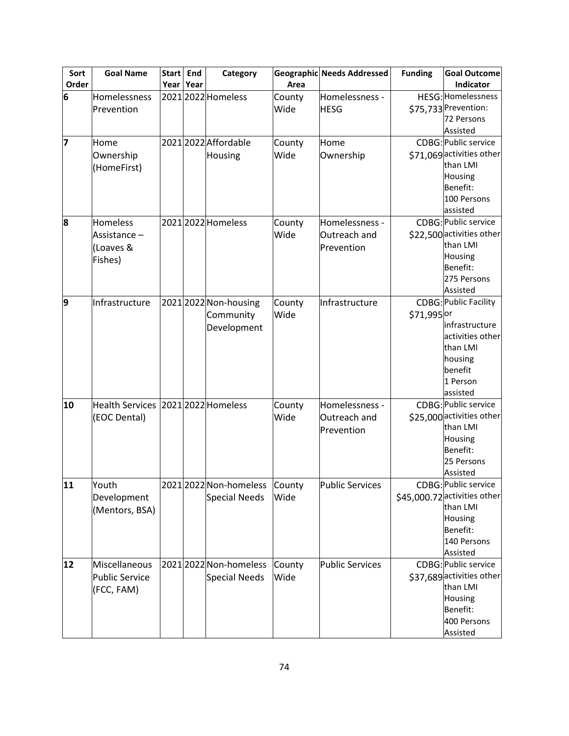| Sort  | <b>Goal Name</b>                   |      | Start End | Category               |        | <b>Geographic Needs Addressed</b> | <b>Funding</b> | <b>Goal Outcome</b>          |
|-------|------------------------------------|------|-----------|------------------------|--------|-----------------------------------|----------------|------------------------------|
| Order |                                    | Year | Year      |                        | Area   |                                   |                | Indicator                    |
| 6     | Homelessness                       |      |           | 2021 2022 Homeless     | County | Homelessness -                    |                | HESG: Homelessness           |
|       | Prevention                         |      |           |                        | Wide   | <b>HESG</b>                       |                | \$75,733 Prevention:         |
|       |                                    |      |           |                        |        |                                   |                | 72 Persons                   |
|       |                                    |      |           |                        |        |                                   |                | Assisted                     |
| 17    | Home                               |      |           | 2021 2022 Affordable   | County | Home                              |                | CDBG: Public service         |
|       | Ownership                          |      |           | <b>Housing</b>         | Wide   | Ownership                         |                | \$71,069 activities other    |
|       | (HomeFirst)                        |      |           |                        |        |                                   |                | than LMI                     |
|       |                                    |      |           |                        |        |                                   |                | Housing                      |
|       |                                    |      |           |                        |        |                                   |                | <b>Benefit:</b>              |
|       |                                    |      |           |                        |        |                                   |                | 100 Persons                  |
|       |                                    |      |           |                        |        |                                   |                | assisted                     |
| 8     | <b>Homeless</b>                    |      |           | 2021 2022 Homeless     | County | Homelessness -                    |                | CDBG: Public service         |
|       | Assistance -                       |      |           |                        | Wide   | Outreach and                      |                | \$22,500 activities other    |
|       | (Loaves &                          |      |           |                        |        | Prevention                        |                | than LMI                     |
|       | Fishes)                            |      |           |                        |        |                                   |                | Housing                      |
|       |                                    |      |           |                        |        |                                   |                | Benefit:                     |
|       |                                    |      |           |                        |        |                                   |                | 275 Persons                  |
|       |                                    |      |           |                        |        |                                   |                | Assisted                     |
| 9     | Infrastructure                     |      |           | 2021 2022 Non-housing  | County | Infrastructure                    |                | <b>CDBG: Public Facility</b> |
|       |                                    |      |           | Community              | Wide   |                                   | \$71,995 or    |                              |
|       |                                    |      |           | Development            |        |                                   |                | infrastructure               |
|       |                                    |      |           |                        |        |                                   |                | activities other             |
|       |                                    |      |           |                        |        |                                   |                | than LMI                     |
|       |                                    |      |           |                        |        |                                   |                | housing                      |
|       |                                    |      |           |                        |        |                                   |                | benefit<br>1 Person          |
|       |                                    |      |           |                        |        |                                   |                | assisted                     |
| 10    | Health Services 2021 2022 Homeless |      |           |                        |        | Homelessness -                    |                | CDBG: Public service         |
|       |                                    |      |           |                        | County |                                   |                | \$25,000 activities other    |
|       | (EOC Dental)                       |      |           |                        | Wide   | Outreach and                      |                | than LMI                     |
|       |                                    |      |           |                        |        | Prevention                        |                | Housing                      |
|       |                                    |      |           |                        |        |                                   |                | Benefit:                     |
|       |                                    |      |           |                        |        |                                   |                | 25 Persons                   |
|       |                                    |      |           |                        |        |                                   |                | Assisted                     |
| 11    | Youth                              |      |           | 2021 2022 Non-homeless | County | Public Services                   |                | CDBG: Public service         |
|       | Development                        |      |           | <b>Special Needs</b>   | Wide   |                                   |                | \$45,000.72 activities other |
|       | (Mentors, BSA)                     |      |           |                        |        |                                   |                | than LMI                     |
|       |                                    |      |           |                        |        |                                   |                | Housing                      |
|       |                                    |      |           |                        |        |                                   |                | Benefit:                     |
|       |                                    |      |           |                        |        |                                   |                | 140 Persons                  |
|       |                                    |      |           |                        |        |                                   |                | Assisted                     |
| 12    | Miscellaneous                      |      |           | 2021 2022 Non-homeless | County | <b>Public Services</b>            |                | CDBG: Public service         |
|       | <b>Public Service</b>              |      |           | <b>Special Needs</b>   | Wide   |                                   |                | \$37,689 activities other    |
|       | (FCC, FAM)                         |      |           |                        |        |                                   |                | than LMI                     |
|       |                                    |      |           |                        |        |                                   |                | Housing                      |
|       |                                    |      |           |                        |        |                                   |                | Benefit:                     |
|       |                                    |      |           |                        |        |                                   |                | 400 Persons                  |
|       |                                    |      |           |                        |        |                                   |                | Assisted                     |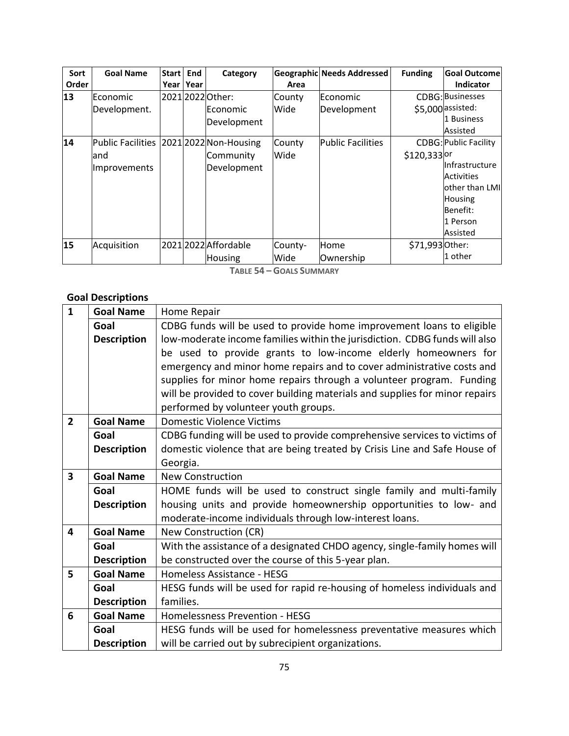| Sort  | <b>Goal Name</b>         | <b>Start</b> | <b>End</b> | Category              |         | Geographic Needs Addressed | <b>Funding</b>  | <b>Goal Outcome</b>          |
|-------|--------------------------|--------------|------------|-----------------------|---------|----------------------------|-----------------|------------------------------|
| Order |                          | Year         | Year       |                       | Area    |                            |                 | Indicator                    |
| 13    | lEconomic                |              |            | 2021 2022 Other:      | County  | lEconomic                  |                 | CDBG: Businesses             |
|       | Development.             |              |            | <b>Economic</b>       | Wide    | Development                |                 | \$5,000 assisted:            |
|       |                          |              |            | Development           |         |                            |                 | 1 Business                   |
|       |                          |              |            |                       |         |                            |                 | Assisted                     |
| 14    | <b>Public Facilities</b> |              |            | 2021 2022 Non-Housing | County  | <b>Public Facilities</b>   |                 | <b>CDBG: Public Facility</b> |
|       | land                     |              |            | Community             | Wide    |                            | \$120,333 or    |                              |
|       | Improvements             |              |            | Development           |         |                            |                 | Infrastructure               |
|       |                          |              |            |                       |         |                            |                 | <b>Activities</b>            |
|       |                          |              |            |                       |         |                            |                 | lother than LMI              |
|       |                          |              |            |                       |         |                            |                 | <b>Housing</b>               |
|       |                          |              |            |                       |         |                            |                 | Benefit:                     |
|       |                          |              |            |                       |         |                            |                 | 1 Person                     |
|       |                          |              |            |                       |         |                            |                 | Assisted                     |
| 15    | Acquisition              |              |            | 2021 2022 Affordable  | County- | Home                       | \$71,993 Other: |                              |
|       |                          |              |            | Housing               | Wide    | Ownership                  |                 | 1 other                      |

**TABLE 54 – GOALS SUMMARY**

# **Goal Descriptions**

| $\mathbf{1}$            | <b>Goal Name</b>                          | Home Repair                                                                 |  |  |  |  |  |
|-------------------------|-------------------------------------------|-----------------------------------------------------------------------------|--|--|--|--|--|
|                         | Goal                                      | CDBG funds will be used to provide home improvement loans to eligible       |  |  |  |  |  |
|                         | <b>Description</b>                        | low-moderate income families within the jurisdiction. CDBG funds will also  |  |  |  |  |  |
|                         |                                           | be used to provide grants to low-income elderly homeowners for              |  |  |  |  |  |
|                         |                                           | emergency and minor home repairs and to cover administrative costs and      |  |  |  |  |  |
|                         |                                           | supplies for minor home repairs through a volunteer program. Funding        |  |  |  |  |  |
|                         |                                           | will be provided to cover building materials and supplies for minor repairs |  |  |  |  |  |
|                         |                                           | performed by volunteer youth groups.                                        |  |  |  |  |  |
| $\overline{2}$          | <b>Goal Name</b>                          | <b>Domestic Violence Victims</b>                                            |  |  |  |  |  |
|                         | Goal                                      | CDBG funding will be used to provide comprehensive services to victims of   |  |  |  |  |  |
|                         | <b>Description</b>                        | domestic violence that are being treated by Crisis Line and Safe House of   |  |  |  |  |  |
|                         |                                           | Georgia.                                                                    |  |  |  |  |  |
| $\overline{\mathbf{3}}$ | <b>Goal Name</b>                          | <b>New Construction</b>                                                     |  |  |  |  |  |
|                         | Goal                                      | HOME funds will be used to construct single family and multi-family         |  |  |  |  |  |
|                         | <b>Description</b>                        | housing units and provide homeownership opportunities to low- and           |  |  |  |  |  |
|                         |                                           | moderate-income individuals through low-interest loans.                     |  |  |  |  |  |
| 4                       | <b>Goal Name</b><br>New Construction (CR) |                                                                             |  |  |  |  |  |
|                         | Goal                                      | With the assistance of a designated CHDO agency, single-family homes will   |  |  |  |  |  |
|                         | <b>Description</b>                        | be constructed over the course of this 5-year plan.                         |  |  |  |  |  |
| 5                       | <b>Goal Name</b>                          | Homeless Assistance - HESG                                                  |  |  |  |  |  |
|                         | Goal                                      | HESG funds will be used for rapid re-housing of homeless individuals and    |  |  |  |  |  |
|                         | <b>Description</b>                        | families.                                                                   |  |  |  |  |  |
| 6                       | <b>Goal Name</b>                          | Homelessness Prevention - HESG                                              |  |  |  |  |  |
|                         | Goal                                      | HESG funds will be used for homelessness preventative measures which        |  |  |  |  |  |
|                         | <b>Description</b>                        | will be carried out by subrecipient organizations.                          |  |  |  |  |  |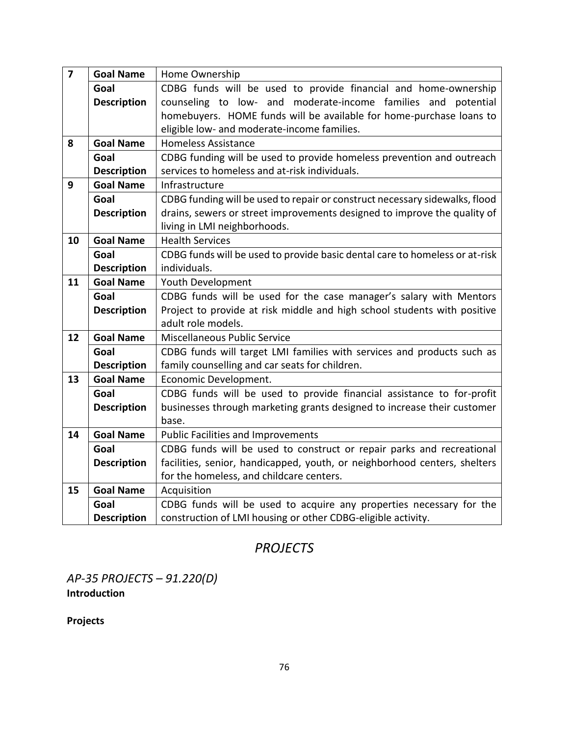| $\overline{\mathbf{z}}$ | <b>Goal Name</b>   | Home Ownership                                                              |  |  |  |  |  |
|-------------------------|--------------------|-----------------------------------------------------------------------------|--|--|--|--|--|
|                         | Goal               | CDBG funds will be used to provide financial and home-ownership             |  |  |  |  |  |
|                         | <b>Description</b> | counseling to low- and moderate-income families and potential               |  |  |  |  |  |
|                         |                    | homebuyers. HOME funds will be available for home-purchase loans to         |  |  |  |  |  |
|                         |                    | eligible low- and moderate-income families.                                 |  |  |  |  |  |
| 8                       | <b>Goal Name</b>   | <b>Homeless Assistance</b>                                                  |  |  |  |  |  |
|                         | Goal               | CDBG funding will be used to provide homeless prevention and outreach       |  |  |  |  |  |
|                         | <b>Description</b> | services to homeless and at-risk individuals.                               |  |  |  |  |  |
| 9                       | <b>Goal Name</b>   | Infrastructure                                                              |  |  |  |  |  |
|                         | Goal               | CDBG funding will be used to repair or construct necessary sidewalks, flood |  |  |  |  |  |
|                         | <b>Description</b> | drains, sewers or street improvements designed to improve the quality of    |  |  |  |  |  |
|                         |                    | living in LMI neighborhoods.                                                |  |  |  |  |  |
| 10                      | <b>Goal Name</b>   | <b>Health Services</b>                                                      |  |  |  |  |  |
|                         | Goal               | CDBG funds will be used to provide basic dental care to homeless or at-risk |  |  |  |  |  |
|                         | <b>Description</b> | individuals.                                                                |  |  |  |  |  |
| 11                      | <b>Goal Name</b>   | Youth Development                                                           |  |  |  |  |  |
|                         | Goal               | CDBG funds will be used for the case manager's salary with Mentors          |  |  |  |  |  |
|                         | <b>Description</b> | Project to provide at risk middle and high school students with positive    |  |  |  |  |  |
|                         |                    | adult role models.                                                          |  |  |  |  |  |
| 12                      | <b>Goal Name</b>   | Miscellaneous Public Service                                                |  |  |  |  |  |
|                         | Goal               | CDBG funds will target LMI families with services and products such as      |  |  |  |  |  |
|                         | <b>Description</b> | family counselling and car seats for children.                              |  |  |  |  |  |
| 13                      | <b>Goal Name</b>   | Economic Development.                                                       |  |  |  |  |  |
|                         | Goal               | CDBG funds will be used to provide financial assistance to for-profit       |  |  |  |  |  |
|                         | <b>Description</b> | businesses through marketing grants designed to increase their customer     |  |  |  |  |  |
|                         |                    | base.                                                                       |  |  |  |  |  |
| 14                      | <b>Goal Name</b>   | <b>Public Facilities and Improvements</b>                                   |  |  |  |  |  |
|                         | Goal               | CDBG funds will be used to construct or repair parks and recreational       |  |  |  |  |  |
|                         | <b>Description</b> | facilities, senior, handicapped, youth, or neighborhood centers, shelters   |  |  |  |  |  |
|                         |                    | for the homeless, and childcare centers.                                    |  |  |  |  |  |
| 15                      | <b>Goal Name</b>   | Acquisition                                                                 |  |  |  |  |  |
|                         | Goal               | CDBG funds will be used to acquire any properties necessary for the         |  |  |  |  |  |
|                         | <b>Description</b> | construction of LMI housing or other CDBG-eligible activity.                |  |  |  |  |  |

# *PROJECTS*

*AP-35 PROJECTS – 91.220(D)* **Introduction** 

**Projects**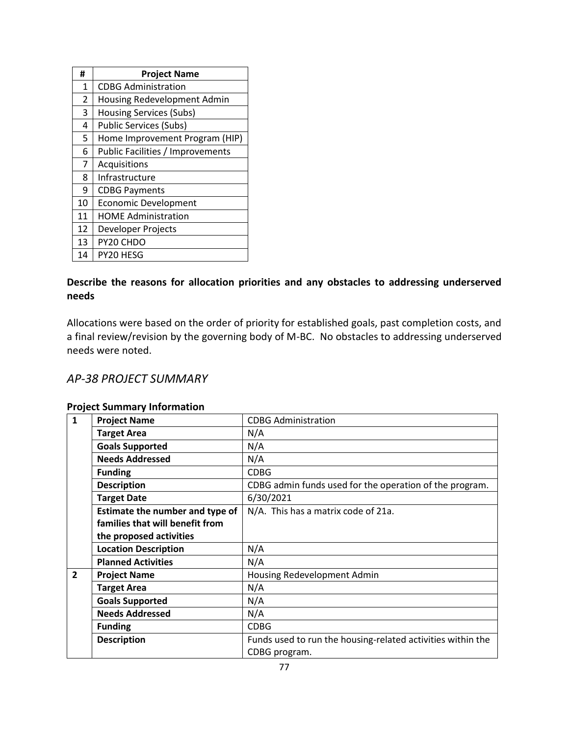| #              | <b>Project Name</b>              |
|----------------|----------------------------------|
| 1              | <b>CDBG Administration</b>       |
| $\overline{2}$ | Housing Redevelopment Admin      |
| 3              | <b>Housing Services (Subs)</b>   |
| 4              | <b>Public Services (Subs)</b>    |
| 5              | Home Improvement Program (HIP)   |
| 6              | Public Facilities / Improvements |
| 7              | Acquisitions                     |
| 8              | Infrastructure                   |
| 9              | <b>CDBG Payments</b>             |
| 10             | <b>Economic Development</b>      |
| 11             | <b>HOME Administration</b>       |
| 12             | Developer Projects               |
| 13             | PY20 CHDO                        |
| 14             | PY20 HESG                        |

# **Describe the reasons for allocation priorities and any obstacles to addressing underserved needs**

Allocations were based on the order of priority for established goals, past completion costs, and a final review/revision by the governing body of M-BC. No obstacles to addressing underserved needs were noted.

## *AP-38 PROJECT SUMMARY*

## **Project Summary Information**

| $\mathbf{1}$   | <b>Project Name</b>             | <b>CDBG Administration</b>                                  |
|----------------|---------------------------------|-------------------------------------------------------------|
|                | <b>Target Area</b>              | N/A                                                         |
|                | <b>Goals Supported</b>          | N/A                                                         |
|                | <b>Needs Addressed</b>          | N/A                                                         |
|                | <b>Funding</b>                  | <b>CDBG</b>                                                 |
|                | <b>Description</b>              | CDBG admin funds used for the operation of the program.     |
|                | <b>Target Date</b>              | 6/30/2021                                                   |
|                | Estimate the number and type of | N/A. This has a matrix code of 21a.                         |
|                | families that will benefit from |                                                             |
|                | the proposed activities         |                                                             |
|                | <b>Location Description</b>     | N/A                                                         |
|                | <b>Planned Activities</b>       | N/A                                                         |
| $\overline{2}$ | <b>Project Name</b>             | Housing Redevelopment Admin                                 |
|                | <b>Target Area</b>              | N/A                                                         |
|                | <b>Goals Supported</b>          | N/A                                                         |
|                | <b>Needs Addressed</b>          | N/A                                                         |
|                | <b>Funding</b>                  | <b>CDBG</b>                                                 |
|                | <b>Description</b>              | Funds used to run the housing-related activities within the |
|                |                                 | CDBG program.                                               |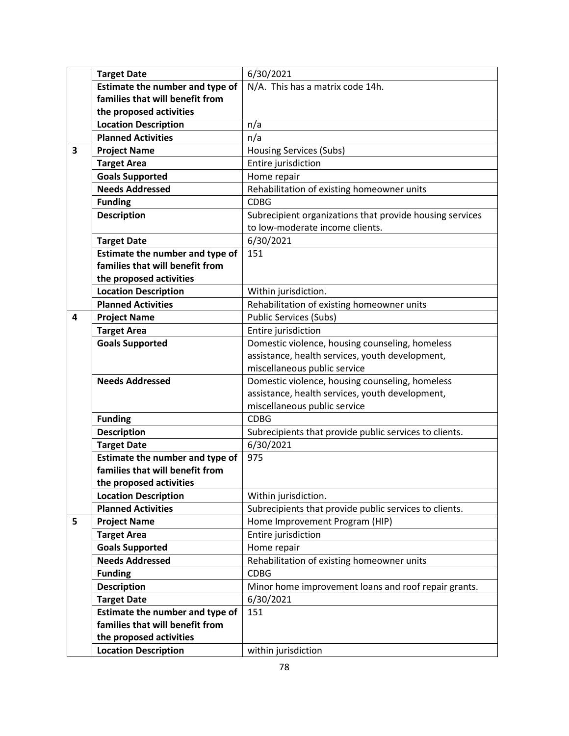|                         | <b>Target Date</b>              | 6/30/2021                                                |
|-------------------------|---------------------------------|----------------------------------------------------------|
|                         | Estimate the number and type of | N/A. This has a matrix code 14h.                         |
|                         | families that will benefit from |                                                          |
|                         | the proposed activities         |                                                          |
|                         | <b>Location Description</b>     | n/a                                                      |
|                         | <b>Planned Activities</b>       | n/a                                                      |
| $\overline{\mathbf{3}}$ | <b>Project Name</b>             | <b>Housing Services (Subs)</b>                           |
|                         | <b>Target Area</b>              | Entire jurisdiction                                      |
|                         | <b>Goals Supported</b>          | Home repair                                              |
|                         | <b>Needs Addressed</b>          | Rehabilitation of existing homeowner units               |
|                         | <b>Funding</b>                  | <b>CDBG</b>                                              |
|                         | <b>Description</b>              | Subrecipient organizations that provide housing services |
|                         |                                 | to low-moderate income clients.                          |
|                         | <b>Target Date</b>              | 6/30/2021                                                |
|                         | Estimate the number and type of | 151                                                      |
|                         | families that will benefit from |                                                          |
|                         | the proposed activities         |                                                          |
|                         | <b>Location Description</b>     | Within jurisdiction.                                     |
|                         | <b>Planned Activities</b>       | Rehabilitation of existing homeowner units               |
| 4                       | <b>Project Name</b>             | <b>Public Services (Subs)</b>                            |
|                         | <b>Target Area</b>              | Entire jurisdiction                                      |
|                         | <b>Goals Supported</b>          | Domestic violence, housing counseling, homeless          |
|                         |                                 | assistance, health services, youth development,          |
|                         |                                 | miscellaneous public service                             |
|                         | <b>Needs Addressed</b>          | Domestic violence, housing counseling, homeless          |
|                         |                                 | assistance, health services, youth development,          |
|                         |                                 | miscellaneous public service                             |
|                         | <b>Funding</b>                  | <b>CDBG</b>                                              |
|                         | <b>Description</b>              | Subrecipients that provide public services to clients.   |
|                         | <b>Target Date</b>              | 6/30/2021                                                |
|                         | Estimate the number and type of | 975                                                      |
|                         | families that will benefit from |                                                          |
|                         | the proposed activities         |                                                          |
|                         | <b>Location Description</b>     | Within jurisdiction.                                     |
|                         | <b>Planned Activities</b>       | Subrecipients that provide public services to clients.   |
| 5                       | <b>Project Name</b>             | Home Improvement Program (HIP)                           |
|                         | <b>Target Area</b>              | Entire jurisdiction                                      |
|                         | <b>Goals Supported</b>          | Home repair                                              |
|                         | <b>Needs Addressed</b>          | Rehabilitation of existing homeowner units               |
|                         | <b>Funding</b>                  | <b>CDBG</b>                                              |
|                         | <b>Description</b>              | Minor home improvement loans and roof repair grants.     |
|                         | <b>Target Date</b>              | 6/30/2021                                                |
|                         | Estimate the number and type of | 151                                                      |
|                         | families that will benefit from |                                                          |
|                         | the proposed activities         |                                                          |
|                         | <b>Location Description</b>     | within jurisdiction                                      |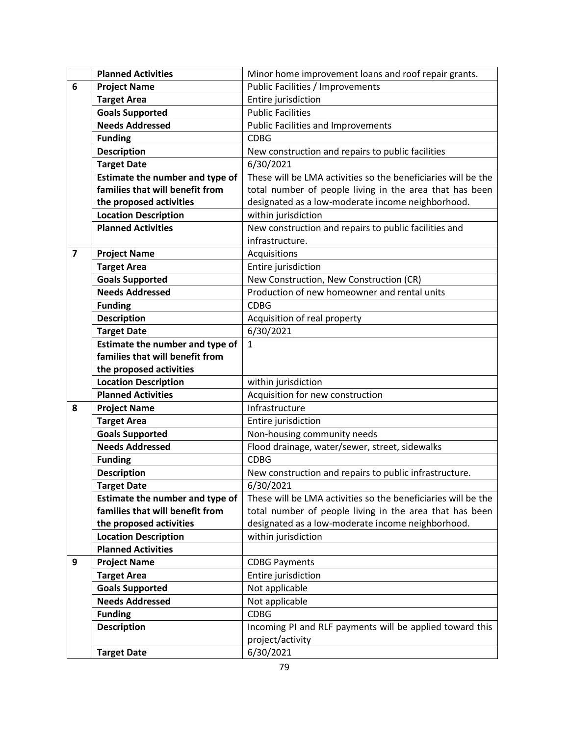|                         | <b>Planned Activities</b>       | Minor home improvement loans and roof repair grants.          |
|-------------------------|---------------------------------|---------------------------------------------------------------|
| 6                       | <b>Project Name</b>             | Public Facilities / Improvements                              |
|                         | <b>Target Area</b>              | Entire jurisdiction                                           |
|                         | <b>Goals Supported</b>          | <b>Public Facilities</b>                                      |
|                         | <b>Needs Addressed</b>          | <b>Public Facilities and Improvements</b>                     |
|                         | <b>Funding</b>                  | <b>CDBG</b>                                                   |
|                         | <b>Description</b>              | New construction and repairs to public facilities             |
|                         | <b>Target Date</b>              | 6/30/2021                                                     |
|                         | Estimate the number and type of | These will be LMA activities so the beneficiaries will be the |
|                         | families that will benefit from | total number of people living in the area that has been       |
|                         | the proposed activities         | designated as a low-moderate income neighborhood.             |
|                         | <b>Location Description</b>     | within jurisdiction                                           |
|                         | <b>Planned Activities</b>       | New construction and repairs to public facilities and         |
|                         |                                 | infrastructure.                                               |
| $\overline{\mathbf{z}}$ | <b>Project Name</b>             | Acquisitions                                                  |
|                         | <b>Target Area</b>              | Entire jurisdiction                                           |
|                         | <b>Goals Supported</b>          | New Construction, New Construction (CR)                       |
|                         | <b>Needs Addressed</b>          | Production of new homeowner and rental units                  |
|                         | <b>Funding</b>                  | <b>CDBG</b>                                                   |
|                         | <b>Description</b>              | Acquisition of real property                                  |
|                         | <b>Target Date</b>              | 6/30/2021                                                     |
|                         | Estimate the number and type of | $\mathbf{1}$                                                  |
|                         | families that will benefit from |                                                               |
|                         | the proposed activities         |                                                               |
|                         | <b>Location Description</b>     | within jurisdiction                                           |
|                         | <b>Planned Activities</b>       | Acquisition for new construction                              |
| 8                       | <b>Project Name</b>             | Infrastructure                                                |
|                         | <b>Target Area</b>              | Entire jurisdiction                                           |
|                         | <b>Goals Supported</b>          | Non-housing community needs                                   |
|                         | <b>Needs Addressed</b>          | Flood drainage, water/sewer, street, sidewalks                |
|                         | <b>Funding</b>                  | <b>CDBG</b>                                                   |
|                         | <b>Description</b>              | New construction and repairs to public infrastructure.        |
|                         | <b>Target Date</b>              | 6/30/2021                                                     |
|                         | Estimate the number and type of | These will be LMA activities so the beneficiaries will be the |
|                         | families that will benefit from | total number of people living in the area that has been       |
|                         | the proposed activities         | designated as a low-moderate income neighborhood.             |
|                         | <b>Location Description</b>     | within jurisdiction                                           |
|                         | <b>Planned Activities</b>       |                                                               |
| 9                       | <b>Project Name</b>             | <b>CDBG Payments</b>                                          |
|                         | <b>Target Area</b>              | Entire jurisdiction                                           |
|                         | <b>Goals Supported</b>          | Not applicable                                                |
|                         | <b>Needs Addressed</b>          | Not applicable                                                |
|                         | <b>Funding</b>                  | <b>CDBG</b>                                                   |
|                         | <b>Description</b>              | Incoming PI and RLF payments will be applied toward this      |
|                         |                                 | project/activity                                              |
|                         | <b>Target Date</b>              | 6/30/2021                                                     |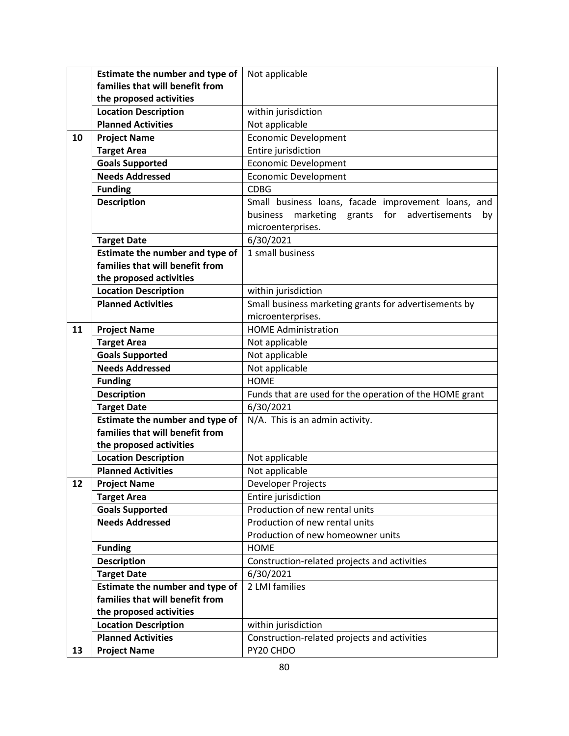|    | Estimate the number and type of | Not applicable                                          |
|----|---------------------------------|---------------------------------------------------------|
|    | families that will benefit from |                                                         |
|    | the proposed activities         |                                                         |
|    | <b>Location Description</b>     | within jurisdiction                                     |
|    | <b>Planned Activities</b>       | Not applicable                                          |
| 10 | <b>Project Name</b>             | <b>Economic Development</b>                             |
|    | <b>Target Area</b>              | Entire jurisdiction                                     |
|    | <b>Goals Supported</b>          | <b>Economic Development</b>                             |
|    | <b>Needs Addressed</b>          | <b>Economic Development</b>                             |
|    | <b>Funding</b>                  | <b>CDBG</b>                                             |
|    | <b>Description</b>              | Small business loans, facade improvement loans, and     |
|    |                                 | business marketing grants for advertisements<br>by      |
|    |                                 | microenterprises.                                       |
|    | <b>Target Date</b>              | 6/30/2021                                               |
|    | Estimate the number and type of | 1 small business                                        |
|    | families that will benefit from |                                                         |
|    | the proposed activities         |                                                         |
|    | <b>Location Description</b>     | within jurisdiction                                     |
|    | <b>Planned Activities</b>       | Small business marketing grants for advertisements by   |
|    |                                 | microenterprises.                                       |
| 11 | <b>Project Name</b>             | <b>HOME Administration</b>                              |
|    | <b>Target Area</b>              | Not applicable                                          |
|    | <b>Goals Supported</b>          | Not applicable                                          |
|    | <b>Needs Addressed</b>          | Not applicable                                          |
|    | <b>Funding</b>                  | <b>HOME</b>                                             |
|    | <b>Description</b>              | Funds that are used for the operation of the HOME grant |
|    | <b>Target Date</b>              | 6/30/2021                                               |
|    | Estimate the number and type of | N/A. This is an admin activity.                         |
|    | families that will benefit from |                                                         |
|    | the proposed activities         |                                                         |
|    | <b>Location Description</b>     | Not applicable                                          |
|    | <b>Planned Activities</b>       | Not applicable                                          |
| 12 | <b>Project Name</b>             | Developer Projects                                      |
|    | <b>Target Area</b>              | Entire jurisdiction                                     |
|    | <b>Goals Supported</b>          | Production of new rental units                          |
|    | <b>Needs Addressed</b>          | Production of new rental units                          |
|    |                                 | Production of new homeowner units                       |
|    | <b>Funding</b>                  | <b>HOME</b>                                             |
|    | <b>Description</b>              | Construction-related projects and activities            |
|    | <b>Target Date</b>              | 6/30/2021                                               |
|    | Estimate the number and type of | 2 LMI families                                          |
|    | families that will benefit from |                                                         |
|    | the proposed activities         |                                                         |
|    | <b>Location Description</b>     | within jurisdiction                                     |
|    | <b>Planned Activities</b>       | Construction-related projects and activities            |
| 13 | <b>Project Name</b>             | PY20 CHDO                                               |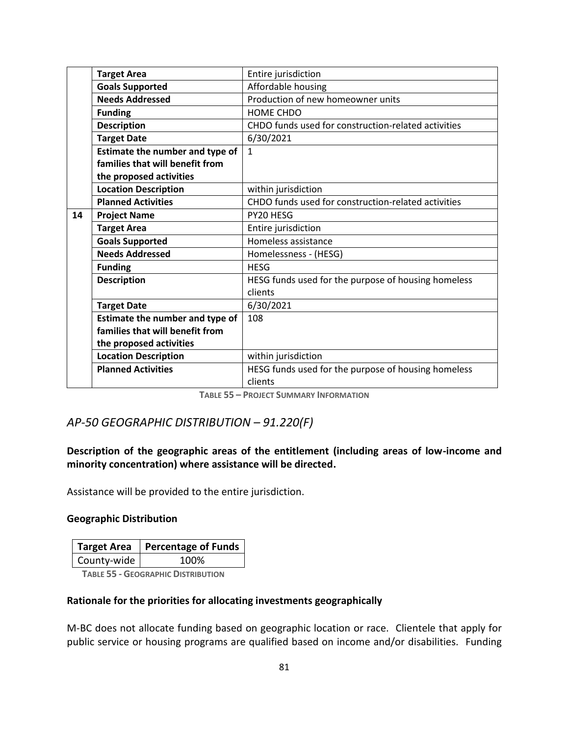|    | <b>Target Area</b>              | Entire jurisdiction                                 |
|----|---------------------------------|-----------------------------------------------------|
|    | <b>Goals Supported</b>          | Affordable housing                                  |
|    | <b>Needs Addressed</b>          | Production of new homeowner units                   |
|    | <b>Funding</b>                  | <b>HOME CHDO</b>                                    |
|    | <b>Description</b>              | CHDO funds used for construction-related activities |
|    | <b>Target Date</b>              | 6/30/2021                                           |
|    | Estimate the number and type of | $\mathbf{1}$                                        |
|    | families that will benefit from |                                                     |
|    | the proposed activities         |                                                     |
|    | <b>Location Description</b>     | within jurisdiction                                 |
|    | <b>Planned Activities</b>       | CHDO funds used for construction-related activities |
| 14 | <b>Project Name</b>             | PY20 HESG                                           |
|    | <b>Target Area</b>              | Entire jurisdiction                                 |
|    | <b>Goals Supported</b>          | Homeless assistance                                 |
|    | <b>Needs Addressed</b>          | Homelessness - (HESG)                               |
|    | <b>Funding</b>                  | <b>HESG</b>                                         |
|    | <b>Description</b>              | HESG funds used for the purpose of housing homeless |
|    |                                 | clients                                             |
|    | <b>Target Date</b>              | 6/30/2021                                           |
|    | Estimate the number and type of | 108                                                 |
|    | families that will benefit from |                                                     |
|    | the proposed activities         |                                                     |
|    | <b>Location Description</b>     | within jurisdiction                                 |
|    | <b>Planned Activities</b>       | HESG funds used for the purpose of housing homeless |
|    |                                 | clients                                             |

**TABLE 55 – PROJECT SUMMARY INFORMATION**

# *AP-50 GEOGRAPHIC DISTRIBUTION – 91.220(F)*

## **Description of the geographic areas of the entitlement (including areas of low-income and minority concentration) where assistance will be directed.**

Assistance will be provided to the entire jurisdiction.

#### **Geographic Distribution**

|             | Target Area   Percentage of Funds |
|-------------|-----------------------------------|
| County-wide | 100%                              |

 **TABLE 55 - GEOGRAPHIC DISTRIBUTION** 

## **Rationale for the priorities for allocating investments geographically**

M-BC does not allocate funding based on geographic location or race. Clientele that apply for public service or housing programs are qualified based on income and/or disabilities. Funding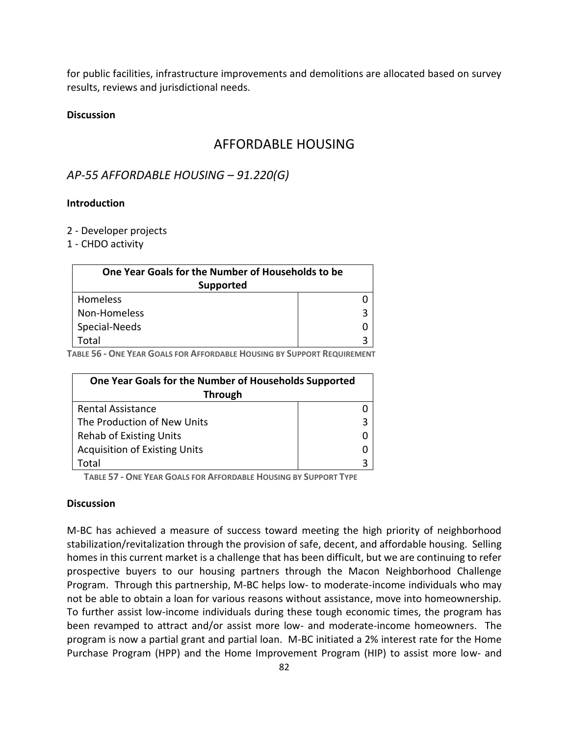for public facilities, infrastructure improvements and demolitions are allocated based on survey results, reviews and jurisdictional needs.

#### **Discussion**

# AFFORDABLE HOUSING

# *AP-55 AFFORDABLE HOUSING – 91.220(G)*

#### **Introduction**

- 2 Developer projects
- 1 CHDO activity

| One Year Goals for the Number of Households to be |   |
|---------------------------------------------------|---|
| <b>Supported</b>                                  |   |
| Homeless                                          |   |
| Non-Homeless                                      | 3 |
| Special-Needs                                     |   |
| .otal                                             |   |

**TABLE 56 - ONE YEAR GOALS FOR AFFORDABLE HOUSING BY SUPPORT REQUIREMENT**

| One Year Goals for the Number of Households Supported |  |  |
|-------------------------------------------------------|--|--|
| <b>Through</b>                                        |  |  |
| <b>Rental Assistance</b>                              |  |  |
| The Production of New Units                           |  |  |
| <b>Rehab of Existing Units</b>                        |  |  |
| <b>Acquisition of Existing Units</b>                  |  |  |
| Total                                                 |  |  |

 **TABLE 57 - ONE YEAR GOALS FOR AFFORDABLE HOUSING BY SUPPORT TYPE**

## **Discussion**

M-BC has achieved a measure of success toward meeting the high priority of neighborhood stabilization/revitalization through the provision of safe, decent, and affordable housing. Selling homes in this current market is a challenge that has been difficult, but we are continuing to refer prospective buyers to our housing partners through the Macon Neighborhood Challenge Program. Through this partnership, M-BC helps low- to moderate-income individuals who may not be able to obtain a loan for various reasons without assistance, move into homeownership. To further assist low-income individuals during these tough economic times, the program has been revamped to attract and/or assist more low- and moderate-income homeowners. The program is now a partial grant and partial loan. M-BC initiated a 2% interest rate for the Home Purchase Program (HPP) and the Home Improvement Program (HIP) to assist more low- and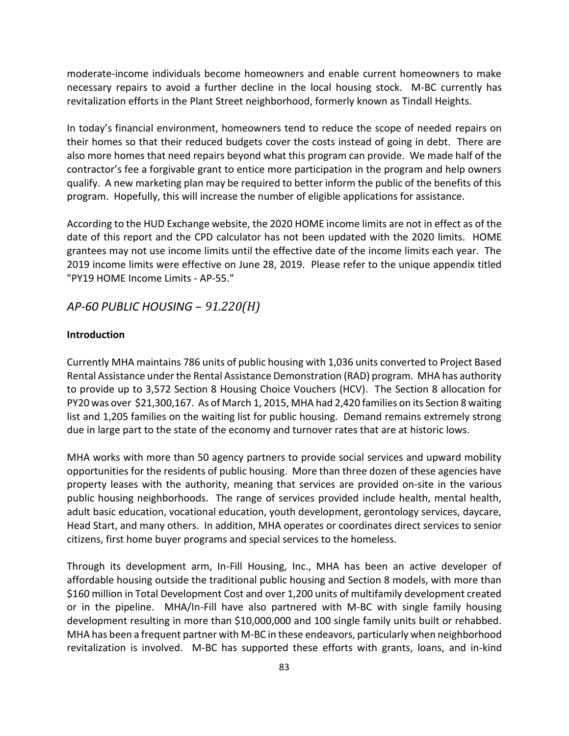moderate-income individuals become homeowners and enable current homeowners to make necessary repairs to avoid a further decline in the local housing stock. M-BC currently has revitalization efforts in the Plant Street neighborhood, formerly known as Tindall Heights.

In today's financial environment, homeowners tend to reduce the scope of needed repairs on their homes so that their reduced budgets cover the costs instead of going in debt. There are also more homes that need repairs beyond what this program can provide. We made half of the contractor's fee a forgivable grant to entice more participation in the program and help owners qualify. A new marketing plan may be required to better inform the public of the benefits of this program. Hopefully, this will increase the number of eligible applications for assistance.

According to the HUD Exchange website, the 2020 HOME income limits are not in effect as of the date of this report and the CPD calculator has not been updated with the 2020 limits. HOME grantees may not use income limits until the effective date of the income limits each year. The 2019 income limits were effective on June 28, 2019. Please refer to the unique appendix titled "PY19 HOME Income Limits - AP-55."

## *AP-60 PUBLIC HOUSING* – *91.220(H)*

#### **Introduction**

Currently MHA maintains 786 units of public housing with 1,036 units converted to Project Based Rental Assistance under the Rental Assistance Demonstration (RAD) program. MHA has authority to provide up to 3,572 Section 8 Housing Choice Vouchers (HCV). The Section 8 allocation for PY20 was over \$21,300,167. As of March 1, 2015, MHA had 2,420 families on its Section 8 waiting list and 1,205 families on the waiting list for public housing. Demand remains extremely strong due in large part to the state of the economy and turnover rates that are at historic lows.

MHA works with more than 50 agency partners to provide social services and upward mobility opportunities for the residents of public housing. More than three dozen of these agencies have property leases with the authority, meaning that services are provided on-site in the various public housing neighborhoods. The range of services provided include health, mental health, adult basic education, vocational education, youth development, gerontology services, daycare, Head Start, and many others. In addition, MHA operates or coordinates direct services to senior citizens, first home buyer programs and special services to the homeless.

Through its development arm, In-Fill Housing, Inc., MHA has been an active developer of affordable housing outside the traditional public housing and Section 8 models, with more than \$160 million in Total Development Cost and over 1,200 units of multifamily development created or in the pipeline. MHA/In-Fill have also partnered with M-BC with single family housing development resulting in more than \$10,000,000 and 100 single family units built or rehabbed. MHA has been a frequent partner with M-BC in these endeavors, particularly when neighborhood revitalization is involved. M-BC has supported these efforts with grants, loans, and in-kind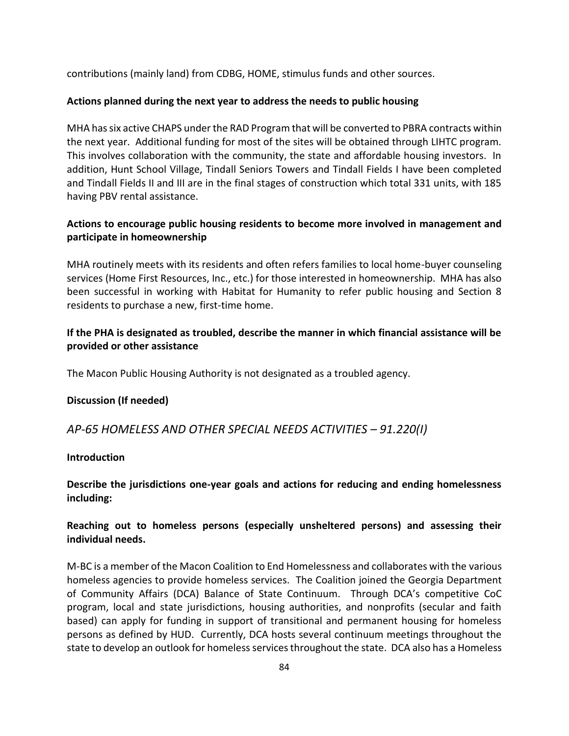contributions (mainly land) from CDBG, HOME, stimulus funds and other sources.

## **Actions planned during the next year to address the needs to public housing**

MHA has six active CHAPS under the RAD Program that will be converted to PBRA contracts within the next year. Additional funding for most of the sites will be obtained through LIHTC program. This involves collaboration with the community, the state and affordable housing investors. In addition, Hunt School Village, Tindall Seniors Towers and Tindall Fields I have been completed and Tindall Fields II and III are in the final stages of construction which total 331 units, with 185 having PBV rental assistance.

## **Actions to encourage public housing residents to become more involved in management and participate in homeownership**

MHA routinely meets with its residents and often refers families to local home-buyer counseling services (Home First Resources, Inc., etc.) for those interested in homeownership. MHA has also been successful in working with Habitat for Humanity to refer public housing and Section 8 residents to purchase a new, first-time home.

# **If the PHA is designated as troubled, describe the manner in which financial assistance will be provided or other assistance**

The Macon Public Housing Authority is not designated as a troubled agency.

## **Discussion (If needed)**

## *AP-65 HOMELESS AND OTHER SPECIAL NEEDS ACTIVITIES – 91.220(I)*

## **Introduction**

## **Describe the jurisdictions one-year goals and actions for reducing and ending homelessness including:**

## **Reaching out to homeless persons (especially unsheltered persons) and assessing their individual needs.**

M-BC is a member of the Macon Coalition to End Homelessness and collaborates with the various homeless agencies to provide homeless services. The Coalition joined the Georgia Department of Community Affairs (DCA) Balance of State Continuum. Through DCA's competitive CoC program, local and state jurisdictions, housing authorities, and nonprofits (secular and faith based) can apply for funding in support of transitional and permanent housing for homeless persons as defined by HUD. Currently, DCA hosts several continuum meetings throughout the state to develop an outlook for homeless services throughout the state. DCA also has a Homeless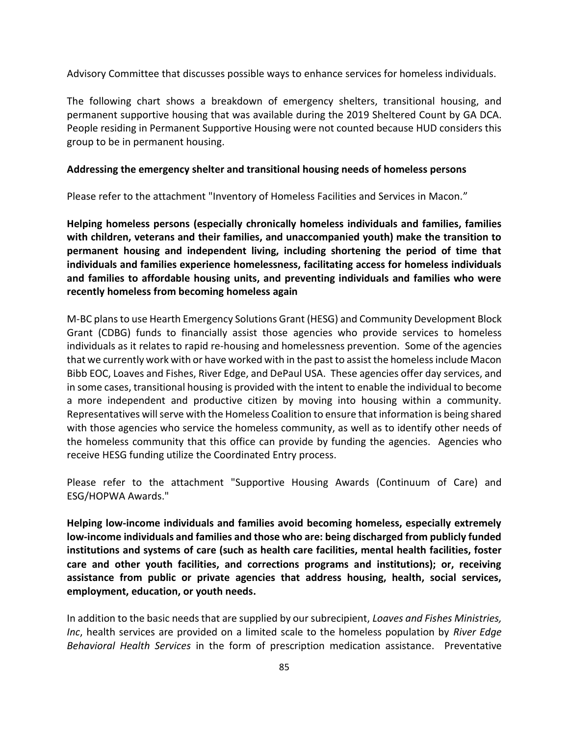Advisory Committee that discusses possible ways to enhance services for homeless individuals.

The following chart shows a breakdown of emergency shelters, transitional housing, and permanent supportive housing that was available during the 2019 Sheltered Count by GA DCA. People residing in Permanent Supportive Housing were not counted because HUD considers this group to be in permanent housing.

### **Addressing the emergency shelter and transitional housing needs of homeless persons**

Please refer to the attachment "Inventory of Homeless Facilities and Services in Macon."

**Helping homeless persons (especially chronically homeless individuals and families, families with children, veterans and their families, and unaccompanied youth) make the transition to permanent housing and independent living, including shortening the period of time that individuals and families experience homelessness, facilitating access for homeless individuals and families to affordable housing units, and preventing individuals and families who were recently homeless from becoming homeless again**

M-BC plans to use Hearth Emergency Solutions Grant (HESG) and Community Development Block Grant (CDBG) funds to financially assist those agencies who provide services to homeless individuals as it relates to rapid re-housing and homelessness prevention. Some of the agencies that we currently work with or have worked with in the past to assist the homeless include Macon Bibb EOC, Loaves and Fishes, River Edge, and DePaul USA. These agencies offer day services, and in some cases, transitional housing is provided with the intent to enable the individual to become a more independent and productive citizen by moving into housing within a community. Representatives will serve with the Homeless Coalition to ensure that information is being shared with those agencies who service the homeless community, as well as to identify other needs of the homeless community that this office can provide by funding the agencies. Agencies who receive HESG funding utilize the Coordinated Entry process.

Please refer to the attachment "Supportive Housing Awards (Continuum of Care) and ESG/HOPWA Awards."

**Helping low-income individuals and families avoid becoming homeless, especially extremely low-income individuals and families and those who are: being discharged from publicly funded institutions and systems of care (such as health care facilities, mental health facilities, foster care and other youth facilities, and corrections programs and institutions); or, receiving assistance from public or private agencies that address housing, health, social services, employment, education, or youth needs.**

In addition to the basic needs that are supplied by our subrecipient, *Loaves and Fishes Ministries, Inc*, health services are provided on a limited scale to the homeless population by *River Edge Behavioral Health Services* in the form of prescription medication assistance. Preventative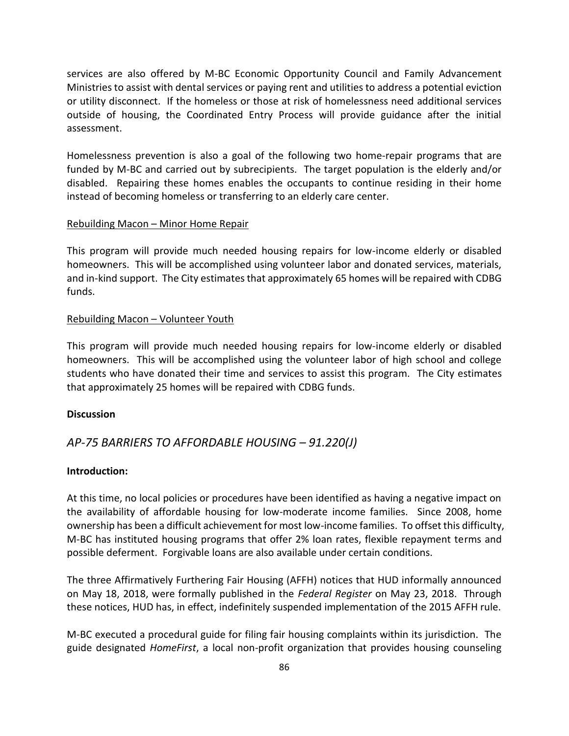services are also offered by M-BC Economic Opportunity Council and Family Advancement Ministries to assist with dental services or paying rent and utilities to address a potential eviction or utility disconnect. If the homeless or those at risk of homelessness need additional services outside of housing, the Coordinated Entry Process will provide guidance after the initial assessment.

Homelessness prevention is also a goal of the following two home-repair programs that are funded by M-BC and carried out by subrecipients. The target population is the elderly and/or disabled. Repairing these homes enables the occupants to continue residing in their home instead of becoming homeless or transferring to an elderly care center.

#### Rebuilding Macon – Minor Home Repair

This program will provide much needed housing repairs for low-income elderly or disabled homeowners. This will be accomplished using volunteer labor and donated services, materials, and in-kind support. The City estimates that approximately 65 homes will be repaired with CDBG funds.

#### Rebuilding Macon – Volunteer Youth

This program will provide much needed housing repairs for low-income elderly or disabled homeowners. This will be accomplished using the volunteer labor of high school and college students who have donated their time and services to assist this program. The City estimates that approximately 25 homes will be repaired with CDBG funds.

#### **Discussion**

## *AP-75 BARRIERS TO AFFORDABLE HOUSING – 91.220(J)*

#### **Introduction:**

At this time, no local policies or procedures have been identified as having a negative impact on the availability of affordable housing for low-moderate income families. Since 2008, home ownership has been a difficult achievement for most low-income families. To offset this difficulty, M-BC has instituted housing programs that offer 2% loan rates, flexible repayment terms and possible deferment. Forgivable loans are also available under certain conditions.

The three Affirmatively Furthering Fair Housing (AFFH) notices that HUD informally announced on May 18, 2018, were formally published in the *Federal Register* on May 23, 2018. Through these notices, HUD has, in effect, indefinitely suspended implementation of the 2015 AFFH rule.

M-BC executed a procedural guide for filing fair housing complaints within its jurisdiction. The guide designated *HomeFirst*, a local non-profit organization that provides housing counseling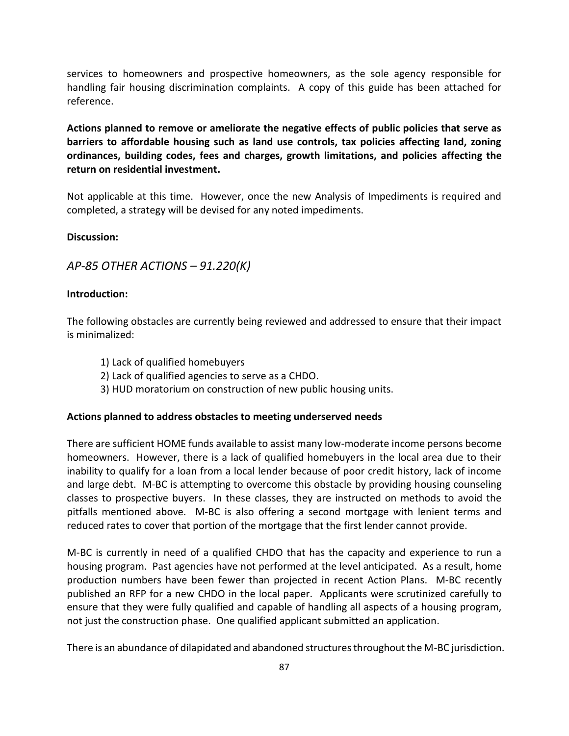services to homeowners and prospective homeowners, as the sole agency responsible for handling fair housing discrimination complaints. A copy of this guide has been attached for reference.

**Actions planned to remove or ameliorate the negative effects of public policies that serve as barriers to affordable housing such as land use controls, tax policies affecting land, zoning ordinances, building codes, fees and charges, growth limitations, and policies affecting the return on residential investment.**

Not applicable at this time. However, once the new Analysis of Impediments is required and completed, a strategy will be devised for any noted impediments.

#### **Discussion:**

*AP-85 OTHER ACTIONS – 91.220(K)*

#### **Introduction:**

The following obstacles are currently being reviewed and addressed to ensure that their impact is minimalized:

- 1) Lack of qualified homebuyers
- 2) Lack of qualified agencies to serve as a CHDO.
- 3) HUD moratorium on construction of new public housing units.

#### **Actions planned to address obstacles to meeting underserved needs**

There are sufficient HOME funds available to assist many low-moderate income persons become homeowners. However, there is a lack of qualified homebuyers in the local area due to their inability to qualify for a loan from a local lender because of poor credit history, lack of income and large debt. M-BC is attempting to overcome this obstacle by providing housing counseling classes to prospective buyers. In these classes, they are instructed on methods to avoid the pitfalls mentioned above. M-BC is also offering a second mortgage with lenient terms and reduced rates to cover that portion of the mortgage that the first lender cannot provide.

M-BC is currently in need of a qualified CHDO that has the capacity and experience to run a housing program. Past agencies have not performed at the level anticipated. As a result, home production numbers have been fewer than projected in recent Action Plans. M-BC recently published an RFP for a new CHDO in the local paper. Applicants were scrutinized carefully to ensure that they were fully qualified and capable of handling all aspects of a housing program, not just the construction phase. One qualified applicant submitted an application.

There is an abundance of dilapidated and abandoned structures throughout the M-BC jurisdiction.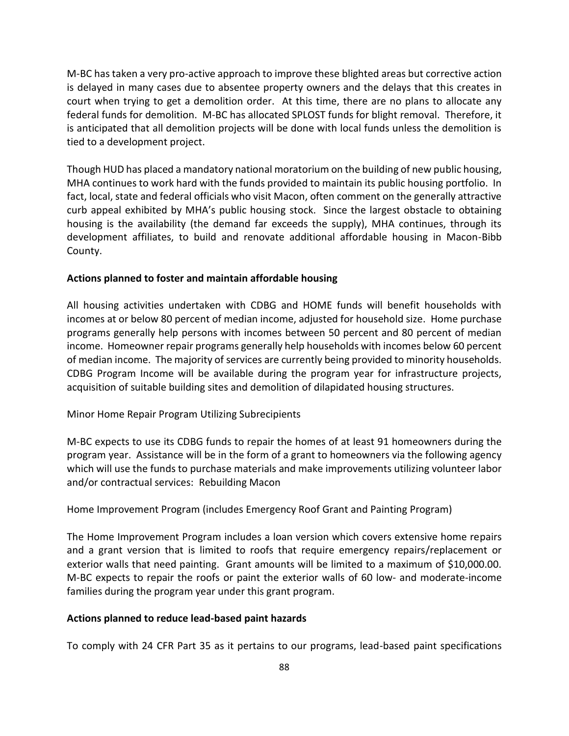M-BC has taken a very pro-active approach to improve these blighted areas but corrective action is delayed in many cases due to absentee property owners and the delays that this creates in court when trying to get a demolition order. At this time, there are no plans to allocate any federal funds for demolition. M-BC has allocated SPLOST funds for blight removal. Therefore, it is anticipated that all demolition projects will be done with local funds unless the demolition is tied to a development project.

Though HUD has placed a mandatory national moratorium on the building of new public housing, MHA continues to work hard with the funds provided to maintain its public housing portfolio. In fact, local, state and federal officials who visit Macon, often comment on the generally attractive curb appeal exhibited by MHA's public housing stock. Since the largest obstacle to obtaining housing is the availability (the demand far exceeds the supply), MHA continues, through its development affiliates, to build and renovate additional affordable housing in Macon-Bibb County.

#### **Actions planned to foster and maintain affordable housing**

All housing activities undertaken with CDBG and HOME funds will benefit households with incomes at or below 80 percent of median income, adjusted for household size. Home purchase programs generally help persons with incomes between 50 percent and 80 percent of median income. Homeowner repair programs generally help households with incomes below 60 percent of median income. The majority of services are currently being provided to minority households. CDBG Program Income will be available during the program year for infrastructure projects, acquisition of suitable building sites and demolition of dilapidated housing structures.

Minor Home Repair Program Utilizing Subrecipients

M-BC expects to use its CDBG funds to repair the homes of at least 91 homeowners during the program year. Assistance will be in the form of a grant to homeowners via the following agency which will use the funds to purchase materials and make improvements utilizing volunteer labor and/or contractual services: Rebuilding Macon

Home Improvement Program (includes Emergency Roof Grant and Painting Program)

The Home Improvement Program includes a loan version which covers extensive home repairs and a grant version that is limited to roofs that require emergency repairs/replacement or exterior walls that need painting. Grant amounts will be limited to a maximum of \$10,000.00. M-BC expects to repair the roofs or paint the exterior walls of 60 low- and moderate-income families during the program year under this grant program.

#### **Actions planned to reduce lead-based paint hazards**

To comply with 24 CFR Part 35 as it pertains to our programs, lead-based paint specifications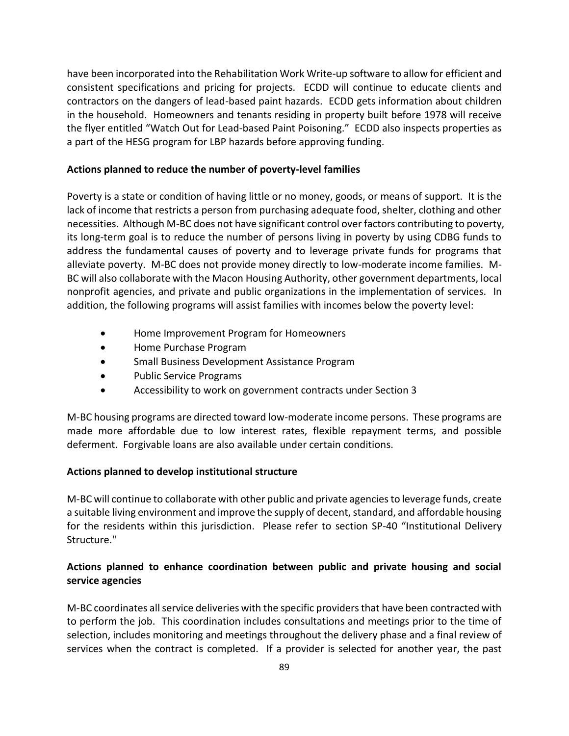have been incorporated into the Rehabilitation Work Write-up software to allow for efficient and consistent specifications and pricing for projects. ECDD will continue to educate clients and contractors on the dangers of lead-based paint hazards. ECDD gets information about children in the household. Homeowners and tenants residing in property built before 1978 will receive the flyer entitled "Watch Out for Lead-based Paint Poisoning." ECDD also inspects properties as a part of the HESG program for LBP hazards before approving funding.

## **Actions planned to reduce the number of poverty-level families**

Poverty is a state or condition of having little or no money, goods, or means of support. It is the lack of income that restricts a person from purchasing adequate food, shelter, clothing and other necessities. Although M-BC does not have significant control over factors contributing to poverty, its long-term goal is to reduce the number of persons living in poverty by using CDBG funds to address the fundamental causes of poverty and to leverage private funds for programs that alleviate poverty. M-BC does not provide money directly to low-moderate income families. M-BC will also collaborate with the Macon Housing Authority, other government departments, local nonprofit agencies, and private and public organizations in the implementation of services. In addition, the following programs will assist families with incomes below the poverty level:

- Home Improvement Program for Homeowners
- Home Purchase Program
- Small Business Development Assistance Program
- Public Service Programs
- Accessibility to work on government contracts under Section 3

M-BC housing programs are directed toward low-moderate income persons. These programs are made more affordable due to low interest rates, flexible repayment terms, and possible deferment. Forgivable loans are also available under certain conditions.

## **Actions planned to develop institutional structure**

M-BC will continue to collaborate with other public and private agencies to leverage funds, create a suitable living environment and improve the supply of decent, standard, and affordable housing for the residents within this jurisdiction. Please refer to section SP-40 "Institutional Delivery Structure."

## **Actions planned to enhance coordination between public and private housing and social service agencies**

M-BC coordinates all service deliveries with the specific providers that have been contracted with to perform the job. This coordination includes consultations and meetings prior to the time of selection, includes monitoring and meetings throughout the delivery phase and a final review of services when the contract is completed. If a provider is selected for another year, the past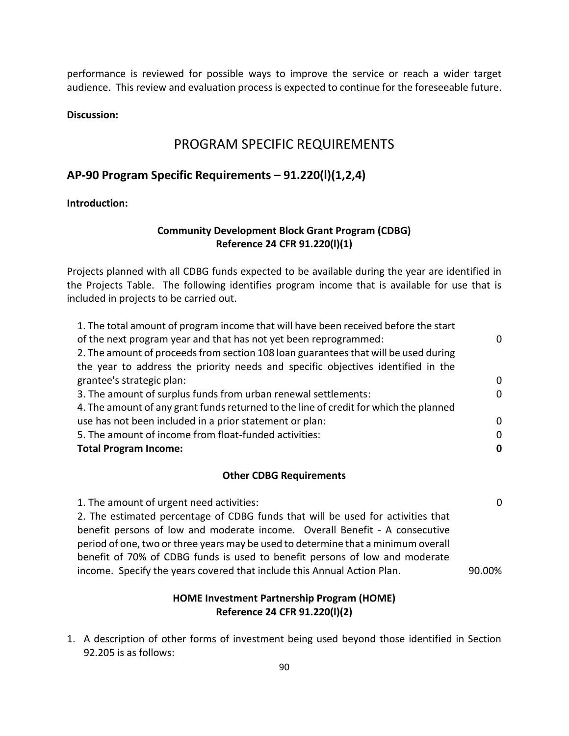performance is reviewed for possible ways to improve the service or reach a wider target audience. This review and evaluation process is expected to continue for the foreseeable future.

**Discussion:** 

# PROGRAM SPECIFIC REQUIREMENTS

# **AP-90 Program Specific Requirements – 91.220(l)(1,2,4)**

**Introduction:** 

## **Community Development Block Grant Program (CDBG) Reference 24 CFR 91.220(l)(1)**

Projects planned with all CDBG funds expected to be available during the year are identified in the Projects Table. The following identifies program income that is available for use that is included in projects to be carried out.

| 1. The total amount of program income that will have been received before the start   |          |
|---------------------------------------------------------------------------------------|----------|
| of the next program year and that has not yet been reprogrammed:                      | O        |
| 2. The amount of proceeds from section 108 loan guarantees that will be used during   |          |
| the year to address the priority needs and specific objectives identified in the      |          |
| grantee's strategic plan:                                                             | 0        |
| 3. The amount of surplus funds from urban renewal settlements:                        | $\Omega$ |
| 4. The amount of any grant funds returned to the line of credit for which the planned |          |
| use has not been included in a prior statement or plan:                               | $\Omega$ |
| 5. The amount of income from float-funded activities:                                 | 0        |
| <b>Total Program Income:</b>                                                          | 0        |

#### **Other CDBG Requirements**

1. The amount of urgent need activities: 0 2. The estimated percentage of CDBG funds that will be used for activities that benefit persons of low and moderate income. Overall Benefit - A consecutive period of one, two or three years may be used to determine that a minimum overall benefit of 70% of CDBG funds is used to benefit persons of low and moderate income. Specify the years covered that include this Annual Action Plan. 90.00%

## **HOME Investment Partnership Program (HOME) Reference 24 CFR 91.220(l)(2)**

1. A description of other forms of investment being used beyond those identified in Section 92.205 is as follows: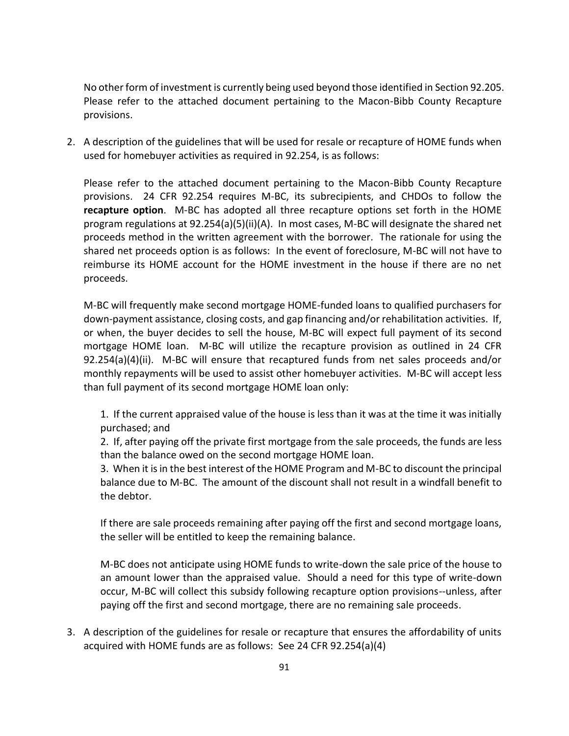No other form of investment is currently being used beyond those identified in Section 92.205. Please refer to the attached document pertaining to the Macon-Bibb County Recapture provisions.

2. A description of the guidelines that will be used for resale or recapture of HOME funds when used for homebuyer activities as required in 92.254, is as follows:

Please refer to the attached document pertaining to the Macon-Bibb County Recapture provisions. 24 CFR 92.254 requires M-BC, its subrecipients, and CHDOs to follow the **recapture option**. M-BC has adopted all three recapture options set forth in the HOME program regulations at 92.254(a)(5)(ii)(A). In most cases, M-BC will designate the shared net proceeds method in the written agreement with the borrower. The rationale for using the shared net proceeds option is as follows: In the event of foreclosure, M-BC will not have to reimburse its HOME account for the HOME investment in the house if there are no net proceeds.

M-BC will frequently make second mortgage HOME-funded loans to qualified purchasers for down-payment assistance, closing costs, and gap financing and/or rehabilitation activities. If, or when, the buyer decides to sell the house, M-BC will expect full payment of its second mortgage HOME loan. M-BC will utilize the recapture provision as outlined in 24 CFR 92.254(a)(4)(ii). M-BC will ensure that recaptured funds from net sales proceeds and/or monthly repayments will be used to assist other homebuyer activities. M-BC will accept less than full payment of its second mortgage HOME loan only:

1. If the current appraised value of the house is less than it was at the time it was initially purchased; and

2. If, after paying off the private first mortgage from the sale proceeds, the funds are less than the balance owed on the second mortgage HOME loan.

3. When it is in the best interest of the HOME Program and M-BC to discount the principal balance due to M-BC. The amount of the discount shall not result in a windfall benefit to the debtor.

If there are sale proceeds remaining after paying off the first and second mortgage loans, the seller will be entitled to keep the remaining balance.

M-BC does not anticipate using HOME funds to write-down the sale price of the house to an amount lower than the appraised value. Should a need for this type of write-down occur, M-BC will collect this subsidy following recapture option provisions--unless, after paying off the first and second mortgage, there are no remaining sale proceeds.

3. A description of the guidelines for resale or recapture that ensures the affordability of units acquired with HOME funds are as follows: See 24 CFR 92.254(a)(4)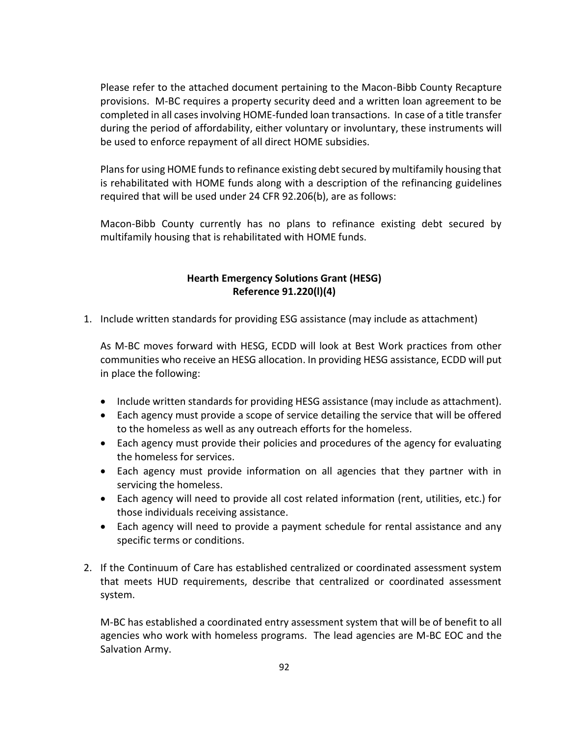Please refer to the attached document pertaining to the Macon-Bibb County Recapture provisions. M-BC requires a property security deed and a written loan agreement to be completed in all cases involving HOME-funded loan transactions. In case of a title transfer during the period of affordability, either voluntary or involuntary, these instruments will be used to enforce repayment of all direct HOME subsidies.

Plans for using HOME funds to refinance existing debt secured by multifamily housing that is rehabilitated with HOME funds along with a description of the refinancing guidelines required that will be used under 24 CFR 92.206(b), are as follows:

Macon-Bibb County currently has no plans to refinance existing debt secured by multifamily housing that is rehabilitated with HOME funds.

# **Hearth Emergency Solutions Grant (HESG) Reference 91.220(l)(4)**

1. Include written standards for providing ESG assistance (may include as attachment)

As M-BC moves forward with HESG, ECDD will look at Best Work practices from other communities who receive an HESG allocation. In providing HESG assistance, ECDD will put in place the following:

- Include written standards for providing HESG assistance (may include as attachment).
- Each agency must provide a scope of service detailing the service that will be offered to the homeless as well as any outreach efforts for the homeless.
- Each agency must provide their policies and procedures of the agency for evaluating the homeless for services.
- Each agency must provide information on all agencies that they partner with in servicing the homeless.
- Each agency will need to provide all cost related information (rent, utilities, etc.) for those individuals receiving assistance.
- Each agency will need to provide a payment schedule for rental assistance and any specific terms or conditions.
- 2. If the Continuum of Care has established centralized or coordinated assessment system that meets HUD requirements, describe that centralized or coordinated assessment system.

M-BC has established a coordinated entry assessment system that will be of benefit to all agencies who work with homeless programs. The lead agencies are M-BC EOC and the Salvation Army.